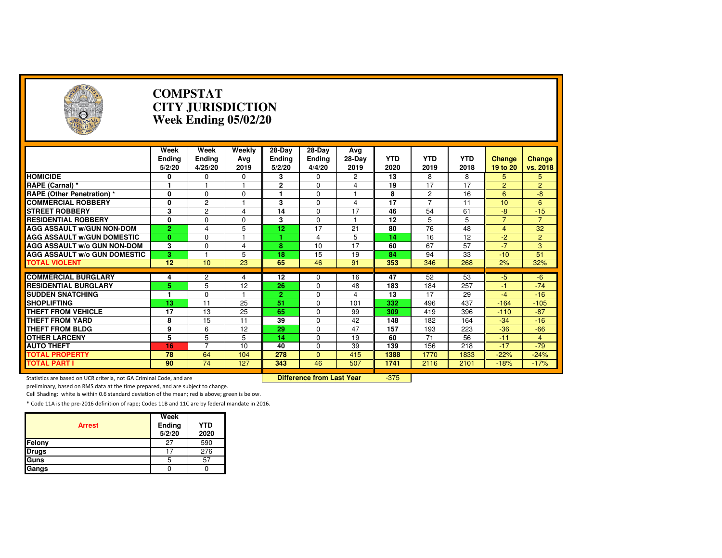| Э                                                                   |                                 | <b>COMPSTAT</b><br><b>CITY JURISDICTION</b><br>Week Ending 05/02/20 |                         |                                     |                                   |                       |                    |                    |                    |                           |                    |  |
|---------------------------------------------------------------------|---------------------------------|---------------------------------------------------------------------|-------------------------|-------------------------------------|-----------------------------------|-----------------------|--------------------|--------------------|--------------------|---------------------------|--------------------|--|
|                                                                     | Week<br><b>Ending</b><br>5/2/20 | Week<br><b>Ending</b><br>4/25/20                                    | Weekly<br>Avg<br>2019   | $28-Dav$<br><b>Ending</b><br>5/2/20 | 28-Day<br><b>Ending</b><br>4/4/20 | Avg<br>28-Day<br>2019 | <b>YTD</b><br>2020 | <b>YTD</b><br>2019 | <b>YTD</b><br>2018 | <b>Change</b><br>19 to 20 | Change<br>vs. 2018 |  |
| <b>HOMICIDE</b>                                                     | 0                               | 0                                                                   | 0                       | 3                                   | 0                                 | 2                     | 13                 | 8                  | 8                  | 5                         | 5                  |  |
| RAPE (Carnal) *                                                     | 1                               |                                                                     | 1                       | 2                                   | $\Omega$                          | 4                     | 19                 | 17                 | 17                 | $\overline{2}$            | $\overline{2}$     |  |
| <b>RAPE (Other Penetration) *</b>                                   | 0                               | $\Omega$                                                            | $\Omega$                | 1                                   | $\Omega$                          | 1                     | 8                  | $\overline{2}$     | 16                 | 6                         | $-8$               |  |
| <b>COMMERCIAL ROBBERY</b>                                           | 0                               | $\overline{c}$                                                      |                         | 3                                   | $\Omega$                          | 4                     | $\overline{17}$    | $\overline{7}$     | $\overline{11}$    | 10                        | 6                  |  |
| <b>STREET ROBBERY</b>                                               | 3                               | $\overline{c}$                                                      | $\overline{\mathbf{4}}$ | 14                                  | 0                                 | 17                    | 46                 | 54                 | 61                 | $-8$                      | $-15$              |  |
| <b>RESIDENTIAL ROBBERY</b>                                          | 0                               | $\Omega$                                                            | $\Omega$                | 3                                   | $\Omega$                          | $\overline{1}$        | 12                 | 5                  | 5                  | $\overline{7}$            | $\overline{7}$     |  |
| <b>AGG ASSAULT W/GUN NON-DOM</b>                                    | $\overline{2}$                  | 4                                                                   | 5                       | $\overline{12}$                     | $\overline{17}$                   | 21                    | 80                 | 76                 | 48                 | $\overline{4}$            | 32                 |  |
| <b>AGG ASSAULT W/GUN DOMESTIC</b>                                   | $\mathbf{0}$                    | $\Omega$                                                            | $\overline{\mathbf{1}}$ |                                     | 4                                 | 5                     | 14                 | 16                 | 12                 | $-2$                      | $\overline{2}$     |  |
| <b>AGG ASSAULT W/o GUN NON-DOM</b>                                  | 3                               | $\Omega$                                                            | 4                       | 8                                   | 10                                | 17                    | 60                 | 67                 | 57                 | $-7$                      | 3                  |  |
| <b>AGG ASSAULT W/o GUN DOMESTIC</b>                                 | $\overline{3}$                  | $\overline{1}$                                                      | 5                       | 18                                  | 15                                | 19                    | 84                 | 94                 | 33                 | $-10$                     | 51                 |  |
| <b>TOTAL VIOLENT</b>                                                | 12                              | 10                                                                  | 23                      | 65                                  | 46                                | 91                    | 353                | 346                | 268                | 2%                        | 32%                |  |
|                                                                     |                                 |                                                                     |                         |                                     |                                   |                       |                    |                    |                    |                           |                    |  |
| <b>COMMERCIAL BURGLARY</b>                                          | 4                               | $\mathbf{2}$                                                        | 4                       | 12                                  | 0                                 | 16                    | 47                 | 52                 | 53                 | $-5$                      | $-6$               |  |
| <b>RESIDENTIAL BURGLARY</b>                                         | 5                               | 5                                                                   | 12                      | 26                                  | 0                                 | 48                    | 183                | 184                | 257                | $-1$                      | $-74$              |  |
| <b>SUDDEN SNATCHING</b>                                             | 1                               | $\Omega$                                                            | 1                       | $\overline{2}$                      | $\Omega$                          | 4                     | 13                 | 17                 | 29                 | $-4$                      | $-16$              |  |
| <b>SHOPLIFTING</b>                                                  | $\overline{13}$                 | $\overline{11}$                                                     | $\overline{25}$         | 51                                  | $\Omega$                          | 101                   | 332                | 496                | 437                | $-164$                    | $-105$             |  |
| <b>THEFT FROM VEHICLE</b>                                           | 17                              | 13                                                                  | 25                      | 65                                  | $\Omega$                          | 99                    | 309                | 419                | 396                | $-110$                    | $-87$              |  |
| <b>THEFT FROM YARD</b>                                              | 8                               | 15                                                                  | 11                      | 39                                  | $\Omega$                          | 42                    | 148                | 182                | 164                | $-34$                     | $-16$              |  |
| <b>THEFT FROM BLDG</b>                                              | 9                               | 6                                                                   | 12                      | 29                                  | $\Omega$                          | 47                    | 157                | 193                | 223                | $-36$                     | $-66$              |  |
| <b>OTHER LARCENY</b>                                                | 5                               | 5                                                                   | 5                       | 14                                  | 0                                 | 19                    | 60                 | 71                 | 56                 | $-11$                     | $\overline{4}$     |  |
| <b>AUTO THEFT</b>                                                   | 16                              | $\overline{7}$                                                      | 10                      | 40                                  | 0                                 | 39                    | 139                | 156                | 218                | $-17$                     | $-79$              |  |
| <b>TOTAL PROPERTY</b>                                               | 78                              | 64                                                                  | 104                     | 278                                 | $\Omega$                          | 415                   | 1388               | 1770               | 1833               | $-22%$                    | $-24%$             |  |
| <b>TOTAL PART I</b>                                                 | 90                              | $\overline{74}$                                                     | 127                     | 343                                 | 46                                | 507                   | 1741               | 2116               | 2101               | $-18%$                    | $-17%$             |  |
| Statistics are based on UCR criteria, not GA Criminal Code, and are |                                 |                                                                     |                         |                                     | <b>Difference from Last Year</b>  |                       | $-375$             |                    |                    |                           |                    |  |

Statistics are based on UCR criteria, not GA Criminal Code, and are **Difference from Last Year** 

preliminary, based on RMS data at the time prepared, and are subject to change.

Cell Shading: white is within 0.6 standard deviation of the mean; red is above; green is below.

| <b>Arrest</b> | Week<br>Ending<br>5/2/20 | <b>YTD</b><br>2020 |
|---------------|--------------------------|--------------------|
| Felony        | 27                       | 590                |
| <b>Drugs</b>  | 17                       | 276                |
| Guns          | h                        | 57                 |
| Gangs         |                          |                    |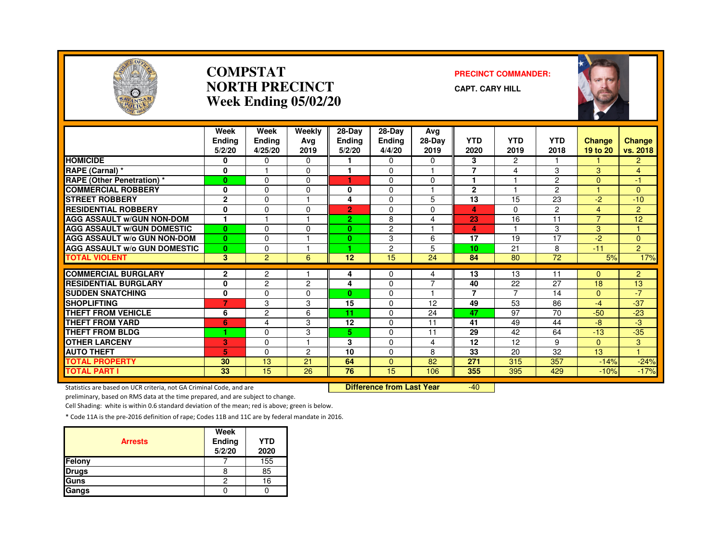

#### **COMPSTATNORTH PRECINCTWeek Ending 05/02/20**

#### **PRECINCT COMMANDER:**

**CAPT. CARY HILL**



|                                              | Week<br><b>Endina</b> | Week<br>Ending  | Weekly<br>Avg       | $28-Dav$<br>Ending | 28-Day<br><b>Ending</b> | Avg<br>28-Day            | <b>YTD</b>           | <b>YTD</b>     | <b>YTD</b>     | <b>Change</b>    | <b>Change</b>    |
|----------------------------------------------|-----------------------|-----------------|---------------------|--------------------|-------------------------|--------------------------|----------------------|----------------|----------------|------------------|------------------|
|                                              | 5/2/20                | 4/25/20         | 2019                | 5/2/20             | 4/4/20                  | 2019                     | 2020                 | 2019           | 2018           | 19 to 20         | vs. 2018         |
| <b>HOMICIDE</b>                              | 0                     | 0               | 0                   |                    | 0                       | 0                        | 3                    | $\overline{c}$ |                |                  | $\overline{2}$   |
| RAPE (Carnal) *                              | $\mathbf 0$           |                 | $\Omega$            |                    | 0                       | 1                        | $\overline{7}$       | 4              | 3              | 3                | $\overline{4}$   |
| <b>RAPE (Other Penetration) *</b>            | $\mathbf{0}$          | $\Omega$        | $\Omega$            | ٠                  | $\Omega$                | $\Omega$                 | $\blacktriangleleft$ |                | $\overline{2}$ | $\Omega$         | $-1$             |
| <b>COMMERCIAL ROBBERY</b>                    | 0                     | $\Omega$        | 0                   | $\bf{0}$           | 0                       | 1                        | $\mathbf{2}$         |                | $\mathcal{P}$  |                  | $\overline{0}$   |
| <b>STREET ROBBERY</b>                        | $\mathbf{2}$          | $\Omega$        |                     | 4                  | 0                       | 5                        | 13                   | 15             | 23             | $-2$             | $-10$            |
| <b>RESIDENTIAL ROBBERY</b>                   | 0                     | $\Omega$        | 0                   | $\overline{2}$     | $\Omega$                | $\Omega$                 | 4                    | $\Omega$       | $\overline{2}$ | 4                | $\overline{2}$   |
| <b>AGG ASSAULT w/GUN NON-DOM</b>             | 1                     |                 |                     | 2.                 | 8                       | 4                        | 23                   | 16             | 11             | $\overline{ }$   | 12               |
| <b>AGG ASSAULT W/GUN DOMESTIC</b>            | $\bf{0}$              | $\Omega$        | $\Omega$            | $\bf{0}$           | $\overline{c}$          | $\overline{\phantom{a}}$ | 4                    |                | 3              | 3                |                  |
| <b>AGG ASSAULT W/o GUN NON-DOM</b>           | $\mathbf{0}$          | $\Omega$        |                     | $\bf{0}$           | 3                       | 6                        | 17                   | 19             | 17             | $-2$             | $\Omega$         |
| <b>AGG ASSAULT w/o GUN DOMESTIC</b>          | $\bf{0}$              | $\Omega$        |                     | 1.                 | 2                       | 5                        | 10                   | 21             | 8              | $-11$            | $\overline{2}$   |
| <b>TOTAL VIOLENT</b>                         | 3                     | $\overline{2}$  | 6                   | 12                 | 15                      | 24                       | 84                   | 80             | 72             | 5%               | 17%              |
| <b>COMMERCIAL BURGLARY</b>                   | $\mathbf{2}$          | 2               |                     |                    |                         |                          | 13                   | 13             | 11             |                  | $\overline{2}$   |
| <b>RESIDENTIAL BURGLARY</b>                  | $\mathbf{0}$          |                 |                     | 4<br>4             | 0<br>$\Omega$           | 4<br>7                   | 40                   | 22             | 27             | $\Omega$<br>18   | 13               |
| <b>SUDDEN SNATCHING</b>                      | $\bf{0}$              | 2<br>$\Omega$   | $\overline{c}$<br>0 | $\mathbf{0}$       | $\Omega$                | 1                        | $\overline{7}$       | $\overline{7}$ | 14             | $\mathbf{0}$     | $-7$             |
| <b>SHOPLIFTING</b>                           | 7                     | 3               | 3                   | 15                 | 0                       | 12                       | 49                   | 53             | 86             | $-4$             | $-37$            |
| <b>THEFT FROM VEHICLE</b>                    | 6                     | 2               | 6                   | 11                 | 0                       | 24                       | 47                   | 97             | 70             | $-50$            | $-23$            |
| <b>THEFT FROM YARD</b>                       | 6                     | $\overline{4}$  | 3                   | 12                 | $\Omega$                | 11                       | 41                   | 49             | 44             | $-8$             | -3               |
| <b>THEFT FROM BLDG</b>                       | 1                     | $\Omega$        | 3                   | 5.                 | 0                       | 11                       | 29                   | 42             | 64             | $-13$            | $-35$            |
| <b>OTHER LARCENY</b>                         |                       | $\Omega$        |                     | 3                  | 0                       |                          | 12                   | 12             | 9              | $\Omega$         | 3                |
| <b>AUTO THEFT</b>                            | 3<br>5                | $\Omega$        | 2                   | 10                 | $\Omega$                | 4<br>8                   | 33                   | 20             | 32             | 13               |                  |
|                                              | 30                    | 13              | 21                  | 64                 | $\Omega$                | 82                       | 271                  |                | 357            |                  |                  |
| <b>TOTAL PROPERTY</b><br><b>TOTAL PART I</b> | 33                    | $\overline{15}$ | $\overline{26}$     | $\overline{76}$    | $\overline{15}$         | 106                      | 355                  | 315<br>395     | 429            | $-14%$<br>$-10%$ | $-24%$<br>$-17%$ |
|                                              |                       |                 |                     |                    |                         |                          |                      |                |                |                  |                  |

Statistics are based on UCR criteria, not GA Criminal Code, and are **Difference from Last Year** 

-40

preliminary, based on RMS data at the time prepared, and are subject to change.

Cell Shading: white is within 0.6 standard deviation of the mean; red is above; green is below.

| <b>Arrests</b> | Week<br>Ending<br>5/2/20 | <b>YTD</b><br>2020 |
|----------------|--------------------------|--------------------|
| Felony         |                          | 155                |
| <b>Drugs</b>   | 8                        | 85                 |
| Guns           | 2                        | 16                 |
| Gangs          |                          |                    |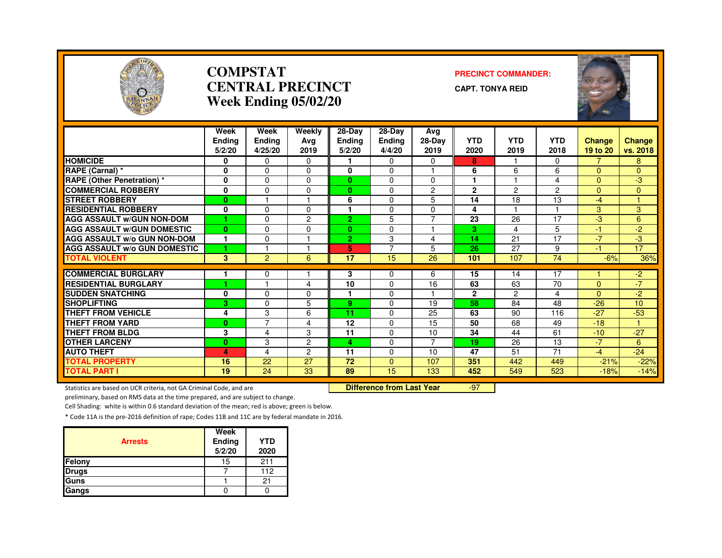

**TOTAL PART I**

# **COMPSTATCENTRAL PRECINCT**

#### **PRECINCT COMMANDER:**

<mark>%</mark> -14%

**CAPT. TONYA REID**

| SALANNAH                            |                          | Week Ending 05/02/20             |                       |                                       |                                   |                       |                    |                    |                    |                           |                    |  |  |
|-------------------------------------|--------------------------|----------------------------------|-----------------------|---------------------------------------|-----------------------------------|-----------------------|--------------------|--------------------|--------------------|---------------------------|--------------------|--|--|
|                                     | Week<br>Endina<br>5/2/20 | Week<br><b>Endina</b><br>4/25/20 | Weekly<br>Ava<br>2019 | $28 - Day$<br><b>Endina</b><br>5/2/20 | 28-Day<br><b>Endina</b><br>4/4/20 | Avg<br>28-Day<br>2019 | <b>YTD</b><br>2020 | <b>YTD</b><br>2019 | <b>YTD</b><br>2018 | <b>Change</b><br>19 to 20 | Change<br>vs. 2018 |  |  |
| <b>HOMICIDE</b>                     | 0                        | $\Omega$                         | $\Omega$              | 1.                                    | $\Omega$                          | $\Omega$              | 8                  |                    | $\Omega$           | $\overline{7}$            | 8                  |  |  |
| RAPE (Carnal) *                     | 0                        | $\Omega$                         | $\Omega$              | 0                                     | $\Omega$                          |                       | 6                  | 6                  | 6                  | $\Omega$                  | $\Omega$           |  |  |
| <b>RAPE (Other Penetration) *</b>   | 0                        | $\mathbf{0}$                     | $\Omega$              | $\mathbf{0}$                          | $\Omega$                          | $\Omega$              |                    |                    | $\overline{4}$     | $\Omega$                  | $-3$               |  |  |
| <b>COMMERCIAL ROBBERY</b>           | 0                        | $\Omega$                         | $\Omega$              | $\mathbf{0}$                          | $\Omega$                          | 2                     | $\mathbf{2}$       | $\overline{c}$     | $\overline{c}$     | $\Omega$                  | $\mathbf{0}$       |  |  |
| <b>STREET ROBBERY</b>               | 0                        |                                  |                       | 6                                     | $\Omega$                          | 5                     | 14                 | 18                 | 13                 | $-4$                      |                    |  |  |
| <b>RESIDENTIAL ROBBERY</b>          | 0                        | $\Omega$                         | $\Omega$              | 1.                                    | $\Omega$                          | $\Omega$              | 4                  |                    |                    | 3                         | 3                  |  |  |
| <b>AGG ASSAULT w/GUN NON-DOM</b>    |                          | $\Omega$                         | $\overline{2}$        | $\overline{2}$                        | 5                                 | 7                     | 23                 | 26                 | 17                 | -3                        | 6                  |  |  |
| <b>AGG ASSAULT W/GUN DOMESTIC</b>   | $\mathbf{0}$             | $\Omega$                         | $\Omega$              | $\mathbf{0}$                          | $\Omega$                          |                       | 3                  | 4                  | 5                  | $-1$                      | $-2$               |  |  |
| <b>AGG ASSAULT w/o GUN NON-DOM</b>  | 1                        | $\Omega$                         |                       | 2 <sup>1</sup>                        | 3                                 | 4                     | 14                 | 21                 | $\overline{17}$    | $-7$                      | $-3$               |  |  |
| <b>AGG ASSAULT W/o GUN DOMESTIC</b> |                          |                                  |                       | 5                                     | $\overline{7}$                    | 5                     | 26                 | 27                 | 9                  | $-1$                      | 17                 |  |  |
| <b>TOTAL VIOLENT</b>                | 3                        | $\overline{2}$                   | 6                     | 17                                    | 15                                | 26                    | 101                | 107                | $\overline{74}$    | $-6%$                     | 36%                |  |  |
| <b>COMMERCIAL BURGLARY</b>          |                          | $\Omega$                         |                       | 3                                     | 0                                 | 6                     | 15                 | 14                 | 17                 |                           | $-2$               |  |  |
| <b>RESIDENTIAL BURGLARY</b>         |                          |                                  | 4                     | 10                                    | $\Omega$                          | 16                    | 63                 | 63                 | 70                 | $\Omega$                  | $-7$               |  |  |
| <b>SUDDEN SNATCHING</b>             | 0                        | $\Omega$                         | $\Omega$              | 1                                     | $\Omega$                          |                       | $\mathbf{2}$       | 2                  | 4                  | $\Omega$                  | $-2$               |  |  |
| <b>SHOPLIFTING</b>                  | 3.                       | $\Omega$                         | 5                     | 9.                                    | $\Omega$                          | 19                    | 58                 | 84                 | 48                 | $-26$                     | 10                 |  |  |
| <b>THEFT FROM VEHICLE</b>           | 4                        | 3                                | 6                     | 11                                    | $\Omega$                          | 25                    | 63                 | 90                 | 116                | $-27$                     | $-53$              |  |  |
| <b>THEFT FROM YARD</b>              | 0                        | 7                                | 4                     | 12                                    | $\mathbf{0}$                      | 15                    | 50                 | 68                 | 49                 | $-18$                     |                    |  |  |
| <b>THEFT FROM BLDG</b>              | 3                        | 4                                | 3                     | 11                                    | $\Omega$                          | 10                    | 34                 | 44                 | 61                 | $-10$                     | $-27$              |  |  |
| <b>OTHER LARCENY</b>                | 0                        | 3                                | $\overline{2}$        | 4                                     | $\Omega$                          | $\overline{7}$        | 19                 | 26                 | 13                 | $-7$                      | 6                  |  |  |
| <b>AUTO THEFT</b>                   | 4                        | 4                                | $\overline{2}$        | 11                                    | $\Omega$                          | 10                    | 47                 | 51                 | 71                 | $-4$                      | $-24$              |  |  |
| <b>TOTAL PROPERTY</b>               | 16                       | 22                               | 27                    | 72                                    | $\Omega$                          | 107                   | 351                | 442                | 449                | $-21%$                    | $-22%$             |  |  |
|                                     |                          |                                  |                       |                                       |                                   |                       |                    |                    |                    |                           |                    |  |  |

Statistics are based on UCR criteria, not GA Criminal Code, and are **Difference from Last Year** 

<sup>24</sup> <sup>33</sup> **<sup>89</sup>** <sup>15</sup> <sup>133</sup> **<sup>452</sup>** <sup>549</sup> <sup>523</sup> -18%

-97

preliminary, based on RMS data at the time prepared, and are subject to change.

**19**

Cell Shading: white is within 0.6 standard deviation of the mean; red is above; green is below.

| <b>Arrests</b> | Week<br>Ending<br>5/2/20 | <b>YTD</b><br>2020 |
|----------------|--------------------------|--------------------|
| <b>Felony</b>  | 15                       | 211                |
| <b>Drugs</b>   |                          | 112                |
| <b>Guns</b>    |                          | 21                 |
| Gangs          |                          |                    |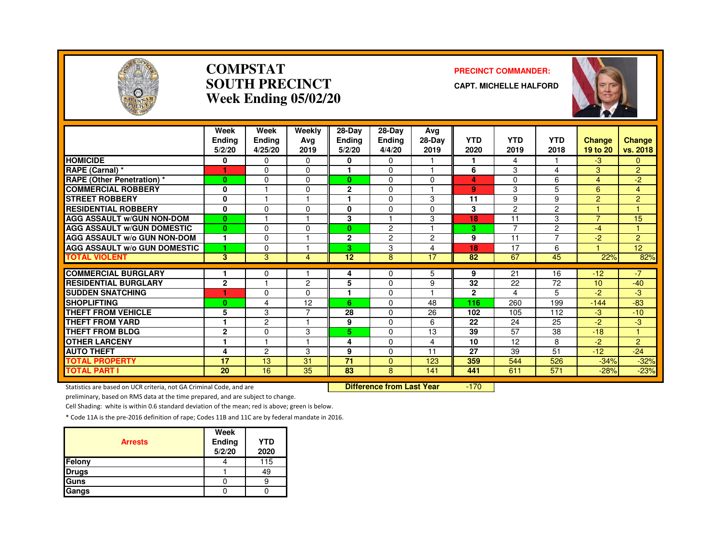

#### **COMPSTATSOUTH PRECINCTWeek Ending 05/02/20**

#### **PRECINCT COMMANDER:**

**CAPT. MICHELLE HALFORD**



|                                                           | Week<br><b>Endina</b><br>5/2/20 | Week<br><b>Ending</b><br>4/25/20 | Weekly<br>Avg<br>2019 | 28-Day<br><b>Ending</b><br>5/2/20 | $28-Dav$<br><b>Ending</b><br>4/4/20 | Avg<br>28-Day<br>2019 | <b>YTD</b><br>2020 | <b>YTD</b><br>2019 | <b>YTD</b><br>2018 | <b>Change</b><br>19 to 20 | <b>Change</b><br>vs. 2018 |
|-----------------------------------------------------------|---------------------------------|----------------------------------|-----------------------|-----------------------------------|-------------------------------------|-----------------------|--------------------|--------------------|--------------------|---------------------------|---------------------------|
| <b>HOMICIDE</b>                                           | 0                               | $\mathbf{0}$                     | $\Omega$              | 0                                 | $\mathbf 0$                         |                       | 1                  | 4                  |                    | $-3$                      | $\mathbf{0}$              |
| RAPE (Carnal) *                                           |                                 | $\Omega$                         | 0                     | 1                                 | $\Omega$                            |                       | 6                  | 3                  | 4                  | 3                         | $\overline{2}$            |
| <b>RAPE</b> (Other Penetration) *                         | $\bf{0}$                        | $\Omega$                         | 0                     | 0                                 | $\Omega$                            | $\Omega$              | 4                  | 0                  | 6                  | 4                         | $-2$                      |
| <b>COMMERCIAL ROBBERY</b>                                 | 0                               |                                  | $\Omega$              | $\overline{2}$                    | $\Omega$                            |                       | 9                  | 3                  | 5                  | 6                         | $\overline{4}$            |
| <b>STREET ROBBERY</b>                                     | 0                               |                                  |                       |                                   | $\Omega$                            | 3                     | 11                 | 9                  | 9                  | 2                         | $\overline{2}$            |
| <b>RESIDENTIAL ROBBERY</b>                                | 0                               | $\Omega$                         | O                     | 0                                 | $\Omega$                            | $\Omega$              | 3                  | $\overline{c}$     | 2                  |                           |                           |
| <b>AGG ASSAULT W/GUN NON-DOM</b>                          | $\mathbf{0}$                    |                                  |                       | 3                                 |                                     | 3                     | 18                 | 11                 | 3                  | $\overline{7}$            | 15                        |
| <b>AGG ASSAULT W/GUN DOMESTIC</b>                         | $\bf{0}$                        | $\Omega$                         | $\Omega$              | 0                                 | $\overline{2}$                      | $\overline{ }$        | 3                  | 7                  | $\overline{2}$     | $-4$                      | и                         |
| <b>AGG ASSAULT W/o GUN NON-DOM</b>                        | 1                               | $\Omega$                         |                       | $\overline{2}$                    | $\overline{2}$                      | $\overline{c}$        | 9                  | 11                 | $\overline{7}$     | $-2$                      | $\overline{2}$            |
| <b>AGG ASSAULT W/o GUN DOMESTIC</b>                       | и                               | $\Omega$                         |                       | 3                                 | 3                                   | $\overline{4}$        | 18                 | 17                 | 6                  |                           | 12 <sub>2</sub>           |
| <b>TOTAL VIOLENT</b>                                      | 3                               | 3                                | 4                     | 12                                | 8                                   | 17                    | 82                 | 67                 | 45                 | 22%                       | 82%                       |
|                                                           |                                 |                                  |                       |                                   |                                     |                       |                    |                    |                    |                           |                           |
| <b>COMMERCIAL BURGLARY</b><br><b>RESIDENTIAL BURGLARY</b> |                                 | 0<br>м                           |                       | 4<br>5                            | 0                                   | 5                     | 9<br>32            | 21<br>22           | 16<br>72           | $-12$                     | $-7$                      |
|                                                           | $\mathbf{2}$                    |                                  | 2                     |                                   | $\Omega$                            | 9                     |                    |                    |                    | 10                        | $-40$                     |
| <b>SUDDEN SNATCHING</b>                                   |                                 | $\Omega$                         | <sup>0</sup>          | 1                                 | $\Omega$                            |                       | $\mathbf{2}$       | 4                  | 5                  | -2                        | -3                        |
| <b>SHOPLIFTING</b>                                        | $\mathbf{0}$                    | 4                                | 12<br>⇁               | 6.                                | $\mathbf 0$                         | 48                    | 116                | 260                | 199                | $-144$                    | $-83$                     |
| <b>THEFT FROM VEHICLE</b>                                 | 5                               | 3                                |                       | 28                                | $\Omega$                            | 26                    | 102                | 105                | 112                | -3                        | $-10$                     |
| <b>THEFT FROM YARD</b>                                    | 1                               | $\overline{c}$                   |                       | 9                                 | $\Omega$                            | 6                     | 22                 | 24                 | 25                 | $-2$                      | -3                        |
| <b>THEFT FROM BLDG</b>                                    | $\mathbf{2}$                    | $\Omega$                         | 3                     | 5.                                | $\Omega$                            | 13                    | 39                 | 57                 | 38                 | $-18$                     | 1                         |
| <b>OTHER LARCENY</b>                                      | 1                               | н                                |                       | 4                                 | $\Omega$                            | 4                     | 10                 | 12                 | 8                  | $-2^{2}$                  | 2                         |
| <b>AUTO THEFT</b>                                         | 4                               | $\overline{c}$                   | 3                     | 9                                 | $\Omega$                            | 11                    | 27                 | 39                 | 51                 | $-12$                     | $-24$                     |
| <b>TOTAL PROPERTY</b>                                     | 17                              | 13                               | 31                    | 71                                | $\Omega$                            | 123                   | 359                | 544                | 526                | $-34%$                    | $-32%$                    |
| <b>TOTAL PART I</b>                                       | 20                              | 16                               | 35                    | 83                                | 8                                   | 141                   | 441                | 611                | 571                | $-28%$                    | $-23%$                    |

Statistics are based on UCR criteria, not GA Criminal Code, and are **Difference from Last Year** 

-170

preliminary, based on RMS data at the time prepared, and are subject to change.

Cell Shading: white is within 0.6 standard deviation of the mean; red is above; green is below.

| <b>Arrests</b> | Week<br>Ending<br>5/2/20 | <b>YTD</b><br>2020 |
|----------------|--------------------------|--------------------|
| Felony         |                          | 115                |
| <b>Drugs</b>   |                          | 49                 |
| Guns           |                          |                    |
| Gangs          |                          |                    |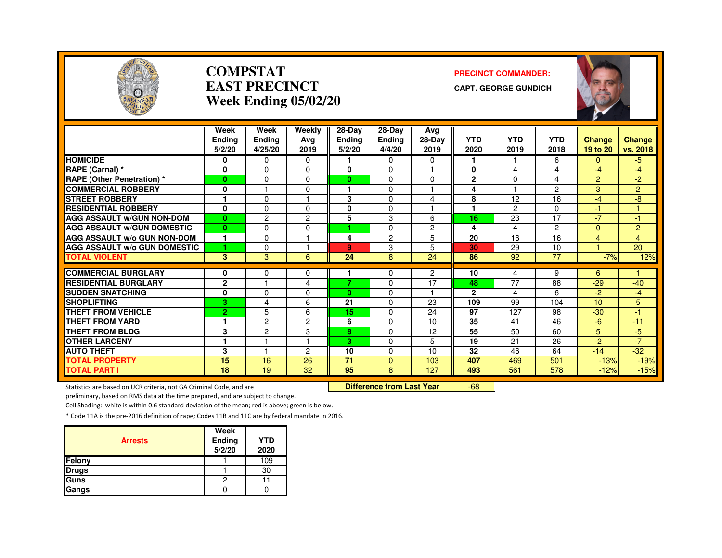

#### **COMPSTATEAST PRECINCTWeek Ending 05/02/20**

#### **PRECINCT COMMANDER:**

**CAPT. GEORGE GUNDICH**



|                                     | Week<br><b>Endina</b><br>5/2/20 | Week<br>Ending<br>4/25/20 | Weekly<br>Ava<br>2019 | $28$ -Day<br><b>Ending</b><br>5/2/20 | $28$ -Day<br>Ending<br>4/4/20 | Ava<br>28-Day<br>2019 | <b>YTD</b><br>2020 | <b>YTD</b><br>2019 | <b>YTD</b><br>2018 | Change<br>19 to 20 | Change<br>vs. 2018 |
|-------------------------------------|---------------------------------|---------------------------|-----------------------|--------------------------------------|-------------------------------|-----------------------|--------------------|--------------------|--------------------|--------------------|--------------------|
| <b>HOMICIDE</b>                     | 0                               | $\Omega$                  | $\Omega$              |                                      | 0                             | 0                     |                    |                    | 6                  | $\overline{0}$     | $-5$               |
| RAPE (Carnal) *                     | 0                               | $\Omega$                  | $\Omega$              | $\bf{0}$                             | 0                             | 1                     | $\mathbf{0}$       | 4                  | 4                  | $-4$               | $-4$               |
| <b>RAPE (Other Penetration) *</b>   | $\bf{0}$                        | $\Omega$                  | $\Omega$              | $\bf{0}$                             | 0                             | $\Omega$              | $\mathbf{2}$       | $\Omega$           | 4                  | $\overline{2}$     | -2                 |
| <b>COMMERCIAL ROBBERY</b>           | 0                               |                           | $\Omega$              |                                      | 0                             |                       | 4                  |                    | $\mathbf{2}$       | 3                  | $\overline{2}$     |
| <b>STREET ROBBERY</b>               |                                 | $\Omega$                  |                       | 3                                    | 0                             | 4                     | 8                  | 12                 | 16                 | $-4$               | -8                 |
| <b>RESIDENTIAL ROBBERY</b>          | $\mathbf{0}$                    | $\Omega$                  | $\Omega$              | 0                                    | 0                             |                       |                    | $\mathcal{P}$      | $\Omega$           | $-1$               |                    |
| <b>AGG ASSAULT W/GUN NON-DOM</b>    | $\bf{0}$                        | $\overline{c}$            | 2                     | 5                                    | 3                             | 6                     | 16                 | 23                 | 17                 | $-7$               | -1                 |
| <b>AGG ASSAULT W/GUN DOMESTIC</b>   | $\mathbf{0}$                    | $\Omega$                  | $\Omega$              | ٠                                    | 0                             | $\overline{c}$        | 4                  | 4                  | $\overline{2}$     | $\Omega$           | $\overline{2}$     |
| <b>AGG ASSAULT w/o GUN NON-DOM</b>  | 1                               | $\Omega$                  |                       | 4                                    | $\overline{c}$                | 5                     | 20                 | 16                 | 16                 | 4                  | 4                  |
| <b>AGG ASSAULT w/o GUN DOMESTIC</b> | 1                               | $\Omega$                  |                       | 9                                    | 3                             | 5                     | 30                 | 29                 | 10                 |                    | 20                 |
| <b>TOTAL VIOLENT</b>                | 3                               | 3                         | 6                     | 24                                   | 8                             | 24                    | 86                 | 92                 | 77                 | $-7%$              | 12%                |
|                                     |                                 |                           |                       |                                      |                               |                       |                    |                    |                    |                    |                    |
| <b>COMMERCIAL BURGLARY</b>          | 0                               | 0                         | 0                     | 7                                    | 0                             | $\overline{2}$        | 10                 | 4                  | 9                  | 6                  |                    |
| <b>RESIDENTIAL BURGLARY</b>         | $\mathbf{2}$                    |                           | 4                     |                                      | 0                             | 17                    | 48                 | 77                 | 88                 | $-29$              | $-40$              |
| <b>SUDDEN SNATCHING</b>             | 0                               | $\Omega$                  | $\Omega$              | $\mathbf{0}$                         | 0                             | 1                     | $\mathbf{2}$       | 4                  | 6                  | $-2$               | $-4$               |
| <b>SHOPLIFTING</b>                  | 3                               | 4                         | 6                     | 21                                   | 0                             | 23                    | 109                | 99                 | 104                | 10                 | 5                  |
| <b>THEFT FROM VEHICLE</b>           | $\overline{2}$                  | 5                         | 6                     | 15                                   | 0                             | 24                    | 97                 | 127                | 98                 | $-30$              | $\overline{4}$     |
| <b>THEFT FROM YARD</b>              |                                 | $\overline{c}$            | $\overline{c}$        | 6                                    | 0                             | 10                    | 35                 | 41                 | 46                 | $-6$               | $-11$              |
| <b>THEFT FROM BLDG</b>              | 3                               | $\overline{c}$            | 3                     | 8                                    | 0                             | 12                    | 55                 | 50                 | 60                 | 5                  | $-5$               |
| <b>OTHER LARCENY</b>                | $\blacktriangleleft$            |                           | ٠                     | 3.                                   | 0                             | 5                     | 19                 | 21                 | 26                 | $-2$               | $-7$               |
| <b>AUTO THEFT</b>                   | 3                               |                           | 2                     | 10                                   | 0                             | 10                    | 32                 | 46                 | 64                 | $-14$              | $-32$              |
| <b>TOTAL PROPERTY</b>               | 15                              | 16                        | 26                    | 71                                   | $\Omega$                      | 103                   | 407                | 469                | 501                | $-13%$             | $-19%$             |
| <b>TOTAL PART I</b>                 | 18                              | 19                        | 32                    | 95                                   | 8                             | 127                   | 493                | 561                | 578                | $-12%$             | $-15%$             |

Statistics are based on UCR criteria, not GA Criminal Code, and are **Difference from Last Year** 

-68

preliminary, based on RMS data at the time prepared, and are subject to change.

Cell Shading: white is within 0.6 standard deviation of the mean; red is above; green is below.

| <b>Arrests</b> | Week<br>Ending<br>5/2/20 | <b>YTD</b><br>2020 |
|----------------|--------------------------|--------------------|
| Felony         |                          | 109                |
| <b>Drugs</b>   |                          | 30                 |
| Guns           | 2                        |                    |
| Gangs          |                          |                    |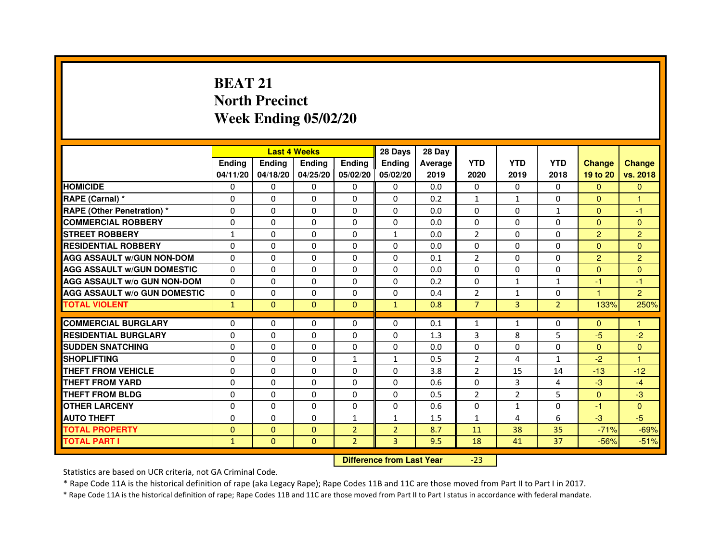## **BEAT 21 North PrecinctWeek Ending 05/02/20**

|                                     |               | <b>Last 4 Weeks</b> |                                  |                | 28 Days        | 28 Day  |                |                |                |                |                |
|-------------------------------------|---------------|---------------------|----------------------------------|----------------|----------------|---------|----------------|----------------|----------------|----------------|----------------|
|                                     | <b>Ending</b> | <b>Ending</b>       | <b>Ending</b>                    | <b>Ending</b>  | <b>Ending</b>  | Average | <b>YTD</b>     | <b>YTD</b>     | <b>YTD</b>     | <b>Change</b>  | <b>Change</b>  |
|                                     | 04/11/20      | 04/18/20            | 04/25/20                         | 05/02/20       | 05/02/20       | 2019    | 2020           | 2019           | 2018           | 19 to 20       | vs. 2018       |
| <b>HOMICIDE</b>                     | $\mathbf{0}$  | $\Omega$            | $\Omega$                         | $\Omega$       | 0              | 0.0     | $\Omega$       | $\Omega$       | 0              | $\Omega$       | $\Omega$       |
| RAPE (Carnal) *                     | 0             | $\Omega$            | 0                                | $\Omega$       | $\mathbf{0}$   | 0.2     | $\mathbf{1}$   | $\mathbf{1}$   | $\Omega$       | $\mathbf{0}$   | 1              |
| <b>RAPE (Other Penetration) *</b>   | $\mathbf 0$   | 0                   | $\Omega$                         | $\Omega$       | $\Omega$       | 0.0     | $\Omega$       | $\Omega$       | $\mathbf{1}$   | $\Omega$       | $-1$           |
| <b>COMMERCIAL ROBBERY</b>           | $\mathbf 0$   | $\mathbf{0}$        | $\Omega$                         | $\mathbf{0}$   | $\mathbf{0}$   | 0.0     | $\mathbf{0}$   | $\Omega$       | $\Omega$       | $\Omega$       | $\Omega$       |
| <b>STREET ROBBERY</b>               | $\mathbf{1}$  | $\Omega$            | $\Omega$                         | $\Omega$       | $\mathbf{1}$   | 0.0     | 2              | $\Omega$       | $\Omega$       | $\overline{2}$ | $\overline{2}$ |
| <b>RESIDENTIAL ROBBERY</b>          | 0             | $\Omega$            | 0                                | $\mathbf{0}$   | $\Omega$       | 0.0     | $\Omega$       | $\Omega$       | $\Omega$       | $\Omega$       | $\Omega$       |
| <b>AGG ASSAULT W/GUN NON-DOM</b>    | $\Omega$      | 0                   | $\Omega$                         | $\mathbf{0}$   | $\Omega$       | 0.1     | $\overline{2}$ | $\Omega$       | $\Omega$       | $\overline{2}$ | $\overline{2}$ |
| <b>AGG ASSAULT W/GUN DOMESTIC</b>   | $\Omega$      | $\Omega$            | $\Omega$                         | $\Omega$       | $\Omega$       | 0.0     | $\Omega$       | $\Omega$       | $\Omega$       | $\Omega$       | $\Omega$       |
| <b>AGG ASSAULT W/o GUN NON-DOM</b>  | $\Omega$      | 0                   | 0                                | $\mathbf{0}$   | 0              | 0.2     | 0              | $\mathbf{1}$   | $\mathbf{1}$   | $-1$           | $-1$           |
| <b>AGG ASSAULT W/o GUN DOMESTIC</b> | $\Omega$      | 0                   | 0                                | $\Omega$       | $\Omega$       | 0.4     | $\overline{2}$ | $\mathbf{1}$   | $\Omega$       | 1              | $\overline{2}$ |
| <b>TOTAL VIOLENT</b>                | $\mathbf{1}$  | $\mathbf{0}$        | $\mathbf{0}$                     | $\mathbf{0}$   | $\mathbf{1}$   | 0.8     | $\overline{7}$ | $\overline{3}$ | $\overline{2}$ | 133%           | 250%           |
| <b>COMMERCIAL BURGLARY</b>          | 0             | 0                   | 0                                | $\mathbf{0}$   | 0              | 0.1     | 1              | $\mathbf{1}$   | 0              | $\Omega$       | 1              |
| <b>RESIDENTIAL BURGLARY</b>         | $\Omega$      | $\Omega$            | $\Omega$                         | $\mathbf{0}$   | $\Omega$       | 1.3     | 3              | 8              | 5              | $-5$           | $-2$           |
| <b>SUDDEN SNATCHING</b>             | $\Omega$      | $\Omega$            | $\Omega$                         | $\Omega$       | $\Omega$       | 0.0     | $\Omega$       | $\Omega$       | $\Omega$       | $\Omega$       | $\Omega$       |
| <b>SHOPLIFTING</b>                  | 0             | 0                   | 0                                | 1              | $\mathbf{1}$   | 0.5     | 2              | 4              | $\mathbf{1}$   | $-2$           | 1              |
| THEFT FROM VEHICLE                  | 0             | $\Omega$            | 0                                | $\Omega$       | 0              | 3.8     | $\overline{2}$ | 15             | 14             | $-13$          | $-12$          |
| THEFT FROM YARD                     | $\mathbf 0$   | 0                   | $\Omega$                         | $\mathbf{0}$   | $\mathbf{0}$   | 0.6     | $\Omega$       | 3              | $\overline{4}$ | $-3$           | $-4$           |
| <b>THEFT FROM BLDG</b>              | 0             | $\Omega$            | 0                                | $\mathbf{0}$   | $\Omega$       | 0.5     | 2              | $\overline{2}$ | 5              | $\Omega$       | $-3$           |
| <b>OTHER LARCENY</b>                | 0             | $\Omega$            | 0                                | $\mathbf{0}$   | $\Omega$       | 0.6     | $\Omega$       | $\mathbf{1}$   | $\Omega$       | $-1$           | $\Omega$       |
| <b>AUTO THEFT</b>                   | $\Omega$      | $\Omega$            | $\Omega$                         | $\mathbf{1}$   | $\mathbf{1}$   | 1.5     | $\mathbf{1}$   | 4              | 6              | $-3$           | $-5$           |
| <b>TOTAL PROPERTY</b>               | $\Omega$      | $\mathbf{0}$        | $\Omega$                         | $\overline{2}$ | $\overline{2}$ | 8.7     | 11             | 38             | 35             | $-71%$         | $-69%$         |
| <b>TOTAL PART I</b>                 | $\mathbf{1}$  | $\mathbf{0}$        | $\overline{0}$                   | $\overline{2}$ | 3              | 9.5     | 18             | 41             | 37             | $-56%$         | $-51%$         |
|                                     |               |                     | <b>Difference from Last Year</b> |                | $-23$          |         |                |                |                |                |                |

Statistics are based on UCR criteria, not GA Criminal Code.

\* Rape Code 11A is the historical definition of rape (aka Legacy Rape); Rape Codes 11B and 11C are those moved from Part II to Part I in 2017.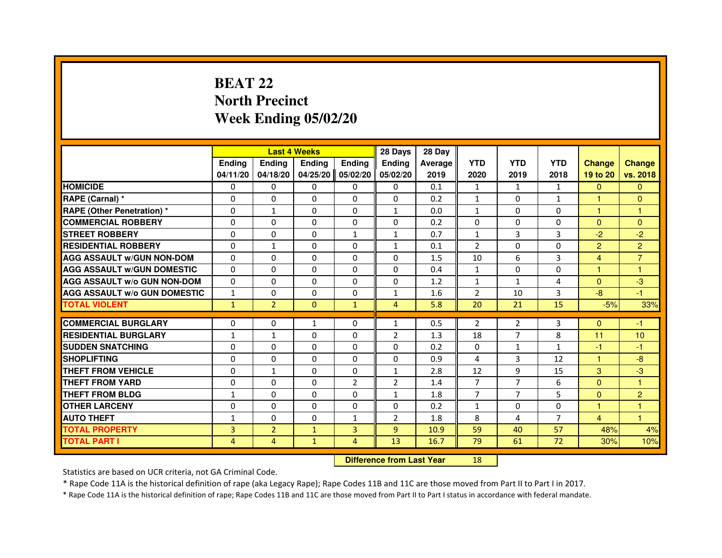## **BEAT 22 North PrecinctWeek Ending 05/02/20**

|                                     |                | <b>Last 4 Weeks</b> |                                  |                | 28 Days        | 28 Day  |                |                |                |                |                |
|-------------------------------------|----------------|---------------------|----------------------------------|----------------|----------------|---------|----------------|----------------|----------------|----------------|----------------|
|                                     | <b>Ending</b>  | <b>Ending</b>       | Ending                           | <b>Ending</b>  | <b>Ending</b>  | Average | <b>YTD</b>     | <b>YTD</b>     | <b>YTD</b>     | <b>Change</b>  | <b>Change</b>  |
|                                     | 04/11/20       | 04/18/20            | 04/25/20                         | 05/02/20       | 05/02/20       | 2019    | 2020           | 2019           | 2018           | 19 to 20       | vs. 2018       |
| <b>HOMICIDE</b>                     | $\mathbf{0}$   | $\Omega$            | $\mathbf{0}$                     | 0              | 0              | 0.1     | $\mathbf{1}$   | $\mathbf{1}$   | $\mathbf{1}$   | $\Omega$       | $\mathbf{0}$   |
| RAPE (Carnal) *                     | 0              | 0                   | 0                                | 0              | 0              | 0.2     | $\mathbf{1}$   | 0              | $\mathbf{1}$   | 1              | $\mathbf{0}$   |
| RAPE (Other Penetration) *          | $\Omega$       | $\mathbf{1}$        | 0                                | $\Omega$       | $\mathbf{1}$   | 0.0     | $\mathbf{1}$   | $\Omega$       | $\Omega$       | 1              | 1              |
| <b>COMMERCIAL ROBBERY</b>           | 0              | 0                   | $\Omega$                         | 0              | 0              | 0.2     | 0              | 0              | 0              | $\overline{0}$ | $\mathbf{0}$   |
| <b>STREET ROBBERY</b>               | $\Omega$       | $\Omega$            | $\Omega$                         | $\mathbf{1}$   | $\mathbf{1}$   | 0.7     | $\mathbf{1}$   | 3              | 3              | $-2$           | $-2$           |
| <b>RESIDENTIAL ROBBERY</b>          | 0              | $\mathbf{1}$        | 0                                | 0              | $\mathbf{1}$   | 0.1     | $\overline{2}$ | $\mathbf{0}$   | $\Omega$       | $\overline{2}$ | $\overline{2}$ |
| <b>AGG ASSAULT W/GUN NON-DOM</b>    | $\Omega$       | $\Omega$            | 0                                | $\Omega$       | $\Omega$       | 1.5     | 10             | 6              | 3              | 4              | $\overline{7}$ |
| <b>AGG ASSAULT W/GUN DOMESTIC</b>   | $\Omega$       | $\Omega$            | $\Omega$                         | $\Omega$       | $\Omega$       | 0.4     | $\mathbf{1}$   | $\Omega$       | 0              | $\mathbf{1}$   | $\mathbf{1}$   |
| <b>AGG ASSAULT W/o GUN NON-DOM</b>  | $\Omega$       | $\Omega$            | $\Omega$                         | $\Omega$       | $\mathbf{0}$   | 1.2     | $\mathbf{1}$   | $\mathbf{1}$   | 4              | $\Omega$       | $-3$           |
| <b>AGG ASSAULT W/o GUN DOMESTIC</b> | $\mathbf{1}$   | 0                   | 0                                | $\Omega$       | 1              | 1.6     | $\overline{2}$ | 10             | 3              | $-8-$          | $-1$           |
| <b>TOTAL VIOLENT</b>                | $\mathbf{1}$   | $\overline{2}$      | $\mathbf{0}$                     | $\mathbf{1}$   | $\overline{4}$ | 5.8     | 20             | 21             | 15             | $-5%$          | 33%            |
| <b>COMMERCIAL BURGLARY</b>          | 0              | 0                   | 1                                | 0              | 1              | 0.5     | $\overline{2}$ | 2              | 3              | $\mathbf{0}$   | -1             |
| <b>RESIDENTIAL BURGLARY</b>         | $\mathbf{1}$   | $\mathbf{1}$        | 0                                | $\Omega$       | $\overline{2}$ | 1.3     | 18             | $\overline{7}$ | 8              | 11             | 10             |
| <b>SUDDEN SNATCHING</b>             | 0              | $\Omega$            | $\Omega$                         | $\Omega$       | $\Omega$       | 0.2     | $\Omega$       | $\mathbf{1}$   | $\mathbf{1}$   | $-1$           | $-1$           |
| <b>SHOPLIFTING</b>                  | 0              | $\mathbf{0}$        | 0                                | $\mathbf{0}$   | 0              | 0.9     | 4              | 3              | 12             | 1              | $-8$           |
| THEFT FROM VEHICLE                  | 0              | $\mathbf{1}$        | 0                                | $\Omega$       | $\mathbf{1}$   | 2.8     | 12             | 9              | 15             | 3              | $-3$           |
| <b>THEFT FROM YARD</b>              | $\Omega$       | $\Omega$            | $\Omega$                         | $\overline{2}$ | $\overline{2}$ | 1.4     | $\overline{7}$ | $\overline{7}$ | 6              | $\mathbf{0}$   | $\mathbf{1}$   |
| <b>THEFT FROM BLDG</b>              | $\mathbf{1}$   | $\Omega$            | $\Omega$                         | $\Omega$       | $\mathbf{1}$   | 1.8     | $\overline{7}$ | $\overline{7}$ | 5              | $\mathbf{0}$   | $\overline{2}$ |
| <b>OTHER LARCENY</b>                | $\Omega$       | $\Omega$            | 0                                | $\Omega$       | $\mathbf{0}$   | 0.2     | $\mathbf{1}$   | $\mathbf{0}$   | $\Omega$       | $\mathbf{1}$   | 1              |
| <b>AUTO THEFT</b>                   | $\mathbf{1}$   | $\Omega$            | $\Omega$                         | $\mathbf{1}$   | $\overline{2}$ | 1.8     | 8              | 4              | $\overline{7}$ | $\overline{4}$ | $\mathbf{1}$   |
| <b>TOTAL PROPERTY</b>               | $\overline{3}$ | $\overline{2}$      | $\mathbf{1}$                     | 3              | 9              | 10.9    | 59             | 40             | 57             | 48%            | 4%             |
| <b>TOTAL PART I</b>                 | $\overline{4}$ | $\overline{4}$      | $\mathbf{1}$                     | 4              | 13             | 16.7    | 79             | 61             | 72             | 30%            | 10%            |
|                                     |                |                     | <b>Difference from Last Year</b> |                | 18             |         |                |                |                |                |                |

#### **Difference from Last Year**

Statistics are based on UCR criteria, not GA Criminal Code.

\* Rape Code 11A is the historical definition of rape (aka Legacy Rape); Rape Codes 11B and 11C are those moved from Part II to Part I in 2017.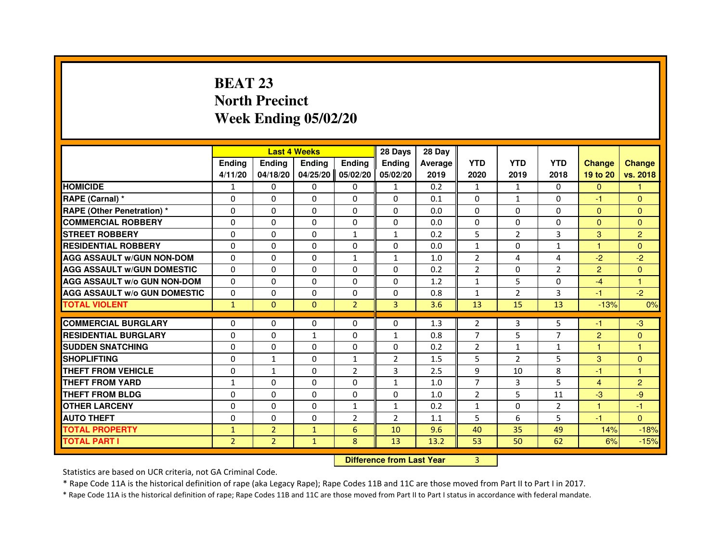## **BEAT 23 North PrecinctWeek Ending 05/02/20**

|                                     |                |                                  | <b>Last 4 Weeks</b> |                | 28 Days        | 28 Day  |                |                |                |                      |                |
|-------------------------------------|----------------|----------------------------------|---------------------|----------------|----------------|---------|----------------|----------------|----------------|----------------------|----------------|
|                                     | <b>Ending</b>  | <b>Ending</b>                    | <b>Ending</b>       | <b>Ending</b>  | <b>Ending</b>  | Average | <b>YTD</b>     | <b>YTD</b>     | <b>YTD</b>     | <b>Change</b>        | <b>Change</b>  |
|                                     | 4/11/20        | 04/18/20                         | 04/25/20            | 05/02/20       | 05/02/20       | 2019    | 2020           | 2019           | 2018           | 19 to 20             | vs. 2018       |
| <b>HOMICIDE</b>                     | $\mathbf{1}$   | $\Omega$                         | $\mathbf{0}$        | $\mathbf{0}$   | $\mathbf{1}$   | 0.2     | $\mathbf{1}$   | $\mathbf{1}$   | $\Omega$       | $\Omega$             | $\mathbf{1}$   |
| RAPE (Carnal) *                     | 0              | $\mathbf{0}$                     | 0                   | $\Omega$       | $\mathbf{0}$   | 0.1     | $\mathbf{0}$   | $\mathbf{1}$   | 0              | $-1$                 | $\mathbf{0}$   |
| <b>RAPE (Other Penetration) *</b>   | $\Omega$       | $\Omega$                         | $\Omega$            | $\Omega$       | $\Omega$       | 0.0     | $\Omega$       | $\Omega$       | $\Omega$       | $\Omega$             | $\mathbf{0}$   |
| <b>COMMERCIAL ROBBERY</b>           | $\Omega$       | $\Omega$                         | $\Omega$            | $\Omega$       | 0              | 0.0     | 0              | $\Omega$       | $\Omega$       | $\mathbf{0}$         | $\mathbf{0}$   |
| <b>STREET ROBBERY</b>               | 0              | $\Omega$                         | 0                   | $\mathbf{1}$   | $\mathbf{1}$   | 0.2     | 5              | $\overline{2}$ | 3              | 3                    | $\overline{2}$ |
| <b>RESIDENTIAL ROBBERY</b>          | 0              | $\Omega$                         | 0                   | $\Omega$       | $\Omega$       | 0.0     | $\mathbf{1}$   | $\Omega$       | $\mathbf{1}$   | $\blacktriangleleft$ | $\Omega$       |
| <b>AGG ASSAULT W/GUN NON-DOM</b>    | $\Omega$       | $\Omega$                         | 0                   | $\mathbf{1}$   | $\mathbf{1}$   | 1.0     | $\overline{2}$ | 4              | 4              | $-2$                 | $-2$           |
| <b>AGG ASSAULT W/GUN DOMESTIC</b>   | $\Omega$       | $\Omega$                         | $\Omega$            | $\Omega$       | $\Omega$       | 0.2     | $\overline{2}$ | $\Omega$       | $\overline{2}$ | $\overline{2}$       | $\mathbf{0}$   |
| <b>AGG ASSAULT W/o GUN NON-DOM</b>  | $\Omega$       | $\mathbf{0}$                     | 0                   | $\mathbf{0}$   | 0              | 1.2     | $\mathbf{1}$   | 5              | 0              | $-4$                 | 1              |
| <b>AGG ASSAULT W/o GUN DOMESTIC</b> | 0              | 0                                | 0                   | $\Omega$       | $\mathbf{0}$   | 0.8     | $\mathbf{1}$   | $\overline{2}$ | 3              | $-1$                 | $-2$           |
| <b>TOTAL VIOLENT</b>                | $\mathbf{1}$   | $\mathbf{0}$                     | $\mathbf{0}$        | $\overline{2}$ | 3              | 3.6     | 13             | 15             | 13             | $-13%$               | 0%             |
| <b>COMMERCIAL BURGLARY</b>          | 0              | 0                                | 0                   | $\mathbf{0}$   | 0              | 1.3     | $\overline{2}$ | 3              | 5              | $-1$                 | -3             |
| <b>RESIDENTIAL BURGLARY</b>         | $\Omega$       | $\Omega$                         | $\mathbf{1}$        | $\Omega$       | $\mathbf{1}$   | 0.8     | $\overline{7}$ | 5              | $\overline{7}$ | $\overline{2}$       | $\mathbf{0}$   |
| <b>SUDDEN SNATCHING</b>             | $\Omega$       | $\Omega$                         | $\Omega$            | $\Omega$       | $\Omega$       | 0.2     | $\overline{2}$ | $\mathbf{1}$   | $\mathbf{1}$   | 1                    | 1              |
| <b>SHOPLIFTING</b>                  | 0              | 1                                | 0                   | 1              | 2              | 1.5     | 5              | $\overline{2}$ | 5              | 3                    | $\mathbf{0}$   |
| THEFT FROM VEHICLE                  | 0              | $\mathbf{1}$                     | 0                   | $\overline{2}$ | 3              | 2.5     | 9              | 10             | 8              | $-1$                 | 1              |
| <b>THEFT FROM YARD</b>              | $\mathbf{1}$   | 0                                | $\Omega$            | 0              | $\mathbf{1}$   | 1.0     | $\overline{7}$ | 3              | 5              | 4                    | $\overline{2}$ |
| <b>THEFT FROM BLDG</b>              | $\Omega$       | $\Omega$                         | $\Omega$            | $\Omega$       | $\mathbf{0}$   | 1.0     | $\overline{2}$ | 5              | 11             | $-3$                 | $-9$           |
| <b>OTHER LARCENY</b>                | 0              | $\Omega$                         | 0                   | $\mathbf{1}$   | $\mathbf{1}$   | 0.2     | $\mathbf{1}$   | $\Omega$       | $\overline{2}$ | $\mathbf{1}$         | $-1$           |
| <b>AUTO THEFT</b>                   | $\Omega$       | $\Omega$                         | $\Omega$            | $\overline{2}$ | $\overline{2}$ | 1.1     | 5              | 6              | 5              | $-1$                 | $\Omega$       |
| <b>TOTAL PROPERTY</b>               | $\mathbf{1}$   | $\overline{2}$                   | $\mathbf{1}$        | 6              | 10             | 9.6     | 40             | 35             | 49             | 14%                  | $-18%$         |
| <b>TOTAL PART I</b>                 | $\overline{2}$ | $\overline{2}$                   | $\mathbf{1}$        | 8              | 13             | 13.2    | 53             | 50             | 62             | 6%                   | $-15%$         |
|                                     |                | <b>Difference from Last Year</b> |                     | $\overline{3}$ |                |         |                |                |                |                      |                |

 **Difference from Last Year**

Statistics are based on UCR criteria, not GA Criminal Code.

\* Rape Code 11A is the historical definition of rape (aka Legacy Rape); Rape Codes 11B and 11C are those moved from Part II to Part I in 2017.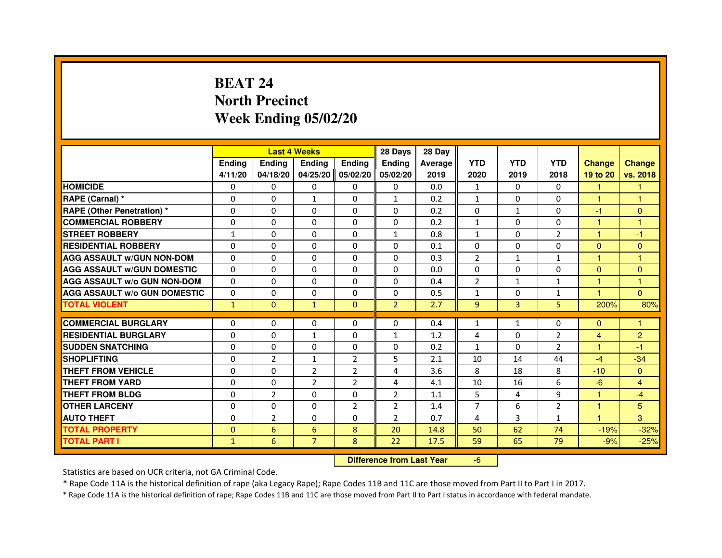## **BEAT 24 North PrecinctWeek Ending 05/02/20**

|                                     |               |                                  | <b>Last 4 Weeks</b> |                | 28 Days        | 28 Day  |                |                |                |                      |                |
|-------------------------------------|---------------|----------------------------------|---------------------|----------------|----------------|---------|----------------|----------------|----------------|----------------------|----------------|
|                                     | <b>Ending</b> | Ending                           | <b>Ending</b>       | <b>Ending</b>  | Ending         | Average | <b>YTD</b>     | <b>YTD</b>     | <b>YTD</b>     | <b>Change</b>        | <b>Change</b>  |
|                                     | 4/11/20       | 04/18/20                         | 04/25/20            | 05/02/20       | 05/02/20       | 2019    | 2020           | 2019           | 2018           | 19 to 20             | vs. 2018       |
| <b>HOMICIDE</b>                     | $\Omega$      | $\Omega$                         | $\Omega$            | $\Omega$       | $\Omega$       | 0.0     | $\mathbf{1}$   | $\Omega$       | $\Omega$       | 1.                   | $\mathbf{1}$   |
| RAPE (Carnal) *                     | 0             | $\Omega$                         | $\mathbf{1}$        | $\Omega$       | $\mathbf{1}$   | 0.2     | $\mathbf{1}$   | $\Omega$       | $\Omega$       | $\mathbf{1}$         | 1              |
| <b>RAPE (Other Penetration) *</b>   | $\Omega$      | $\Omega$                         | $\Omega$            | $\Omega$       | $\Omega$       | 0.2     | $\Omega$       | $\mathbf{1}$   | $\Omega$       | -1                   | $\mathbf{0}$   |
| <b>COMMERCIAL ROBBERY</b>           | 0             | $\Omega$                         | $\Omega$            | $\Omega$       | 0              | 0.2     | $\mathbf{1}$   | $\Omega$       | $\Omega$       | $\mathbf{1}$         | $\mathbf{1}$   |
| <b>STREET ROBBERY</b>               | $\mathbf{1}$  | $\Omega$                         | $\Omega$            | $\Omega$       | $\mathbf{1}$   | 0.8     | $\mathbf{1}$   | $\Omega$       | $\overline{2}$ | $\mathbf{1}$         | $-1$           |
| <b>RESIDENTIAL ROBBERY</b>          | $\Omega$      | $\Omega$                         | $\Omega$            | $\Omega$       | $\Omega$       | 0.1     | $\Omega$       | $\Omega$       | $\Omega$       | $\Omega$             | $\mathbf{0}$   |
| <b>AGG ASSAULT w/GUN NON-DOM</b>    | $\Omega$      | $\Omega$                         | $\Omega$            | $\Omega$       | $\Omega$       | 0.3     | $\overline{2}$ | $\mathbf{1}$   | $\mathbf{1}$   | 1                    | $\mathbf{1}$   |
| <b>AGG ASSAULT w/GUN DOMESTIC</b>   | $\Omega$      | $\Omega$                         | $\Omega$            | $\Omega$       | $\Omega$       | 0.0     | $\Omega$       | $\Omega$       | $\Omega$       | $\Omega$             | $\mathbf{0}$   |
| <b>AGG ASSAULT W/o GUN NON-DOM</b>  | $\Omega$      | $\Omega$                         | $\Omega$            | 0              | $\Omega$       | 0.4     | 2              | $\mathbf{1}$   | $\mathbf{1}$   | $\mathbf{1}$         | 1              |
| <b>AGG ASSAULT w/o GUN DOMESTIC</b> | $\Omega$      | 0                                | $\Omega$            | $\Omega$       | $\Omega$       | 0.5     | $\mathbf{1}$   | $\Omega$       | 1              | $\blacktriangleleft$ | $\Omega$       |
| <b>TOTAL VIOLENT</b>                | $\mathbf{1}$  | $\mathbf{0}$                     | $\mathbf{1}$        | $\mathbf{0}$   | $\overline{2}$ | 2.7     | 9              | 3              | 5              | 200%                 | 80%            |
| <b>COMMERCIAL BURGLARY</b>          | $\Omega$      | 0                                | 0                   | 0              | $\Omega$       | 0.4     | $\mathbf{1}$   | $\mathbf{1}$   | 0              | $\Omega$             | 1              |
| <b>RESIDENTIAL BURGLARY</b>         | $\Omega$      | $\Omega$                         | $\mathbf{1}$        | $\Omega$       | $\mathbf{1}$   | 1.2     | 4              | $\Omega$       | $\overline{2}$ | 4                    | $\overline{2}$ |
| <b>SUDDEN SNATCHING</b>             | $\Omega$      | $\Omega$                         | $\Omega$            | $\Omega$       | $\Omega$       | 0.2     | $\mathbf{1}$   | $\Omega$       | $\overline{2}$ | 1                    | $-1$           |
| <b>SHOPLIFTING</b>                  | 0             | $\overline{2}$                   | 1                   | $\overline{2}$ | 5              | 2.1     | 10             | 14             | 44             | $-4$                 | $-34$          |
| <b>THEFT FROM VEHICLE</b>           | $\Omega$      | $\Omega$                         | $\overline{2}$      | $\overline{2}$ | 4              | 3.6     | 8              | 18             | 8              | $-10$                | $\overline{0}$ |
| <b>THEFT FROM YARD</b>              | 0             | 0                                | $\overline{2}$      | $\overline{2}$ | 4              | 4.1     | 10             | 16             | 6              | $-6$                 | $\overline{4}$ |
| <b>THEFT FROM BLDG</b>              | $\Omega$      | $\overline{2}$                   | $\Omega$            | $\Omega$       | $\overline{2}$ | 1.1     | 5              | 4              | 9              | $\mathbf{1}$         | $-4$           |
| <b>OTHER LARCENY</b>                | $\Omega$      | $\Omega$                         | $\Omega$            | $\overline{2}$ | $\overline{2}$ | 1.4     | $\overline{7}$ | 6              | $\overline{2}$ | $\mathbf{1}$         | 5 <sup>5</sup> |
| <b>AUTO THEFT</b>                   | $\Omega$      | $\overline{2}$                   | $\Omega$            | $\Omega$       | $\overline{2}$ | 0.7     | 4              | $\overline{3}$ | $\mathbf{1}$   | $\mathbf{1}$         | 3              |
| <b>TOTAL PROPERTY</b>               | $\Omega$      | 6                                | 6                   | 8              | 20             | 14.8    | 50             | 62             | 74             | $-19%$               | $-32%$         |
| <b>TOTAL PART I</b>                 | $\mathbf{1}$  | 6                                | $\overline{7}$      | 8              | 22             | 17.5    | 59             | 65             | 79             | $-9%$                | $-25%$         |
|                                     |               | <b>Difference from Last Year</b> |                     | $-6$           |                |         |                |                |                |                      |                |

 **Difference from Last Year**

Statistics are based on UCR criteria, not GA Criminal Code.

\* Rape Code 11A is the historical definition of rape (aka Legacy Rape); Rape Codes 11B and 11C are those moved from Part II to Part I in 2017.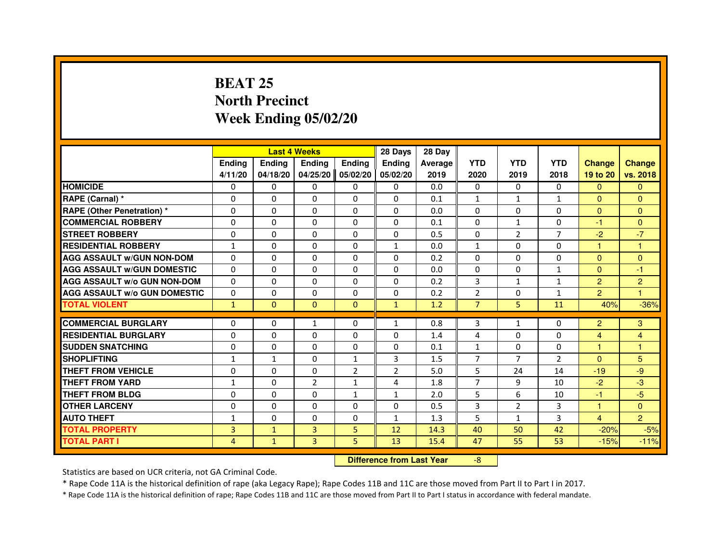## **BEAT 25 North PrecinctWeek Ending 05/02/20**

|                                     |                |                                  | <b>Last 4 Weeks</b> |                | 28 Days        | 28 Day  |                |                |                |                |                |
|-------------------------------------|----------------|----------------------------------|---------------------|----------------|----------------|---------|----------------|----------------|----------------|----------------|----------------|
|                                     | <b>Ending</b>  | Ending                           | <b>Ending</b>       | <b>Ending</b>  | <b>Endina</b>  | Average | <b>YTD</b>     | <b>YTD</b>     | <b>YTD</b>     | <b>Change</b>  | <b>Change</b>  |
|                                     | 4/11/20        | 04/18/20                         | 04/25/20            | 05/02/20       | 05/02/20       | 2019    | 2020           | 2019           | 2018           | 19 to 20       | vs. 2018       |
| <b>HOMICIDE</b>                     | 0              | $\Omega$                         | $\mathbf{0}$        | $\mathbf{0}$   | $\mathbf{0}$   | 0.0     | $\Omega$       | $\Omega$       | $\Omega$       | $\Omega$       | $\Omega$       |
| RAPE (Carnal) *                     | 0              | $\Omega$                         | 0                   | $\Omega$       | $\Omega$       | 0.1     | 1              | $\mathbf{1}$   | $\mathbf{1}$   | $\mathbf{0}$   | $\Omega$       |
| <b>RAPE (Other Penetration) *</b>   | $\Omega$       | $\Omega$                         | $\Omega$            | $\Omega$       | $\Omega$       | 0.0     | $\Omega$       | $\Omega$       | $\Omega$       | $\Omega$       | $\Omega$       |
| <b>COMMERCIAL ROBBERY</b>           | 0              | $\Omega$                         | $\Omega$            | $\Omega$       | $\Omega$       | 0.1     | $\Omega$       | $\mathbf{1}$   | $\Omega$       | $-1$           | $\overline{0}$ |
| <b>STREET ROBBERY</b>               | $\Omega$       | $\Omega$                         | 0                   | $\Omega$       | $\Omega$       | 0.5     | $\Omega$       | $\overline{2}$ | $\overline{7}$ | $-2$           | $-7$           |
| <b>RESIDENTIAL ROBBERY</b>          | 1              | $\Omega$                         | 0                   | $\Omega$       | $\mathbf{1}$   | 0.0     | $\mathbf{1}$   | $\Omega$       | $\Omega$       | $\mathbf{1}$   | 1              |
| <b>AGG ASSAULT W/GUN NON-DOM</b>    | $\Omega$       | $\Omega$                         | 0                   | $\Omega$       | $\Omega$       | 0.2     | $\Omega$       | $\Omega$       | $\Omega$       | $\Omega$       | $\Omega$       |
| <b>AGG ASSAULT W/GUN DOMESTIC</b>   | $\Omega$       | $\Omega$                         | $\Omega$            | $\Omega$       | $\Omega$       | 0.0     | $\Omega$       | $\Omega$       | $\mathbf{1}$   | $\Omega$       | $-1$           |
| <b>AGG ASSAULT W/o GUN NON-DOM</b>  | 0              | 0                                | 0                   | $\mathbf{0}$   | $\mathbf{0}$   | 0.2     | 3              | $\mathbf{1}$   | $\mathbf{1}$   | 2              | $\overline{c}$ |
| <b>AGG ASSAULT w/o GUN DOMESTIC</b> | $\Omega$       | 0                                | 0                   | $\Omega$       | 0              | 0.2     | $\overline{2}$ | $\Omega$       | $\mathbf{1}$   | $\overline{2}$ | 1              |
| <b>TOTAL VIOLENT</b>                | $\mathbf{1}$   | $\mathbf{0}$                     | $\mathbf 0$         | $\mathbf{0}$   | $\mathbf{1}$   | 1.2     | $\overline{7}$ | 5              | 11             | 40%            | $-36%$         |
| <b>COMMERCIAL BURGLARY</b>          | $\Omega$       | 0                                | $\mathbf{1}$        | $\Omega$       | $\mathbf{1}$   | 0.8     | 3              | $\mathbf{1}$   | $\Omega$       | $\overline{2}$ | 3              |
| <b>RESIDENTIAL BURGLARY</b>         | $\Omega$       | $\Omega$                         | $\Omega$            | $\Omega$       | $\Omega$       | 1.4     | 4              | $\Omega$       | $\Omega$       | $\overline{4}$ | $\overline{4}$ |
| <b>SUDDEN SNATCHING</b>             | $\Omega$       | $\Omega$                         | $\Omega$            | $\Omega$       | $\Omega$       | 0.1     | $\mathbf{1}$   | $\Omega$       | $\Omega$       | $\mathbf{1}$   | $\mathbf{1}$   |
| <b>SHOPLIFTING</b>                  | 1              | $\mathbf{1}$                     | 0                   | 1              | 3              | 1.5     | $\overline{7}$ | $\overline{7}$ | $\overline{2}$ | $\mathbf{0}$   | 5              |
| <b>THEFT FROM VEHICLE</b>           | $\Omega$       | $\Omega$                         | 0                   | $\overline{2}$ | $\overline{2}$ | 5.0     | 5              | 24             | 14             | $-19$          | -9             |
| <b>THEFT FROM YARD</b>              | $\mathbf{1}$   | 0                                | $\overline{2}$      | $\mathbf{1}$   | 4              | 1.8     | $\overline{7}$ | 9              | 10             | $-2$           | $-3$           |
| <b>THEFT FROM BLDG</b>              | $\Omega$       | $\Omega$                         | $\Omega$            | $\mathbf{1}$   | $\mathbf{1}$   | 2.0     | 5              | 6              | 10             | $-1$           | $-5$           |
| <b>OTHER LARCENY</b>                | 0              | $\Omega$                         | 0                   | $\Omega$       | $\Omega$       | 0.5     | 3              | $\overline{2}$ | 3              | $\mathbf{1}$   | $\Omega$       |
| <b>AUTO THEFT</b>                   | $\mathbf{1}$   | $\Omega$                         | $\Omega$            | $\Omega$       | $\mathbf{1}$   | 1.3     | 5              | $\mathbf{1}$   | 3              | $\overline{4}$ | $\overline{2}$ |
| <b>TOTAL PROPERTY</b>               | $\overline{3}$ | $\mathbf{1}$                     | 3                   | 5              | 12             | 14.3    | 40             | 50             | 42             | $-20%$         | $-5%$          |
| <b>TOTAL PART I</b>                 | $\overline{4}$ | $\mathbf{1}$                     | 3                   | 5              | 13             | 15.4    | 47             | 55             | 53             | $-15%$         | $-11%$         |
|                                     |                | <b>Difference from Last Year</b> |                     | $-8$           |                |         |                |                |                |                |                |

 **Difference from Last Year**

Statistics are based on UCR criteria, not GA Criminal Code.

\* Rape Code 11A is the historical definition of rape (aka Legacy Rape); Rape Codes 11B and 11C are those moved from Part II to Part I in 2017.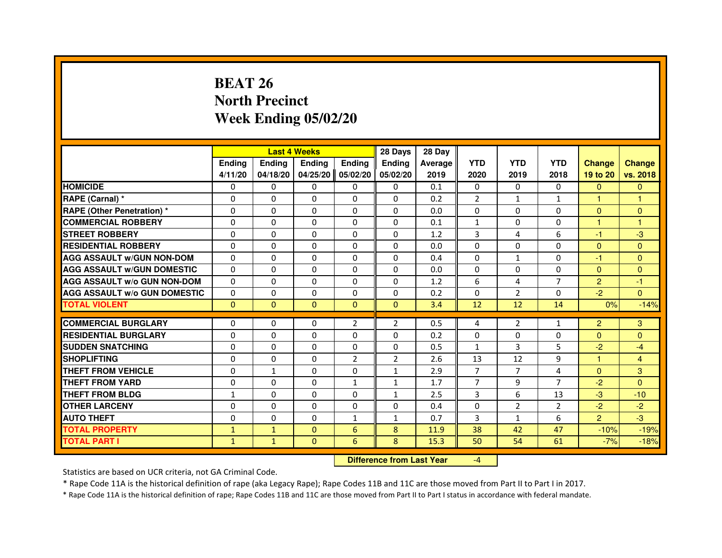## **BEAT 26 North PrecinctWeek Ending 05/02/20**

|                                     |               |               | <b>Last 4 Weeks</b> |                | 28 Days        | 28 Day  |                |                |                |                |                |
|-------------------------------------|---------------|---------------|---------------------|----------------|----------------|---------|----------------|----------------|----------------|----------------|----------------|
|                                     | <b>Ending</b> | <b>Endina</b> | <b>Ending</b>       | <b>Ending</b>  | <b>Endina</b>  | Average | <b>YTD</b>     | <b>YTD</b>     | <b>YTD</b>     | <b>Change</b>  | <b>Change</b>  |
|                                     | 4/11/20       | 04/18/20      | 04/25/20            | 05/02/20       | 05/02/20       | 2019    | 2020           | 2019           | 2018           | 19 to 20       | vs. 2018       |
| <b>HOMICIDE</b>                     | 0             | $\Omega$      | $\Omega$            | 0              | 0              | 0.1     | $\Omega$       | 0              | 0              | $\mathbf{0}$   | $\mathbf{0}$   |
| RAPE (Carnal) *                     | $\Omega$      | $\Omega$      | $\Omega$            | $\Omega$       | $\Omega$       | 0.2     | $\overline{2}$ | $\mathbf{1}$   | $\mathbf{1}$   | $\mathbf{1}$   | $\mathbf{1}$   |
| <b>RAPE (Other Penetration)*</b>    | 0             | 0             | 0                   | 0              | 0              | 0.0     | $\Omega$       | 0              | 0              | $\Omega$       | $\Omega$       |
| <b>COMMERCIAL ROBBERY</b>           | $\Omega$      | $\Omega$      | $\Omega$            | $\Omega$       | $\Omega$       | 0.1     | $\mathbf{1}$   | 0              | $\Omega$       | 1              | 1              |
| <b>STREET ROBBERY</b>               | $\Omega$      | $\Omega$      | $\Omega$            | $\Omega$       | $\Omega$       | 1.2     | 3              | 4              | 6              | $-1$           | -3             |
| <b>RESIDENTIAL ROBBERY</b>          | $\Omega$      | $\Omega$      | $\Omega$            | $\Omega$       | $\Omega$       | 0.0     | $\Omega$       | $\Omega$       | $\Omega$       | $\Omega$       | $\Omega$       |
| <b>AGG ASSAULT W/GUN NON-DOM</b>    | $\Omega$      | $\Omega$      | $\Omega$            | $\Omega$       | $\Omega$       | 0.4     | $\Omega$       | $\mathbf{1}$   | $\Omega$       | $-1$           | $\Omega$       |
| <b>AGG ASSAULT W/GUN DOMESTIC</b>   | $\Omega$      | $\Omega$      | $\Omega$            | 0              | $\Omega$       | 0.0     | $\Omega$       | $\Omega$       | $\Omega$       | $\Omega$       | $\Omega$       |
| <b>AGG ASSAULT W/o GUN NON-DOM</b>  | $\Omega$      | $\Omega$      | $\Omega$            | $\Omega$       | $\Omega$       | 1.2     | 6              | 4              | $\overline{7}$ | $\overline{2}$ | $-1$           |
| <b>AGG ASSAULT W/o GUN DOMESTIC</b> | $\Omega$      | 0             | $\Omega$            | $\Omega$       | $\Omega$       | 0.2     | $\Omega$       | $\overline{2}$ | 0              | $-2$           | $\Omega$       |
| <b>TOTAL VIOLENT</b>                | $\mathbf{0}$  | $\mathbf{0}$  | $\mathbf{0}$        | $\Omega$       | $\mathbf{0}$   | 3.4     | 12             | 12             | 14             | 0%             | $-14%$         |
|                                     |               |               |                     |                |                |         |                |                |                |                |                |
| <b>COMMERCIAL BURGLARY</b>          | 0             | 0             | 0                   | $\overline{2}$ | 2              | 0.5     | 4              | 2              | 1              | $\overline{2}$ | 3              |
| <b>RESIDENTIAL BURGLARY</b>         | $\Omega$      | $\Omega$      | $\Omega$            | $\Omega$       | $\Omega$       | 0.2     | $\Omega$       | $\Omega$       | $\Omega$       | $\Omega$       | $\Omega$       |
| <b>SUDDEN SNATCHING</b>             | 0             | 0             | 0                   | 0              | 0              | 0.5     | $\mathbf{1}$   | 3              | 5              | $-2$           | $-4$           |
| <b>SHOPLIFTING</b>                  | $\Omega$      | $\Omega$      | $\Omega$            | $\overline{2}$ | $\overline{2}$ | 2.6     | 13             | 12             | 9              | $\mathbf{1}$   | $\overline{4}$ |
| THEFT FROM VEHICLE                  | $\Omega$      | $\mathbf{1}$  | $\Omega$            | $\Omega$       | $\mathbf{1}$   | 2.9     | $\overline{7}$ | $\overline{7}$ | 4              | $\Omega$       | 3              |
| THEFT FROM YARD                     | $\Omega$      | $\Omega$      | $\Omega$            | $\mathbf{1}$   | $\mathbf{1}$   | 1.7     | $\overline{7}$ | 9              | $\overline{7}$ | $-2$           | $\Omega$       |
| THEFT FROM BLDG                     | $\mathbf{1}$  | $\Omega$      | $\Omega$            | $\Omega$       | $\mathbf{1}$   | 2.5     | 3              | 6              | 13             | $-3$           | $-10$          |
| <b>OTHER LARCENY</b>                | $\Omega$      | $\Omega$      | $\Omega$            | $\Omega$       | $\Omega$       | 0.4     | $\Omega$       | $\overline{2}$ | $\overline{2}$ | $-2$           | $-2$           |
| <b>AUTO THEFT</b>                   | $\Omega$      | $\Omega$      | $\Omega$            | 1              | $\mathbf{1}$   | 0.7     | 3              | $\mathbf{1}$   | 6              | 2              | $-3$           |
| <b>TOTAL PROPERTY</b>               | $\mathbf{1}$  | $\mathbf{1}$  | $\Omega$            | 6              | 8              | 11.9    | 38             | 42             | 47             | $-10%$         | $-19%$         |
| <b>TOTAL PART I</b>                 | $\mathbf{1}$  | $\mathbf{1}$  | $\Omega$            | 6              | 8              | 15.3    | 50             | 54             | 61             | $-7%$          | $-18%$         |

 **Difference from Last Year**

-4

Statistics are based on UCR criteria, not GA Criminal Code.

\* Rape Code 11A is the historical definition of rape (aka Legacy Rape); Rape Codes 11B and 11C are those moved from Part II to Part I in 2017.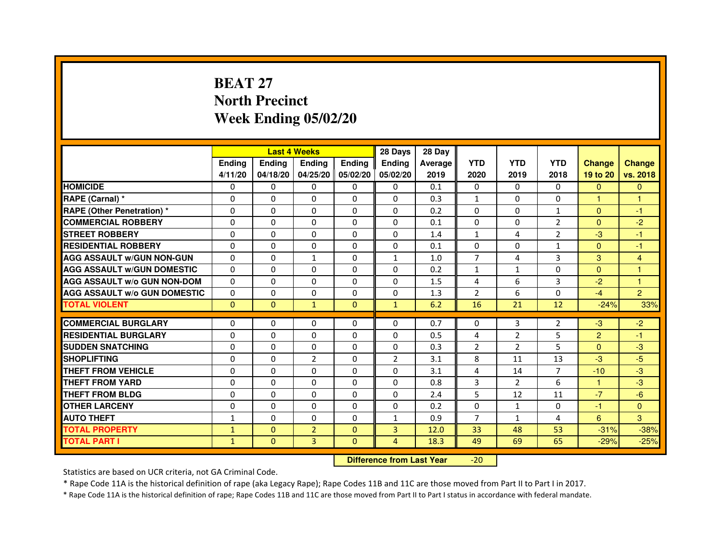## **BEAT 27 North PrecinctWeek Ending 05/02/20**

|                                     |               | <b>Last 4 Weeks</b> |                |                   | 28 Days        | 28 Day  |                |                |                |                |                |
|-------------------------------------|---------------|---------------------|----------------|-------------------|----------------|---------|----------------|----------------|----------------|----------------|----------------|
|                                     | <b>Endina</b> | Ending              | <b>Endina</b>  | <b>Endina</b>     | <b>Endina</b>  | Average | <b>YTD</b>     | <b>YTD</b>     | <b>YTD</b>     | <b>Change</b>  | <b>Change</b>  |
|                                     | 4/11/20       | 04/18/20            |                | 04/25/20 05/02/20 | 05/02/20       | 2019    | 2020           | 2019           | 2018           | 19 to 20       | vs. 2018       |
| <b>HOMICIDE</b>                     | 0             | 0                   | 0              | 0                 | 0              | 0.1     | $\mathbf{0}$   | 0              | $\Omega$       | $\mathbf{0}$   | $\mathbf{0}$   |
| RAPE (Carnal) *                     | $\Omega$      | $\Omega$            | $\Omega$       | $\Omega$          | $\Omega$       | 0.3     | $\mathbf{1}$   | $\Omega$       | $\Omega$       | $\mathbf{1}$   | $\mathbf{1}$   |
| <b>RAPE (Other Penetration) *</b>   | 0             | $\Omega$            | $\Omega$       | $\Omega$          | $\Omega$       | 0.2     | $\Omega$       | $\Omega$       | $\mathbf{1}$   | $\Omega$       | $-1$           |
| <b>COMMERCIAL ROBBERY</b>           | 0             | 0                   | $\Omega$       | $\Omega$          | $\Omega$       | 0.1     | $\Omega$       | $\Omega$       | $\overline{2}$ | $\Omega$       | $-2$           |
| <b>STREET ROBBERY</b>               | 0             | $\Omega$            | 0              | $\Omega$          | 0              | 1.4     | $\mathbf{1}$   | 4              | $\overline{2}$ | $-3$           | $-1$           |
| <b>RESIDENTIAL ROBBERY</b>          | 0             | $\Omega$            | 0              | $\Omega$          | 0              | 0.1     | 0              | 0              | $\mathbf{1}$   | $\Omega$       | $-1$           |
| <b>AGG ASSAULT W/GUN NON-GUN</b>    | $\Omega$      | $\mathbf 0$         | $\mathbf{1}$   | $\Omega$          | $\mathbf{1}$   | 1.0     | $\overline{7}$ | 4              | 3              | 3              | $\overline{4}$ |
| <b>AGG ASSAULT W/GUN DOMESTIC</b>   | $\Omega$      | $\Omega$            | 0              | 0                 | $\Omega$       | 0.2     | $\mathbf{1}$   | $\mathbf{1}$   | $\Omega$       | $\Omega$       | 1              |
| <b>AGG ASSAULT W/o GUN NON-DOM</b>  | $\Omega$      | 0                   | $\Omega$       | 0                 | $\Omega$       | 1.5     | $\overline{4}$ | 6              | 3              | $-2$           | 1              |
| <b>AGG ASSAULT W/o GUN DOMESTIC</b> | $\Omega$      | 0                   | 0              | $\Omega$          | $\Omega$       | 1.3     | $\overline{2}$ | 6              | $\Omega$       | $-4$           | $\overline{2}$ |
| <b>TOTAL VIOLENT</b>                | $\Omega$      | $\mathbf{0}$        | $\mathbf{1}$   | $\mathbf{0}$      | $\mathbf{1}$   | 6.2     | 16             | 21             | 12             | $-24%$         | 33%            |
|                                     |               |                     |                |                   |                |         |                |                |                |                |                |
| <b>COMMERCIAL BURGLARY</b>          | 0             | 0                   | $\Omega$       | 0                 | $\Omega$       | 0.7     | $\Omega$       | 3              | $\overline{2}$ | $-3$           | $-2$           |
| <b>RESIDENTIAL BURGLARY</b>         | 0             | 0                   | 0              | $\Omega$          | $\Omega$       | 0.5     | 4              | $\overline{2}$ | 5              | $\overline{2}$ | $-1$           |
| <b>SUDDEN SNATCHING</b>             | 0             | 0                   | $\Omega$       | $\Omega$          | $\Omega$       | 0.3     | $\overline{2}$ | $\overline{2}$ | 5              | $\Omega$       | -3             |
| <b>SHOPLIFTING</b>                  | $\mathbf 0$   | 0                   | $\overline{2}$ | $\Omega$          | $\overline{2}$ | 3.1     | 8              | 11             | 13             | $-3$           | $-5$           |
| <b>THEFT FROM VEHICLE</b>           | 0             | $\Omega$            | $\Omega$       | $\Omega$          | $\Omega$       | 3.1     | 4              | 14             | $\overline{7}$ | $-10$          | $-3$           |
| <b>THEFT FROM YARD</b>              | 0             | 0                   | $\Omega$       | $\Omega$          | $\Omega$       | 0.8     | 3              | 2              | 6              | $\mathbf{1}$   | $-3$           |
| <b>THEFT FROM BLDG</b>              | 0             | 0                   | 0              | 0                 | 0              | 2.4     | 5              | 12             | 11             | $-7$           | $-6$           |
| <b>OTHER LARCENY</b>                | 0             | 0                   | 0              | 0                 | $\Omega$       | 0.2     | $\Omega$       | $\mathbf{1}$   | $\Omega$       | $-1$           | $\Omega$       |
| <b>AUTO THEFT</b>                   | $\mathbf{1}$  | 0                   | $\mathbf 0$    | $\Omega$          | $\mathbf{1}$   | 0.9     | $\overline{7}$ | $\mathbf{1}$   | 4              | 6              | 3              |
| <b>TOTAL PROPERTY</b>               | $\mathbf{1}$  | $\mathbf{0}$        | $\overline{2}$ | $\mathbf{0}$      | 3              | 12.0    | 33             | 48             | 53             | $-31%$         | $-38%$         |
| <b>TOTAL PART I</b>                 | $\mathbf{1}$  | $\mathbf{0}$        | 3              | $\Omega$          | 4              | 18.3    | 49             | 69             | 65             | $-29%$         | $-25%$         |

 **Difference from Last Year**-20

Statistics are based on UCR criteria, not GA Criminal Code.

\* Rape Code 11A is the historical definition of rape (aka Legacy Rape); Rape Codes 11B and 11C are those moved from Part II to Part I in 2017.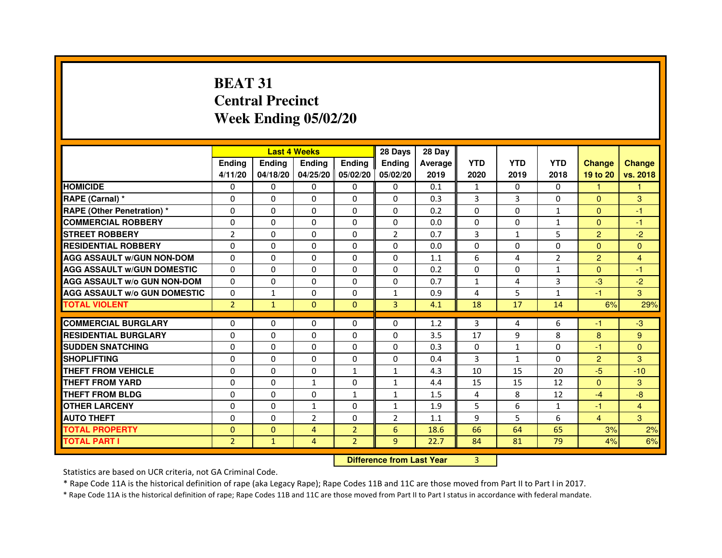## **BEAT 31 Central PrecinctWeek Ending 05/02/20**

|                                     |                | <b>Last 4 Weeks</b> |                |                   | 28 Days        | 28 Day  |              |              |                |                |                |
|-------------------------------------|----------------|---------------------|----------------|-------------------|----------------|---------|--------------|--------------|----------------|----------------|----------------|
|                                     | <b>Ending</b>  | <b>Endina</b>       | <b>Ending</b>  | <b>Ending</b>     | <b>Ending</b>  | Average | <b>YTD</b>   | <b>YTD</b>   | <b>YTD</b>     | <b>Change</b>  | <b>Change</b>  |
|                                     | 4/11/20        | 04/18/20            |                | 04/25/20 05/02/20 | 05/02/20       | 2019    | 2020         | 2019         | 2018           | 19 to 20       | vs. 2018       |
| <b>HOMICIDE</b>                     | 0              | $\mathbf{0}$        | $\mathbf{0}$   | $\Omega$          | 0              | 0.1     | $\mathbf{1}$ | $\mathbf{0}$ | $\mathbf{0}$   | 1              | 1              |
| RAPE (Carnal) *                     | 0              | $\Omega$            | $\Omega$       | $\Omega$          | $\Omega$       | 0.3     | 3            | 3            | $\Omega$       | $\Omega$       | 3              |
| <b>RAPE (Other Penetration)*</b>    | 0              | $\mathbf{0}$        | $\Omega$       | $\mathbf{0}$      | $\mathbf{0}$   | 0.2     | $\Omega$     | 0            | $\mathbf{1}$   | $\Omega$       | $-1$           |
| <b>COMMERCIAL ROBBERY</b>           | 0              | 0                   | 0              | $\Omega$          | $\Omega$       | 0.0     | $\Omega$     | 0            | 1              | $\Omega$       | $-1$           |
| <b>STREET ROBBERY</b>               | $\overline{2}$ | 0                   | 0              | 0                 | $\overline{2}$ | 0.7     | 3            | $\mathbf{1}$ | 5              | $\overline{2}$ | $-2$           |
| <b>RESIDENTIAL ROBBERY</b>          | 0              | $\Omega$            | $\Omega$       | $\Omega$          | $\Omega$       | 0.0     | $\Omega$     | $\Omega$     | $\Omega$       | $\Omega$       | $\Omega$       |
| <b>AGG ASSAULT W/GUN NON-DOM</b>    | $\Omega$       | $\Omega$            | $\Omega$       | $\Omega$          | $\Omega$       | 1.1     | 6            | 4            | $\overline{2}$ | $\overline{2}$ | $\overline{4}$ |
| <b>AGG ASSAULT W/GUN DOMESTIC</b>   | $\Omega$       | 0                   | 0              | 0                 | 0              | 0.2     | 0            | 0            | $\mathbf{1}$   | $\Omega$       | $-1$           |
| <b>AGG ASSAULT W/o GUN NON-DOM</b>  | 0              | 0                   | 0              | $\Omega$          | $\Omega$       | 0.7     | 1            | 4            | 3              | $-3$           | $-2$           |
| <b>AGG ASSAULT W/o GUN DOMESTIC</b> | 0              | 1                   | 0              | 0                 | $\mathbf{1}$   | 0.9     | 4            | 5            | $\mathbf{1}$   | $-1$           | 3              |
| <b>TOTAL VIOLENT</b>                | $\overline{2}$ | $\mathbf{1}$        | $\mathbf{0}$   | $\mathbf{0}$      | 3              | 4.1     | 18           | 17           | 14             | 6%             | 29%            |
|                                     |                |                     |                |                   |                |         |              |              |                |                |                |
| <b>COMMERCIAL BURGLARY</b>          | 0              | 0                   | 0              | 0                 | 0              | 1.2     | 3            | 4            | 6              | $-1$           | $-3$           |
| <b>RESIDENTIAL BURGLARY</b>         | 0              | 0                   | 0              | 0                 | 0              | 3.5     | 17           | 9            | 8              | 8              | 9              |
| <b>SUDDEN SNATCHING</b>             | 0              | $\Omega$            | 0              | $\Omega$          | 0              | 0.3     | $\Omega$     | $\mathbf{1}$ | 0              | $-1$           | $\Omega$       |
| <b>SHOPLIFTING</b>                  | $\Omega$       | $\Omega$            | $\Omega$       | $\Omega$          | $\Omega$       | 0.4     | 3            | $\mathbf{1}$ | $\Omega$       | $\overline{2}$ | 3              |
| THEFT FROM VEHICLE                  | 0              | 0                   | 0              | $\mathbf{1}$      | 1              | 4.3     | 10           | 15           | 20             | $-5$           | $-10$          |
| THEFT FROM YARD                     | 0              | 0                   | 1              | $\Omega$          | $\mathbf{1}$   | 4.4     | 15           | 15           | 12             | $\Omega$       | 3              |
| <b>THEFT FROM BLDG</b>              | 0              | $\Omega$            | 0              | $\mathbf{1}$      | $\mathbf{1}$   | 1.5     | 4            | 8            | 12             | $-4$           | -8             |
| <b>OTHER LARCENY</b>                | 0              | $\Omega$            | $\mathbf{1}$   | $\Omega$          | $\mathbf{1}$   | 1.9     | 5            | 6            | $\mathbf{1}$   | $-1$           | $\overline{4}$ |
| <b>AUTO THEFT</b>                   | $\Omega$       | $\Omega$            | $\overline{2}$ | $\mathbf{0}$      | $\overline{2}$ | 1.1     | 9            | 5            | 6              | $\overline{4}$ | 3              |
| <b>TOTAL PROPERTY</b>               | $\Omega$       | $\mathbf{0}$        | 4              | $\overline{2}$    | 6              | 18.6    | 66           | 64           | 65             | 3%             | 2%             |
| <b>TOTAL PART I</b>                 | $\overline{2}$ | $\mathbf{1}$        | 4              | $\overline{2}$    | 9              | 22.7    | 84           | 81           | 79             | 4%             | 6%             |

 **Difference from Last Year**

<sup>3</sup>

Statistics are based on UCR criteria, not GA Criminal Code.

\* Rape Code 11A is the historical definition of rape (aka Legacy Rape); Rape Codes 11B and 11C are those moved from Part II to Part I in 2017.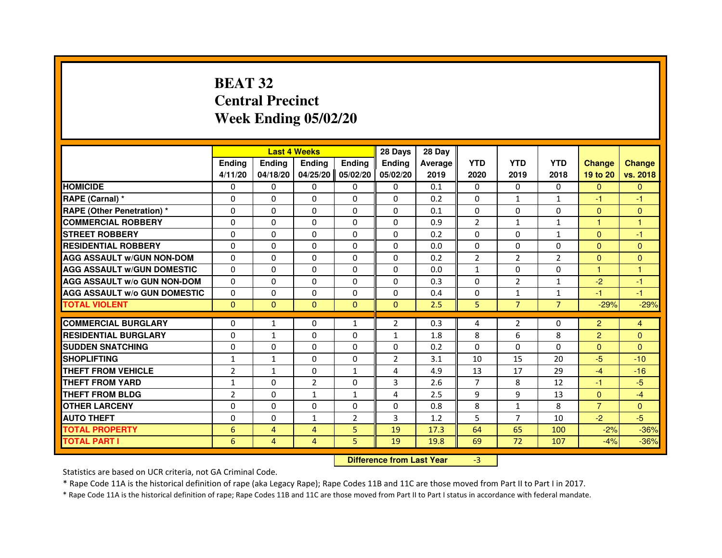## **BEAT 32 Central PrecinctWeek Ending 05/02/20**

|                                     |                | <b>Last 4 Weeks</b>              |                |                | 28 Days        | 28 Day  |                |                |                |                |               |
|-------------------------------------|----------------|----------------------------------|----------------|----------------|----------------|---------|----------------|----------------|----------------|----------------|---------------|
|                                     | <b>Ending</b>  | <b>Ending</b>                    | Ending         | <b>Ending</b>  | <b>Ending</b>  | Average | <b>YTD</b>     | <b>YTD</b>     | <b>YTD</b>     | <b>Change</b>  | <b>Change</b> |
|                                     | 4/11/20        | 04/18/20                         | 04/25/20       | 05/02/20       | 05/02/20       | 2019    | 2020           | 2019           | 2018           | 19 to 20       | vs. 2018      |
| <b>HOMICIDE</b>                     | $\mathbf{0}$   | 0                                | $\mathbf{0}$   | 0              | 0              | 0.1     | $\mathbf{0}$   | 0              | 0              | $\Omega$       | $\mathbf{0}$  |
| RAPE (Carnal) *                     | 0              | 0                                | 0              | 0              | 0              | 0.2     | 0              | 1              | $\mathbf{1}$   | $-1$           | -1            |
| RAPE (Other Penetration) *          | $\Omega$       | $\Omega$                         | $\Omega$       | $\Omega$       | $\Omega$       | 0.1     | $\Omega$       | $\Omega$       | $\Omega$       | $\Omega$       | $\mathbf{0}$  |
| <b>COMMERCIAL ROBBERY</b>           | 0              | $\Omega$                         | $\Omega$       | $\Omega$       | 0              | 0.9     | $\overline{2}$ | $\mathbf{1}$   | $\mathbf{1}$   | $\mathbf{1}$   | $\mathbf{1}$  |
| <b>STREET ROBBERY</b>               | $\Omega$       | $\Omega$                         | $\Omega$       | $\Omega$       | $\Omega$       | 0.2     | $\Omega$       | $\Omega$       | $\mathbf{1}$   | $\mathbf{0}$   | -1            |
| <b>RESIDENTIAL ROBBERY</b>          | 0              | 0                                | 0              | 0              | $\mathbf{0}$   | 0.0     | 0              | 0              | $\mathbf{0}$   | $\overline{0}$ | $\mathbf{0}$  |
| <b>AGG ASSAULT W/GUN NON-DOM</b>    | $\Omega$       | $\Omega$                         | 0              | $\Omega$       | $\mathbf{0}$   | 0.2     | $\overline{2}$ | $\overline{2}$ | $\overline{2}$ | $\mathbf{0}$   | $\Omega$      |
| <b>AGG ASSAULT W/GUN DOMESTIC</b>   | $\Omega$       | $\Omega$                         | 0              | $\Omega$       | $\Omega$       | 0.0     | $\mathbf{1}$   | $\Omega$       | $\Omega$       | $\mathbf{1}$   | $\mathbf{1}$  |
| <b>AGG ASSAULT W/o GUN NON-DOM</b>  | $\Omega$       | $\Omega$                         | $\Omega$       | $\Omega$       | $\Omega$       | 0.3     | $\Omega$       | $\overline{2}$ | $\mathbf{1}$   | $-2$           | -1            |
| <b>AGG ASSAULT W/o GUN DOMESTIC</b> | 0              | $\Omega$                         | 0              | $\Omega$       | $\Omega$       | 0.4     | 0              | 1              | $\mathbf{1}$   | -1             | -1            |
| <b>TOTAL VIOLENT</b>                | $\mathbf{0}$   | $\mathbf{0}$                     | $\mathbf{0}$   | $\mathbf{0}$   | $\mathbf{0}$   | 2.5     | 5              | $\overline{7}$ | $\overline{7}$ | $-29%$         | $-29%$        |
| <b>COMMERCIAL BURGLARY</b>          | 0              | 1                                | 0              | 1              | $\overline{2}$ | 0.3     | 4              | $\overline{2}$ | 0              | $\overline{2}$ | 4             |
| <b>RESIDENTIAL BURGLARY</b>         | $\Omega$       | $\mathbf{1}$                     | 0              | $\Omega$       | $\mathbf{1}$   | 1.8     | 8              | 6              | 8              | $\overline{2}$ | $\mathbf{0}$  |
| <b>SUDDEN SNATCHING</b>             | $\Omega$       | $\Omega$                         | $\Omega$       | $\Omega$       | $\Omega$       | 0.2     | $\Omega$       | $\Omega$       | $\Omega$       | $\Omega$       | $\Omega$      |
| <b>SHOPLIFTING</b>                  | $\mathbf{1}$   | $\mathbf{1}$                     | 0              | $\Omega$       | $\overline{2}$ | 3.1     | 10             | 15             | 20             | $-5$           | $-10$         |
| THEFT FROM VEHICLE                  | $\overline{2}$ | $\mathbf{1}$                     | 0              | $\mathbf{1}$   | 4              | 4.9     | 13             | 17             | 29             | $-4$           | $-16$         |
| <b>THEFT FROM YARD</b>              | 1              | $\Omega$                         | $\overline{2}$ | $\Omega$       | 3              | 2.6     | $\overline{7}$ | 8              | 12             | $-1$           | $-5$          |
| <b>THEFT FROM BLDG</b>              | $\overline{2}$ | $\Omega$                         | $\mathbf{1}$   | $\mathbf{1}$   | 4              | 2.5     | 9              | 9              | 13             | $\Omega$       | $-4$          |
| <b>OTHER LARCENY</b>                | $\Omega$       | $\Omega$                         | $\Omega$       | $\Omega$       | $\Omega$       | 0.8     | 8              | $\mathbf{1}$   | 8              | $\overline{7}$ | $\Omega$      |
| <b>AUTO THEFT</b>                   | $\Omega$       | $\Omega$                         | $\mathbf{1}$   | $\overline{2}$ | 3              | 1.2     | 5              | $\overline{7}$ | 10             | $-2$           | $-5$          |
| <b>TOTAL PROPERTY</b>               | 6              | $\overline{4}$                   | 4              | 5              | 19             | 17.3    | 64             | 65             | 100            | $-2%$          | $-36%$        |
| <b>TOTAL PART I</b>                 | 6              | $\overline{4}$                   | 4              | 5              | 19             | 19.8    | 69             | 72             | 107            | $-4%$          | $-36%$        |
|                                     |                | <b>Difference from Last Year</b> |                | $-3$           |                |         |                |                |                |                |               |

 **Difference from Last Year**

Statistics are based on UCR criteria, not GA Criminal Code.

\* Rape Code 11A is the historical definition of rape (aka Legacy Rape); Rape Codes 11B and 11C are those moved from Part II to Part I in 2017.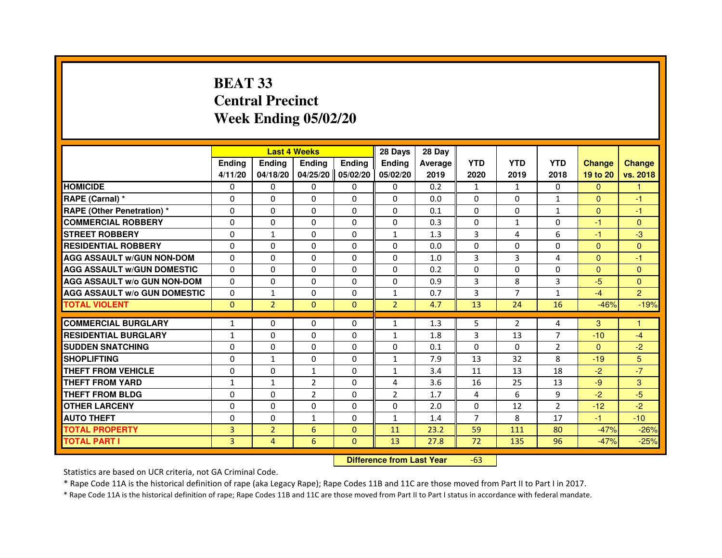## **BEAT 33 Central PrecinctWeek Ending 05/02/20**

|                                     |               |                | <b>Last 4 Weeks</b> |                   | 28 Days        | 28 Day  |                |                |                |               |                      |
|-------------------------------------|---------------|----------------|---------------------|-------------------|----------------|---------|----------------|----------------|----------------|---------------|----------------------|
|                                     | <b>Ending</b> | <b>Endina</b>  | <b>Endina</b>       | <b>Ending</b>     | <b>Ending</b>  | Average | <b>YTD</b>     | <b>YTD</b>     | <b>YTD</b>     | <b>Change</b> | <b>Change</b>        |
|                                     | 4/11/20       | 04/18/20       |                     | 04/25/20 05/02/20 | 05/02/20       | 2019    | 2020           | 2019           | 2018           | 19 to 20      | vs. 2018             |
| <b>HOMICIDE</b>                     | 0             | 0              | 0                   | 0                 | 0              | 0.2     | $\mathbf{1}$   | $\mathbf{1}$   | 0              | $\mathbf{0}$  |                      |
| RAPE (Carnal) *                     | $\Omega$      | $\Omega$       | $\Omega$            | $\Omega$          | $\Omega$       | 0.0     | $\Omega$       | $\Omega$       | $\mathbf{1}$   | $\Omega$      | $-1$                 |
| <b>RAPE (Other Penetration) *</b>   | $\Omega$      | $\Omega$       | $\Omega$            | $\Omega$          | $\Omega$       | 0.1     | $\Omega$       | $\Omega$       | $\mathbf{1}$   | $\Omega$      | $-1$                 |
| <b>COMMERCIAL ROBBERY</b>           | 0             | 0              | $\Omega$            | 0                 | $\Omega$       | 0.3     | 0              | $\mathbf{1}$   | 0              | $-1$          | $\mathbf{0}$         |
| <b>STREET ROBBERY</b>               | 0             | 1              | 0                   | $\mathbf{0}$      | $\mathbf{1}$   | 1.3     | 3              | 4              | 6              | $-1$          | $-3$                 |
| <b>RESIDENTIAL ROBBERY</b>          | 0             | 0              | $\Omega$            | $\Omega$          | $\Omega$       | 0.0     | $\Omega$       | $\Omega$       | $\Omega$       | $\Omega$      | $\Omega$             |
| <b>AGG ASSAULT W/GUN NON-DOM</b>    | $\Omega$      | $\mathbf 0$    | $\Omega$            | $\mathbf{0}$      | $\Omega$       | 1.0     | $\overline{3}$ | $\overline{3}$ | 4              | $\Omega$      | $-1$                 |
| <b>AGG ASSAULT W/GUN DOMESTIC</b>   | $\Omega$      | 0              | $\Omega$            | $\mathbf{0}$      | 0              | 0.2     | $\Omega$       | 0              | $\Omega$       | $\Omega$      | $\Omega$             |
| <b>AGG ASSAULT W/o GUN NON-DOM</b>  | $\Omega$      | $\Omega$       | $\Omega$            | $\Omega$          | $\Omega$       | 0.9     | 3              | 8              | 3              | -5            | $\Omega$             |
| <b>AGG ASSAULT W/o GUN DOMESTIC</b> | $\Omega$      | $\mathbf{1}$   | 0                   | $\Omega$          | $\mathbf{1}$   | 0.7     | 3              | $\overline{7}$ | $\mathbf{1}$   | $-4$          | $\overline{2}$       |
| <b>TOTAL VIOLENT</b>                | $\mathbf{0}$  | $\overline{2}$ | $\mathbf{0}$        | $\Omega$          | $\overline{2}$ | 4.7     | 13             | 24             | 16             | $-46%$        | $-19%$               |
|                                     |               |                |                     |                   |                |         |                |                |                |               |                      |
| <b>COMMERCIAL BURGLARY</b>          | 1             | 0              | 0                   | 0                 | $\mathbf{1}$   | 1.3     | 5              | 2              | 4              | 3             | $\blacktriangleleft$ |
| <b>RESIDENTIAL BURGLARY</b>         | 1             | 0              | 0                   | $\Omega$          | $\mathbf{1}$   | 1.8     | 3              | 13             | $\overline{7}$ | $-10$         | $-4$                 |
| <b>SUDDEN SNATCHING</b>             | 0             | 0              | $\Omega$            | 0                 | $\Omega$       | 0.1     | $\Omega$       | $\Omega$       | $\overline{2}$ | $\Omega$      | $-2$                 |
| <b>SHOPLIFTING</b>                  | $\Omega$      | $\mathbf{1}$   | 0                   | $\Omega$          | $\mathbf{1}$   | 7.9     | 13             | 32             | 8              | $-19$         | 5                    |
| <b>THEFT FROM VEHICLE</b>           | $\Omega$      | $\Omega$       | $\mathbf{1}$        | $\Omega$          | $\mathbf{1}$   | 3.4     | 11             | 13             | 18             | $-2$          | $-7$                 |
| <b>THEFT FROM YARD</b>              | $\mathbf{1}$  | $\mathbf{1}$   | $\overline{2}$      | $\Omega$          | $\overline{4}$ | 3.6     | 16             | 25             | 13             | $-9$          | 3                    |
| THEFT FROM BLDG                     | 0             | 0              | $\overline{2}$      | 0                 | $\overline{2}$ | 1.7     | 4              | 6              | 9              | $-2$          | $-5$                 |
| <b>OTHER LARCENY</b>                | 0             | $\Omega$       | $\Omega$            | $\Omega$          | $\Omega$       | 2.0     | $\Omega$       | 12             | $\overline{2}$ | $-12$         | $-2$                 |
| <b>AUTO THEFT</b>                   | $\mathbf 0$   | $\mathbf 0$    | $\mathbf{1}$        | $\Omega$          | $\mathbf{1}$   | 1.4     | $\overline{7}$ | 8              | 17             | $-1$          | $-10$                |
| <b>TOTAL PROPERTY</b>               | 3             | $\overline{2}$ | 6                   | $\mathbf{0}$      | 11             | 23.2    | 59             | 111            | 80             | $-47%$        | $-26%$               |
| <b>TOTAL PART I</b>                 | 3             | 4              | 6                   | $\Omega$          | 13             | 27.8    | 72             | 135            | 96             | $-47%$        | $-25%$               |

 **Difference from Last Year**-63

Statistics are based on UCR criteria, not GA Criminal Code.

\* Rape Code 11A is the historical definition of rape (aka Legacy Rape); Rape Codes 11B and 11C are those moved from Part II to Part I in 2017.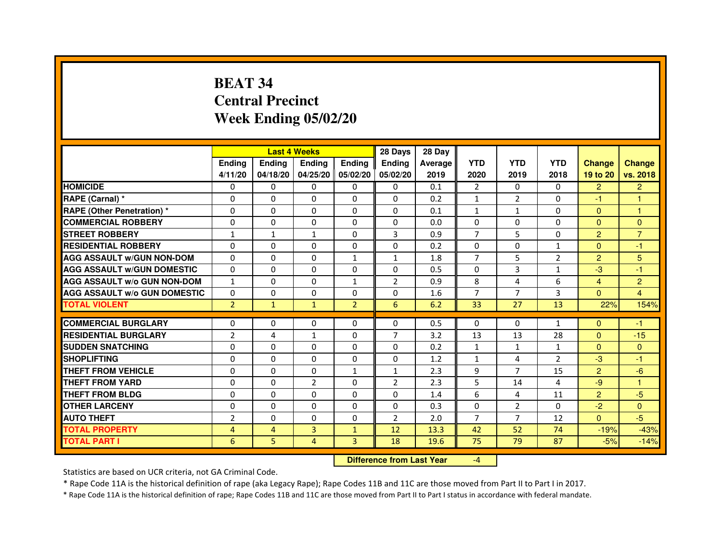## **BEAT 34 Central PrecinctWeek Ending 05/02/20**

|                                     |                | <b>Last 4 Weeks</b> |                |                   | 28 Days        | 28 Day  |                |                |                |                |                |
|-------------------------------------|----------------|---------------------|----------------|-------------------|----------------|---------|----------------|----------------|----------------|----------------|----------------|
|                                     | <b>Endina</b>  | <b>Endina</b>       | <b>Endina</b>  | <b>Endina</b>     | <b>Endina</b>  | Average | <b>YTD</b>     | <b>YTD</b>     | <b>YTD</b>     | <b>Change</b>  | <b>Change</b>  |
|                                     | 4/11/20        | 04/18/20            |                | 04/25/20 05/02/20 | 05/02/20       | 2019    | 2020           | 2019           | 2018           | 19 to 20       | vs. 2018       |
| <b>HOMICIDE</b>                     | $\mathbf{0}$   | 0                   | 0              | $\Omega$          | 0              | 0.1     | $\overline{2}$ | $\Omega$       | $\Omega$       | $\overline{2}$ | $\overline{2}$ |
| RAPE (Carnal) *                     | $\Omega$       | $\Omega$            | $\Omega$       | $\Omega$          | $\Omega$       | 0.2     | $\mathbf{1}$   | $\overline{2}$ | $\Omega$       | $-1$           | 1              |
| <b>RAPE (Other Penetration)*</b>    | 0              | $\Omega$            | $\Omega$       | 0                 | $\Omega$       | 0.1     | $\mathbf{1}$   | $\mathbf{1}$   | $\Omega$       | $\Omega$       | 1              |
| <b>COMMERCIAL ROBBERY</b>           | 0              | 0                   | 0              | 0                 | $\Omega$       | 0.0     | 0              | 0              | $\Omega$       | $\Omega$       | $\mathbf{0}$   |
| <b>STREET ROBBERY</b>               | $\mathbf{1}$   | $\mathbf{1}$        | $\mathbf{1}$   | $\mathbf{0}$      | 3              | 0.9     | $\overline{7}$ | 5              | $\Omega$       | $\overline{2}$ | $\overline{7}$ |
| <b>RESIDENTIAL ROBBERY</b>          | 0              | $\Omega$            | 0              | $\Omega$          | 0              | 0.2     | $\Omega$       | 0              | $\mathbf{1}$   | $\Omega$       | $-1$           |
| <b>AGG ASSAULT w/GUN NON-DOM</b>    | $\Omega$       | $\Omega$            | $\Omega$       | $\mathbf{1}$      | $\mathbf{1}$   | 1.8     | $\overline{7}$ | 5              | $\overline{2}$ | $\overline{2}$ | 5              |
| <b>AGG ASSAULT W/GUN DOMESTIC</b>   | 0              | 0                   | 0              | 0                 | $\Omega$       | 0.5     | $\Omega$       | 3              | $\mathbf{1}$   | $-3$           | $-1$           |
| <b>AGG ASSAULT W/o GUN NON-DOM</b>  | 1              | 0                   | $\Omega$       | $\mathbf{1}$      | $\overline{2}$ | 0.9     | 8              | 4              | 6              | $\overline{4}$ | $\overline{2}$ |
| <b>AGG ASSAULT W/o GUN DOMESTIC</b> | 0              | 0                   | 0              | 0                 | $\Omega$       | 1.6     | $\overline{7}$ | 7              | 3              | $\Omega$       | 4              |
| <b>TOTAL VIOLENT</b>                | $\overline{2}$ | $\mathbf{1}$        | $\mathbf{1}$   | $\overline{2}$    | 6              | 6.2     | 33             | 27             | 13             | 22%            | 154%           |
|                                     |                |                     |                |                   |                |         |                |                |                |                |                |
| <b>COMMERCIAL BURGLARY</b>          | 0              | 0                   | 0              | 0                 | 0              | 0.5     | 0              | 0              | $\mathbf{1}$   | $\Omega$       | $-1$           |
| <b>RESIDENTIAL BURGLARY</b>         | $\overline{2}$ | 4                   | $\mathbf{1}$   | 0                 | 7              | 3.2     | 13             | 13             | 28             | $\Omega$       | $-15$          |
| <b>SUDDEN SNATCHING</b>             | 0              | $\Omega$            | 0              | $\Omega$          | $\Omega$       | 0.2     | $\mathbf{1}$   | $\mathbf{1}$   | $\mathbf{1}$   | $\Omega$       | $\Omega$       |
| <b>SHOPLIFTING</b>                  | $\Omega$       | $\Omega$            | $\Omega$       | $\Omega$          | $\mathbf{0}$   | 1.2     | $\mathbf{1}$   | 4              | $\overline{2}$ | $-3$           | $-1$           |
| THEFT FROM VEHICLE                  | $\Omega$       | $\Omega$            | $\Omega$       | $\mathbf{1}$      | $\mathbf{1}$   | 2.3     | 9              | 7              | 15             | $\overline{2}$ | $-6$           |
| <b>THEFT FROM YARD</b>              | 0              | 0                   | $\overline{2}$ | $\Omega$          | $\overline{2}$ | 2.3     | 5              | 14             | 4              | $-9$           | 1              |
| <b>THEFT FROM BLDG</b>              | 0              | $\Omega$            | 0              | $\Omega$          | $\Omega$       | 1.4     | 6              | 4              | 11             | $\overline{2}$ | $-5$           |
| <b>OTHER LARCENY</b>                | 0              | $\Omega$            | $\Omega$       | 0                 | $\Omega$       | 0.3     | $\Omega$       | 2              | $\Omega$       | $-2$           | $\Omega$       |
| <b>AUTO THEFT</b>                   | $\overline{2}$ | $\Omega$            | $\Omega$       | $\mathbf{0}$      | $\overline{2}$ | 2.0     | $\overline{7}$ | $\overline{7}$ | 12             | $\Omega$       | $-5$           |
| <b>TOTAL PROPERTY</b>               | 4              | 4                   | 3              | $\mathbf{1}$      | 12             | 13.3    | 42             | 52             | 74             | $-19%$         | $-43%$         |
| <b>TOTAL PART I</b>                 | 6              | 5                   | 4              | 3                 | 18             | 19.6    | 75             | 79             | 87             | $-5%$          | $-14%$         |

 **Difference from Last Year**

-4

Statistics are based on UCR criteria, not GA Criminal Code.

\* Rape Code 11A is the historical definition of rape (aka Legacy Rape); Rape Codes 11B and 11C are those moved from Part II to Part I in 2017.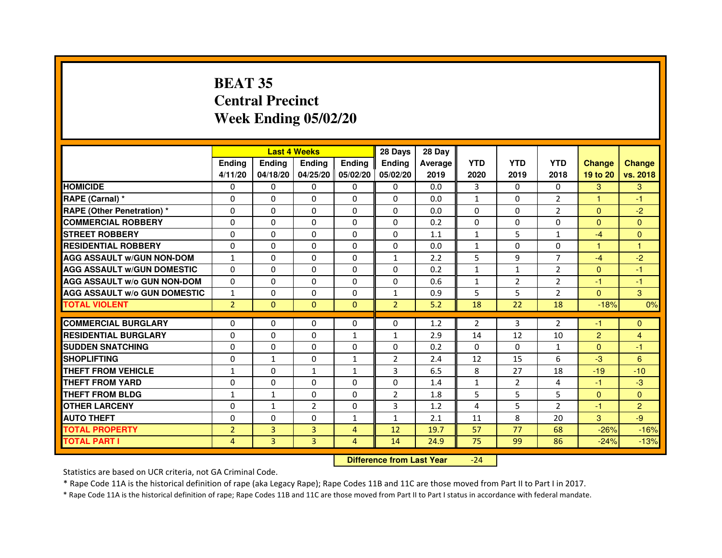## **BEAT 35 Central PrecinctWeek Ending 05/02/20**

|                                     |                | <b>Last 4 Weeks</b> |                |                   | 28 Days        | 28 Day  |              |              |                |               |                |
|-------------------------------------|----------------|---------------------|----------------|-------------------|----------------|---------|--------------|--------------|----------------|---------------|----------------|
|                                     | <b>Ending</b>  | <b>Endina</b>       | <b>Endina</b>  | <b>Ending</b>     | <b>Endina</b>  | Average | <b>YTD</b>   | <b>YTD</b>   | <b>YTD</b>     | <b>Change</b> | <b>Change</b>  |
|                                     | 4/11/20        | 04/18/20            |                | 04/25/20 05/02/20 | 05/02/20       | 2019    | 2020         | 2019         | 2018           | 19 to 20      | vs. 2018       |
| <b>HOMICIDE</b>                     | 0              | 0                   | $\mathbf{0}$   | 0                 | 0              | 0.0     | 3            | 0            | $\mathbf{0}$   | 3             | 3              |
| RAPE (Carnal) *                     | $\Omega$       | $\Omega$            | $\Omega$       | $\Omega$          | $\Omega$       | 0.0     | $\mathbf{1}$ | $\Omega$     | $\overline{2}$ | $\mathbf{1}$  | $-1$           |
| <b>RAPE (Other Penetration) *</b>   | 0              | $\Omega$            | 0              | $\Omega$          | $\Omega$       | 0.0     | $\Omega$     | $\Omega$     | $\overline{2}$ | $\Omega$      | $-2$           |
| <b>COMMERCIAL ROBBERY</b>           | 0              | 0                   | 0              | 0                 | $\Omega$       | 0.2     | $\Omega$     | 0            | $\Omega$       | $\Omega$      | $\Omega$       |
| <b>STREET ROBBERY</b>               | 0              | 0                   | 0              | 0                 | 0              | 1.1     | $\mathbf{1}$ | 5            | $\mathbf{1}$   | $-4$          | $\Omega$       |
| <b>RESIDENTIAL ROBBERY</b>          | 0              | $\Omega$            | $\Omega$       | $\Omega$          | $\Omega$       | 0.0     | $\mathbf{1}$ | $\Omega$     | $\Omega$       | 1             | 1              |
| <b>AGG ASSAULT W/GUN NON-DOM</b>    | $\mathbf{1}$   | $\mathbf 0$         | $\Omega$       | $\Omega$          | $\mathbf{1}$   | 2.2     | 5            | 9            | $\overline{7}$ | $-4$          | $-2$           |
| <b>AGG ASSAULT W/GUN DOMESTIC</b>   | 0              | 0                   | 0              | 0                 | 0              | 0.2     | $\mathbf{1}$ | $\mathbf{1}$ | $\overline{2}$ | $\Omega$      | $-1$           |
| <b>AGG ASSAULT W/o GUN NON-DOM</b>  | $\Omega$       | 0                   | $\Omega$       | $\Omega$          | $\Omega$       | 0.6     | $\mathbf{1}$ | 2            | $\overline{2}$ | $-1$          | $-1$           |
| <b>AGG ASSAULT W/o GUN DOMESTIC</b> | $\mathbf{1}$   | $\Omega$            | 0              | $\Omega$          | $\mathbf{1}$   | 0.9     | 5            | 5            | $\overline{2}$ | $\Omega$      | 3              |
| <b>TOTAL VIOLENT</b>                | $\overline{2}$ | $\Omega$            | $\Omega$       | $\Omega$          | $\overline{2}$ | 5.2     | 18           | 22           | 18             | $-18%$        | 0%             |
|                                     |                |                     |                |                   |                |         |              |              |                |               |                |
| <b>COMMERCIAL BURGLARY</b>          | 0              | 0                   | 0              | 0                 | $\Omega$       | 1.2     | 2            | 3            | 2              | -1            | $\Omega$       |
| <b>RESIDENTIAL BURGLARY</b>         | 0              | $\Omega$            | 0              | $\mathbf{1}$      | $\mathbf{1}$   | 2.9     | 14           | 12           | 10             | 2             | 4              |
| <b>SUDDEN SNATCHING</b>             | 0              | 0                   | 0              | 0                 | $\Omega$       | 0.2     | $\Omega$     | $\Omega$     | $\mathbf{1}$   | $\Omega$      | $-1$           |
| <b>SHOPLIFTING</b>                  | 0              | $\mathbf{1}$        | 0              | $\mathbf{1}$      | $\overline{2}$ | 2.4     | 12           | 15           | 6              | $-3$          | 6              |
| <b>THEFT FROM VEHICLE</b>           | $\mathbf{1}$   | $\Omega$            | $\mathbf{1}$   | $\mathbf{1}$      | 3              | 6.5     | 8            | 27           | 18             | $-19$         | $-10$          |
| <b>THEFT FROM YARD</b>              | $\Omega$       | $\Omega$            | $\Omega$       | $\Omega$          | $\Omega$       | 1.4     | $\mathbf{1}$ | 2            | $\overline{4}$ | $-1$          | $-3$           |
| <b>THEFT FROM BLDG</b>              | 1              | 1                   | 0              | 0                 | $\overline{2}$ | 1.8     | 5            | 5            | 5              | $\Omega$      | $\Omega$       |
| <b>OTHER LARCENY</b>                | 0              | $\mathbf{1}$        | $\overline{2}$ | $\Omega$          | 3              | 1.2     | 4            | 5            | $\overline{2}$ | $-1$          | $\overline{2}$ |
| <b>AUTO THEFT</b>                   | $\mathbf 0$    | 0                   | $\Omega$       | $\mathbf{1}$      | $\mathbf{1}$   | 2.1     | 11           | 8            | 20             | 3             | -9             |
| <b>TOTAL PROPERTY</b>               | $\overline{2}$ | 3                   | 3              | 4                 | 12             | 19.7    | 57           | 77           | 68             | $-26%$        | $-16%$         |
| <b>TOTAL PART I</b>                 | 4              | 3                   | 3              | $\overline{4}$    | 14             | 24.9    | 75           | 99           | 86             | $-24%$        | $-13%$         |

 **Difference from Last Year**-24

Statistics are based on UCR criteria, not GA Criminal Code.

\* Rape Code 11A is the historical definition of rape (aka Legacy Rape); Rape Codes 11B and 11C are those moved from Part II to Part I in 2017.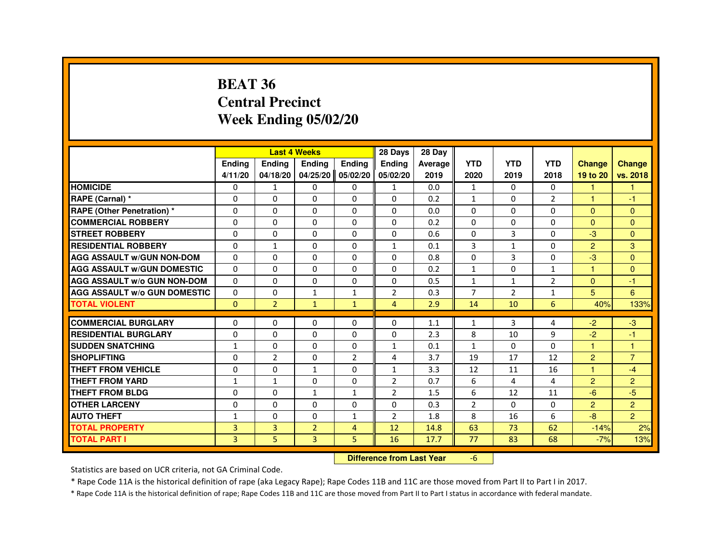#### **BEAT 36 Central PrecinctWeek Ending 05/02/20**

|                                     |              |                                  | <b>Last 4 Weeks</b> |                | 28 Days        | 28 Day  |                |                |                |                      |                |
|-------------------------------------|--------------|----------------------------------|---------------------|----------------|----------------|---------|----------------|----------------|----------------|----------------------|----------------|
|                                     | Ending       | Ending                           | Ending              | Ending         | Ending         | Average | <b>YTD</b>     | <b>YTD</b>     | <b>YTD</b>     | <b>Change</b>        | Change         |
|                                     | 4/11/20      | 04/18/20                         | 04/25/20   05/02/20 |                | 05/02/20       | 2019    | 2020           | 2019           | 2018           | 19 to 20             | vs. 2018       |
| <b>HOMICIDE</b>                     | 0            | $\mathbf{1}$                     | 0                   | 0              | 1              | 0.0     | $\mathbf{1}$   | 0              | 0              | $\mathbf{1}$         | 1              |
| RAPE (Carnal) *                     | $\Omega$     | $\Omega$                         | $\Omega$            | $\Omega$       | 0              | 0.2     | $\mathbf{1}$   | $\Omega$       | $\overline{2}$ | 1                    | -1             |
| <b>RAPE (Other Penetration) *</b>   | $\Omega$     | $\Omega$                         | $\Omega$            | $\mathbf 0$    | $\Omega$       | 0.0     | $\Omega$       | $\Omega$       | $\Omega$       | $\Omega$             | $\overline{0}$ |
| <b>COMMERCIAL ROBBERY</b>           | $\Omega$     | $\Omega$                         | 0                   | $\Omega$       | 0              | 0.2     | $\Omega$       | $\Omega$       | $\Omega$       | $\Omega$             | $\Omega$       |
| <b>STREET ROBBERY</b>               | 0            | $\Omega$                         | 0                   | 0              | 0              | 0.6     | $\Omega$       | 3              | $\Omega$       | $-3$                 | $\Omega$       |
| <b>RESIDENTIAL ROBBERY</b>          | $\Omega$     | $\mathbf{1}$                     | 0                   | 0              | $\mathbf{1}$   | 0.1     | 3              | $\mathbf{1}$   | $\Omega$       | $\overline{2}$       | 3              |
| <b>AGG ASSAULT w/GUN NON-DOM</b>    | $\mathbf 0$  | $\mathbf 0$                      | 0                   | $\mathbf 0$    | 0              | 0.8     | $\Omega$       | 3              | 0              | -3                   | $\mathbf{0}$   |
| <b>AGG ASSAULT W/GUN DOMESTIC</b>   | $\Omega$     | $\Omega$                         | $\Omega$            | $\mathbf 0$    | $\Omega$       | 0.2     | $\mathbf{1}$   | $\Omega$       | $\mathbf{1}$   | $\overline{1}$       | $\Omega$       |
| <b>AGG ASSAULT w/o GUN NON-DOM</b>  | $\mathbf{0}$ | $\mathbf{0}$                     | 0                   | $\Omega$       | 0              | 0.5     | $\mathbf{1}$   | $\mathbf{1}$   | 2              | $\Omega$             | -1             |
| <b>AGG ASSAULT W/o GUN DOMESTIC</b> | $\Omega$     | $\mathbf 0$                      | $\mathbf{1}$        | $\mathbf{1}$   | $\overline{2}$ | 0.3     | $\overline{7}$ | $\overline{2}$ | $\mathbf{1}$   | 5                    | 6              |
| <b>TOTAL VIOLENT</b>                | $\mathbf{0}$ | $\overline{2}$                   | $\mathbf{1}$        | $\mathbf{1}$   | $\overline{4}$ | 2.9     | 14             | 10             | 6              | 40%                  | 133%           |
| <b>COMMERCIAL BURGLARY</b>          | 0            | 0                                | 0                   | 0              | 0              | 1.1     | 1              | 3              | 4              | $-2$                 | $-3$           |
| <b>RESIDENTIAL BURGLARY</b>         | $\Omega$     | $\Omega$                         | $\Omega$            | $\mathbf 0$    | 0              | 2.3     | 8              | 10             | 9              | $-2$                 | -1             |
| <b>SUDDEN SNATCHING</b>             | $\mathbf{1}$ | $\Omega$                         | $\Omega$            | $\Omega$       | $\mathbf{1}$   | 0.1     | $\mathbf{1}$   | $\Omega$       | $\Omega$       | $\mathbf{1}$         | $\mathbf{1}$   |
| <b>SHOPLIFTING</b>                  | 0            | $\overline{2}$                   | 0                   | $\overline{2}$ | 4              | 3.7     | 19             | 17             | 12             | $\overline{2}$       | $\overline{7}$ |
| THEFT FROM VEHICLE                  | $\Omega$     | $\Omega$                         | $\mathbf{1}$        | $\Omega$       | $\mathbf{1}$   | 3.3     | 12             | 11             | 16             | $\blacktriangleleft$ | $-4$           |
| <b>THEFT FROM YARD</b>              | $\mathbf{1}$ | $\mathbf{1}$                     | $\Omega$            | $\mathbf 0$    | $\overline{2}$ | 0.7     | 6              | 4              | 4              | $\overline{2}$       | $\overline{2}$ |
| <b>THEFT FROM BLDG</b>              | $\Omega$     | $\Omega$                         | $\mathbf{1}$        | $\mathbf{1}$   | $\overline{2}$ | 1.5     | 6              | 12             | 11             | $-6$                 | $-5$           |
| <b>OTHER LARCENY</b>                | $\Omega$     | $\Omega$                         | 0                   | $\Omega$       | 0              | 0.3     | $\overline{2}$ | 0              | $\Omega$       | $\overline{2}$       | $\overline{2}$ |
| <b>AUTO THEFT</b>                   | $\mathbf{1}$ | 0                                | 0                   | $\mathbf{1}$   | $\overline{2}$ | 1.8     | 8              | 16             | 6              | $-8$                 | $\overline{2}$ |
| <b>TOTAL PROPERTY</b>               | 3            | 3                                | $\overline{2}$      | $\overline{4}$ | 12             | 14.8    | 63             | 73             | 62             | $-14%$               | 2%             |
| <b>TOTAL PART I</b>                 | 3            | 5                                | 3                   | 5              | 16             | 17.7    | 77             | 83             | 68             | $-7%$                | 13%            |
|                                     |              | <b>Difference from Last Year</b> |                     | $-6$           |                |         |                |                |                |                      |                |

 **Difference from Last Year**

Statistics are based on UCR criteria, not GA Criminal Code.

\* Rape Code 11A is the historical definition of rape (aka Legacy Rape); Rape Codes 11B and 11C are those moved from Part II to Part I in 2017.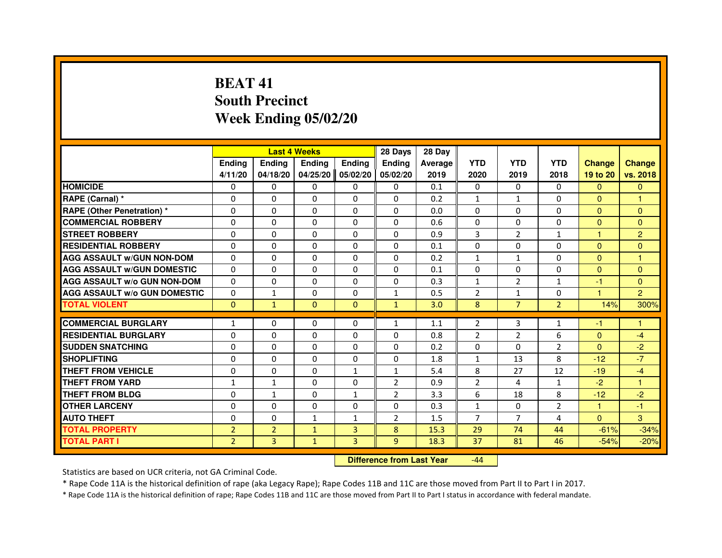## **BEAT 41 South PrecinctWeek Ending 05/02/20**

|                                     |                |                | <b>Last 4 Weeks</b> |               | 28 Days        | 28 Day         |                |                |                |               |                |
|-------------------------------------|----------------|----------------|---------------------|---------------|----------------|----------------|----------------|----------------|----------------|---------------|----------------|
|                                     | <b>Endina</b>  | Ending         | <b>Endina</b>       | <b>Endina</b> | <b>Endina</b>  | <b>Average</b> | <b>YTD</b>     | <b>YTD</b>     | <b>YTD</b>     | <b>Change</b> | <b>Change</b>  |
|                                     | 4/11/20        | 04/18/20       | 04/25/20            | 05/02/20      | 05/02/20       | 2019           | 2020           | 2019           | 2018           | 19 to 20      | vs. 2018       |
| <b>HOMICIDE</b>                     | 0              | $\Omega$       | $\Omega$            | 0             | 0              | 0.1            | 0              | $\Omega$       | $\Omega$       | $\Omega$      | $\Omega$       |
| RAPE (Carnal) *                     | $\Omega$       | $\Omega$       | $\Omega$            | $\Omega$      | $\Omega$       | 0.2            | $\mathbf{1}$   | $\mathbf{1}$   | $\Omega$       | $\Omega$      | 1              |
| <b>RAPE (Other Penetration) *</b>   | $\Omega$       | $\Omega$       | $\Omega$            | 0             | $\Omega$       | 0.0            | $\Omega$       | 0              | 0              | $\Omega$      | $\Omega$       |
| <b>COMMERCIAL ROBBERY</b>           | 0              | $\Omega$       | 0                   | $\Omega$      | $\Omega$       | 0.6            | $\Omega$       | $\Omega$       | $\Omega$       | $\mathbf{0}$  | $\mathbf{0}$   |
| <b>STREET ROBBERY</b>               | $\Omega$       | $\Omega$       | 0                   | 0             | 0              | 0.9            | 3              | $\overline{2}$ | $\mathbf{1}$   | 1             | $\overline{2}$ |
| <b>RESIDENTIAL ROBBERY</b>          | 0              | $\Omega$       | $\Omega$            | 0             | 0              | 0.1            | 0              | 0              | 0              | $\mathbf{0}$  | $\Omega$       |
| <b>AGG ASSAULT w/GUN NON-DOM</b>    | $\Omega$       | $\Omega$       | $\Omega$            | $\Omega$      | $\Omega$       | 0.2            | $\mathbf{1}$   | $\mathbf{1}$   | $\Omega$       | $\Omega$      | $\mathbf{1}$   |
| <b>AGG ASSAULT W/GUN DOMESTIC</b>   | $\Omega$       | $\Omega$       | $\Omega$            | 0             | 0              | 0.1            | $\Omega$       | $\Omega$       | $\Omega$       | $\Omega$      | $\overline{0}$ |
| <b>AGG ASSAULT W/o GUN NON-DOM</b>  | 0              | 0              | $\Omega$            | $\Omega$      | $\Omega$       | 0.3            | 1              | $\overline{2}$ | $\mathbf{1}$   | -1            | $\Omega$       |
| <b>AGG ASSAULT W/o GUN DOMESTIC</b> | $\Omega$       | 1              | $\Omega$            | $\Omega$      | $\mathbf{1}$   | 0.5            | $\overline{2}$ | $\mathbf{1}$   | $\Omega$       | 1             | $\overline{2}$ |
| <b>TOTAL VIOLENT</b>                | $\mathbf{0}$   | $\mathbf{1}$   | $\mathbf{0}$        | $\Omega$      | $\mathbf{1}$   | 3.0            | 8              | $\overline{7}$ | $\overline{2}$ | 14%           | 300%           |
|                                     |                |                |                     |               |                |                |                |                |                |               |                |
| <b>COMMERCIAL BURGLARY</b>          | $\mathbf{1}$   | 0              | 0                   | 0             | $\mathbf{1}$   | 1.1            | 2              | 3              | $\mathbf{1}$   | $-1$          | 1              |
| <b>RESIDENTIAL BURGLARY</b>         | $\Omega$       | $\mathbf{0}$   | 0                   | 0             | 0              | 0.8            | 2              | 2              | 6              | $\Omega$      | $-4$           |
| <b>SUDDEN SNATCHING</b>             | 0              | $\Omega$       | $\Omega$            | $\Omega$      | $\Omega$       | 0.2            | $\Omega$       | $\Omega$       | $\overline{2}$ | $\Omega$      | $-2$           |
| <b>SHOPLIFTING</b>                  | $\Omega$       | $\Omega$       | $\Omega$            | $\Omega$      | $\Omega$       | 1.8            | $\mathbf{1}$   | 13             | 8              | $-12$         | $-7$           |
| THEFT FROM VEHICLE                  | $\Omega$       | $\Omega$       | $\Omega$            | $\mathbf{1}$  | $\mathbf{1}$   | 5.4            | 8              | 27             | 12             | $-19$         | $-4$           |
| <b>THEFT FROM YARD</b>              | $\mathbf{1}$   | $\mathbf{1}$   | $\Omega$            | 0             | $\overline{2}$ | 0.9            | $\overline{2}$ | 4              | $\mathbf{1}$   | $-2$          | 1              |
| <b>THEFT FROM BLDG</b>              | 0              | $\mathbf{1}$   | $\Omega$            | 1             | $\overline{2}$ | 3.3            | 6              | 18             | 8              | $-12$         | $-2$           |
| <b>OTHER LARCENY</b>                | $\Omega$       | $\Omega$       | $\Omega$            | $\Omega$      | $\Omega$       | 0.3            | $\mathbf{1}$   | $\Omega$       | $\overline{2}$ | $\mathbf{1}$  | $-1$           |
| <b>AUTO THEFT</b>                   | $\Omega$       | $\Omega$       | $\mathbf{1}$        | $\mathbf{1}$  | $\overline{2}$ | 1.5            | $\overline{7}$ | $\overline{7}$ | $\overline{a}$ | $\Omega$      | 3              |
| <b>TOTAL PROPERTY</b>               | $\overline{2}$ | $\overline{2}$ | $\mathbf{1}$        | 3             | 8              | 15.3           | 29             | 74             | 44             | $-61%$        | $-34%$         |
| <b>TOTAL PART I</b>                 | $\overline{2}$ | 3              | $\mathbf{1}$        | 3             | 9              | 18.3           | 37             | 81             | 46             | $-54%$        | $-20%$         |

 **Difference from Last Year**-44

Statistics are based on UCR criteria, not GA Criminal Code.

\* Rape Code 11A is the historical definition of rape (aka Legacy Rape); Rape Codes 11B and 11C are those moved from Part II to Part I in 2017.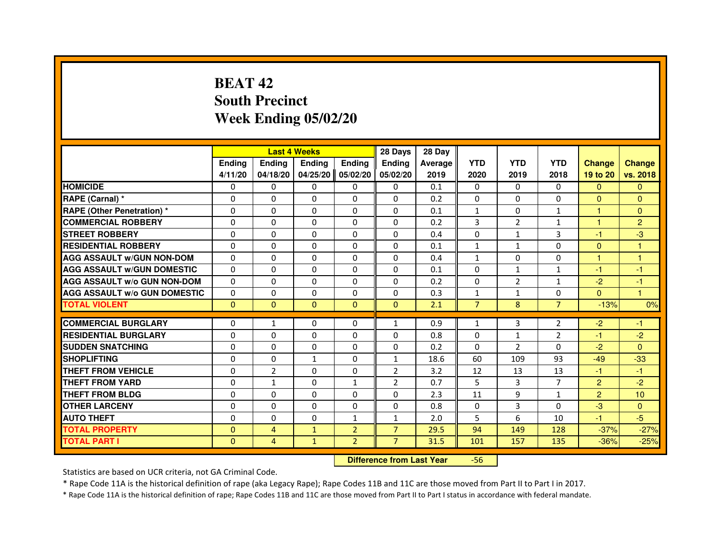## **BEAT 42 South PrecinctWeek Ending 05/02/20**

|                                     |               |                | <b>Last 4 Weeks</b> |                | 28 Days        | 28 Day  |                |                |                |                |                      |
|-------------------------------------|---------------|----------------|---------------------|----------------|----------------|---------|----------------|----------------|----------------|----------------|----------------------|
|                                     | <b>Ending</b> | <b>Endina</b>  | <b>Ending</b>       | <b>Ending</b>  | <b>Endina</b>  | Average | <b>YTD</b>     | <b>YTD</b>     | <b>YTD</b>     | <b>Change</b>  | <b>Change</b>        |
|                                     | 4/11/20       | 04/18/20       | 04/25/20            | 05/02/20       | 05/02/20       | 2019    | 2020           | 2019           | 2018           | 19 to 20       | vs. 2018             |
| <b>HOMICIDE</b>                     | $\mathbf{0}$  | $\mathbf{0}$   | $\mathbf{0}$        | $\mathbf{0}$   | 0              | 0.1     | $\mathbf{0}$   | $\mathbf{0}$   | $\mathbf{0}$   | $\mathbf{0}$   | $\mathbf{0}$         |
| RAPE (Carnal) *                     | $\Omega$      | $\Omega$       | $\Omega$            | $\Omega$       | $\Omega$       | 0.2     | $\Omega$       | $\Omega$       | $\Omega$       | $\mathbf{0}$   | $\mathbf{0}$         |
| <b>RAPE (Other Penetration)*</b>    | 0             | $\mathbf{0}$   | $\mathbf{0}$        | $\mathbf{0}$   | $\mathbf{0}$   | 0.1     | $\mathbf{1}$   | 0              | $\mathbf{1}$   | $\mathbf{1}$   | $\Omega$             |
| <b>COMMERCIAL ROBBERY</b>           | 0             | $\Omega$       | 0                   | $\Omega$       | $\Omega$       | 0.2     | 3              | $\overline{2}$ | 1              | $\overline{1}$ | $\overline{2}$       |
| <b>STREET ROBBERY</b>               | $\Omega$      | $\Omega$       | 0                   | $\Omega$       | $\Omega$       | 0.4     | $\Omega$       | 1              | 3              | -1             | $-3$                 |
| <b>RESIDENTIAL ROBBERY</b>          | $\Omega$      | $\Omega$       | $\Omega$            | $\Omega$       | $\Omega$       | 0.1     | $\mathbf{1}$   | $\mathbf{1}$   | 0              | $\mathbf{0}$   | $\mathbf{1}$         |
| <b>AGG ASSAULT W/GUN NON-DOM</b>    | $\Omega$      | $\Omega$       | $\Omega$            | $\Omega$       | $\Omega$       | 0.4     | $\mathbf{1}$   | $\Omega$       | $\Omega$       | $\mathbf{1}$   | $\mathbf{1}$         |
| <b>AGG ASSAULT W/GUN DOMESTIC</b>   | $\Omega$      | $\mathbf{0}$   | 0                   | $\mathbf{0}$   | 0              | 0.1     | $\Omega$       | $\mathbf{1}$   | $\mathbf{1}$   | $-1$           | -1                   |
| <b>AGG ASSAULT W/o GUN NON-DOM</b>  | 0             | $\Omega$       | 0                   | 0              | $\Omega$       | 0.2     | 0              | $\overline{2}$ | $\mathbf{1}$   | $-2$           | $-1$                 |
| <b>AGG ASSAULT W/o GUN DOMESTIC</b> | 0             | $\Omega$       | 0                   | $\Omega$       | $\Omega$       | 0.3     | $\mathbf{1}$   | 1              | 0              | $\Omega$       | $\blacktriangleleft$ |
| <b>TOTAL VIOLENT</b>                | $\Omega$      | $\mathbf{0}$   | $\Omega$            | $\mathbf{0}$   | $\mathbf{0}$   | 2.1     | $\overline{7}$ | 8              | $\overline{7}$ | $-13%$         | 0%                   |
|                                     |               |                |                     |                |                |         |                |                |                |                |                      |
| <b>COMMERCIAL BURGLARY</b>          | 0             | 1              | 0                   | 0              | $\mathbf{1}$   | 0.9     | $\mathbf{1}$   | 3              | $\overline{2}$ | $-2$           | -1                   |
| <b>RESIDENTIAL BURGLARY</b>         | 0             | 0              | 0                   | 0              | 0              | 0.8     | 0              | 1              | $\overline{2}$ | -1             | $-2$                 |
| <b>SUDDEN SNATCHING</b>             | 0             | $\Omega$       | 0                   | $\Omega$       | 0              | 0.2     | $\Omega$       | $\overline{2}$ | 0              | $-2$           | $\Omega$             |
| <b>SHOPLIFTING</b>                  | $\Omega$      | $\Omega$       | $\mathbf{1}$        | $\Omega$       | $\mathbf{1}$   | 18.6    | 60             | 109            | 93             | $-49$          | $-33$                |
| THEFT FROM VEHICLE                  | 0             | $\overline{2}$ | 0                   | $\Omega$       | $\overline{2}$ | 3.2     | 12             | 13             | 13             | $-1$           | $-1$                 |
| THEFT FROM YARD                     | $\Omega$      | $\mathbf{1}$   | $\Omega$            | $\mathbf{1}$   | $\overline{2}$ | 0.7     | 5.             | 3              | $\overline{7}$ | $\overline{2}$ | $-2$                 |
| THEFT FROM BLDG                     | $\Omega$      | $\Omega$       | 0                   | $\Omega$       | 0              | 2.3     | 11             | 9              | $\mathbf{1}$   | $\overline{2}$ | 10                   |
| <b>OTHER LARCENY</b>                | 0             | $\Omega$       | 0                   | $\Omega$       | $\Omega$       | 0.8     | $\Omega$       | 3              | 0              | $-3$           | $\mathbf{0}$         |
| <b>AUTO THEFT</b>                   | $\Omega$      | $\Omega$       | $\Omega$            | 1              | $\mathbf{1}$   | 2.0     | 5              | 6              | 10             | $-1$           | $-5$                 |
| <b>TOTAL PROPERTY</b>               | $\mathbf{0}$  | 4              | $\mathbf{1}$        | $\overline{2}$ | $\overline{7}$ | 29.5    | 94             | 149            | 128            | $-37%$         | $-27%$               |
| <b>TOTAL PART I</b>                 | $\mathbf{0}$  | 4              | $\mathbf{1}$        | $\overline{2}$ | $\overline{7}$ | 31.5    | 101            | 157            | 135            | $-36%$         | $-25%$               |

 **Difference from Last Year**-56

Statistics are based on UCR criteria, not GA Criminal Code.

\* Rape Code 11A is the historical definition of rape (aka Legacy Rape); Rape Codes 11B and 11C are those moved from Part II to Part I in 2017.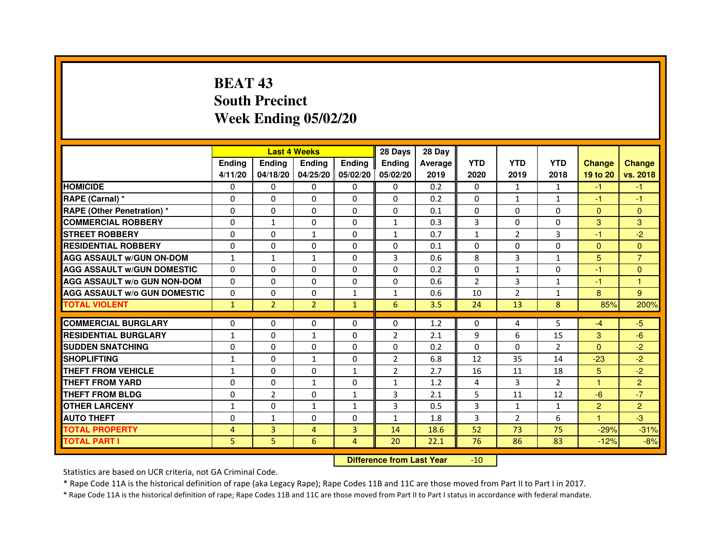## **BEAT 43 South PrecinctWeek Ending 05/02/20**

|                                     |               | <b>Last 4 Weeks</b> |                |                   | 28 Days        | 28 Day  |                |                |                |                |                |
|-------------------------------------|---------------|---------------------|----------------|-------------------|----------------|---------|----------------|----------------|----------------|----------------|----------------|
|                                     | <b>Ending</b> | <b>Endina</b>       | <b>Endina</b>  | <b>Ending</b>     | <b>Endina</b>  | Average | <b>YTD</b>     | <b>YTD</b>     | <b>YTD</b>     | <b>Change</b>  | <b>Change</b>  |
|                                     | 4/11/20       | 04/18/20            |                | 04/25/20 05/02/20 | 05/02/20       | 2019    | 2020           | 2019           | 2018           | 19 to 20       | vs. 2018       |
| <b>HOMICIDE</b>                     | 0             | 0                   | $\mathbf{0}$   | 0                 | 0              | 0.2     | $\mathbf{0}$   | 1              | $\mathbf{1}$   | $-1$           | $-1$           |
| RAPE (Carnal) *                     | $\Omega$      | $\Omega$            | $\Omega$       | $\Omega$          | $\Omega$       | 0.2     | $\Omega$       | $\mathbf{1}$   | $\mathbf{1}$   | $-1$           | $-1$           |
| <b>RAPE (Other Penetration) *</b>   | 0             | $\Omega$            | 0              | $\Omega$          | $\Omega$       | 0.1     | $\Omega$       | $\Omega$       | $\Omega$       | $\Omega$       | $\Omega$       |
| <b>COMMERCIAL ROBBERY</b>           | 0             | $\mathbf{1}$        | 0              | 0                 | $\mathbf{1}$   | 0.3     | 3              | 0              | $\Omega$       | 3              | 3              |
| <b>STREET ROBBERY</b>               | 0             | 0                   | $\mathbf{1}$   | 0                 | $\mathbf{1}$   | 0.7     | $\mathbf{1}$   | $\overline{2}$ | 3              | $-1$           | $-2$           |
| <b>RESIDENTIAL ROBBERY</b>          | 0             | 0                   | $\Omega$       | $\Omega$          | $\Omega$       | 0.1     | $\Omega$       | $\Omega$       | $\Omega$       | $\Omega$       | $\Omega$       |
| <b>AGG ASSAULT w/GUN ON-DOM</b>     | $\mathbf{1}$  | $\mathbf{1}$        | $\mathbf{1}$   | $\Omega$          | 3              | 0.6     | 8              | 3              | $\mathbf{1}$   | 5              | $\overline{7}$ |
| <b>AGG ASSAULT W/GUN DOMESTIC</b>   | 0             | 0                   | 0              | 0                 | $\Omega$       | 0.2     | 0              | $\mathbf{1}$   | $\Omega$       | $-1$           | $\Omega$       |
| <b>AGG ASSAULT W/o GUN NON-DOM</b>  | $\Omega$      | 0                   | $\Omega$       | $\Omega$          | $\Omega$       | 0.6     | $\overline{2}$ | 3              | 1              | $-1$           | 1              |
| <b>AGG ASSAULT W/o GUN DOMESTIC</b> | $\Omega$      | $\Omega$            | 0              | $\mathbf{1}$      | $\mathbf{1}$   | 0.6     | 10             | $\overline{2}$ | $\mathbf{1}$   | 8              | 9              |
| <b>TOTAL VIOLENT</b>                | $\mathbf{1}$  | $\overline{2}$      | $\overline{2}$ | $\mathbf{1}$      | 6              | 3.5     | 24             | 13             | 8              | 85%            | 200%           |
|                                     |               |                     |                |                   |                |         |                |                |                |                |                |
| <b>COMMERCIAL BURGLARY</b>          | 0             | 0                   | 0              | 0                 | $\Omega$       | 1.2     | 0              | 4              | 5              | $-4$           | $-5$           |
| <b>RESIDENTIAL BURGLARY</b>         | $\mathbf{1}$  | $\Omega$            | $\mathbf{1}$   | $\Omega$          | 2              | 2.1     | 9              | 6              | 15             | 3              | $-6$           |
| <b>SUDDEN SNATCHING</b>             | 0             | 0                   | 0              | 0                 | $\Omega$       | 0.2     | $\Omega$       | $\Omega$       | $\overline{2}$ | $\Omega$       | $-2$           |
| <b>SHOPLIFTING</b>                  | $\mathbf{1}$  | 0                   | $\mathbf{1}$   | $\Omega$          | $\overline{2}$ | 6.8     | 12             | 35             | 14             | $-23$          | $-2$           |
| <b>THEFT FROM VEHICLE</b>           | $\mathbf{1}$  | $\Omega$            | $\Omega$       | $\mathbf{1}$      | $\overline{2}$ | 2.7     | 16             | 11             | 18             | 5              | $-2$           |
| <b>THEFT FROM YARD</b>              | $\Omega$      | $\Omega$            | $\mathbf{1}$   | $\Omega$          | $\mathbf{1}$   | 1.2     | $\overline{4}$ | 3              | $\mathfrak{p}$ | $\mathbf{1}$   | $\overline{2}$ |
| <b>THEFT FROM BLDG</b>              | 0             | $\overline{2}$      | 0              | 1                 | 3              | 2.1     | 5              | 11             | 12             | $-6$           | $-7$           |
| <b>OTHER LARCENY</b>                | 1             | 0                   | 1              | $\mathbf{1}$      | 3              | 0.5     | 3              | $\mathbf{1}$   | $\mathbf{1}$   | $\overline{2}$ | $\overline{2}$ |
| <b>AUTO THEFT</b>                   | $\mathbf 0$   | 1                   | $\Omega$       | $\Omega$          | $\mathbf{1}$   | 1.8     | 3              | $\overline{2}$ | 6              | $\mathbf{1}$   | -3             |
| <b>TOTAL PROPERTY</b>               | 4             | 3                   | 4              | 3                 | 14             | 18.6    | 52             | 73             | 75             | $-29%$         | $-31%$         |
| <b>TOTAL PART I</b>                 | 5             | 5                   | 6              | $\overline{4}$    | 20             | 22.1    | 76             | 86             | 83             | $-12%$         | $-8%$          |

 **Difference from Last Year**-10

Statistics are based on UCR criteria, not GA Criminal Code.

\* Rape Code 11A is the historical definition of rape (aka Legacy Rape); Rape Codes 11B and 11C are those moved from Part II to Part I in 2017.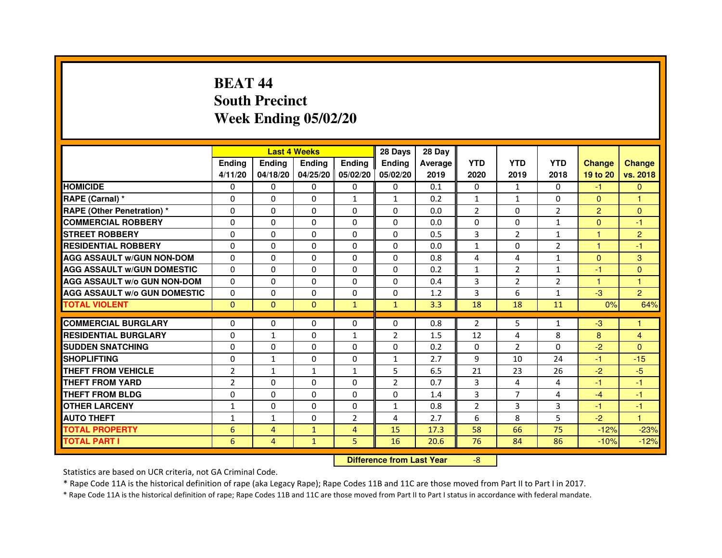## **BEAT 44 South PrecinctWeek Ending 05/02/20**

|                                     |                | <b>Last 4 Weeks</b>              |                |                | 28 Days        | 28 Day         |                |                |                |                |                |
|-------------------------------------|----------------|----------------------------------|----------------|----------------|----------------|----------------|----------------|----------------|----------------|----------------|----------------|
|                                     | <b>Ending</b>  | <b>Ending</b>                    | <b>Ending</b>  | <b>Ending</b>  | <b>Ending</b>  | <b>Average</b> | <b>YTD</b>     | <b>YTD</b>     | <b>YTD</b>     | <b>Change</b>  | <b>Change</b>  |
|                                     | 4/11/20        | 04/18/20                         | 04/25/20       | 05/02/20       | 05/02/20       | 2019           | 2020           | 2019           | 2018           | 19 to 20       | vs. 2018       |
| <b>HOMICIDE</b>                     | $\mathbf{0}$   | $\Omega$                         | $\Omega$       | $\Omega$       | 0              | 0.1            | $\Omega$       | $\mathbf{1}$   | 0              | $-1$           | $\Omega$       |
| RAPE (Carnal) *                     | 0              | $\mathbf{0}$                     | 0              | $\mathbf{1}$   | $\mathbf{1}$   | 0.2            | $\mathbf{1}$   | $\mathbf{1}$   | 0              | $\mathbf{0}$   | 1              |
| <b>RAPE (Other Penetration) *</b>   | $\mathbf 0$    | 0                                | $\Omega$       | $\Omega$       | $\Omega$       | 0.0            | $\overline{2}$ | $\Omega$       | $\overline{2}$ | $\overline{2}$ | $\Omega$       |
| <b>COMMERCIAL ROBBERY</b>           | $\mathbf 0$    | $\Omega$                         | $\Omega$       | $\mathbf{0}$   | $\mathbf{0}$   | 0.0            | $\Omega$       | $\mathbf{0}$   | $\mathbf{1}$   | $\Omega$       | $-1$           |
| <b>STREET ROBBERY</b>               | $\Omega$       | $\Omega$                         | $\Omega$       | $\mathbf{0}$   | $\Omega$       | 0.5            | 3              | $\overline{2}$ | $\mathbf{1}$   | $\mathbf{1}$   | $\overline{2}$ |
| <b>RESIDENTIAL ROBBERY</b>          | 0              | $\Omega$                         | 0              | $\mathbf{0}$   | $\Omega$       | 0.0            | $\mathbf{1}$   | $\Omega$       | $\overline{2}$ | 1              | $-1$           |
| <b>AGG ASSAULT W/GUN NON-DOM</b>    | $\Omega$       | 0                                | $\Omega$       | $\mathbf{0}$   | $\Omega$       | 0.8            | 4              | $\overline{4}$ | $\mathbf{1}$   | $\Omega$       | 3              |
| <b>AGG ASSAULT W/GUN DOMESTIC</b>   | $\Omega$       | $\Omega$                         | $\Omega$       | $\Omega$       | $\Omega$       | 0.2            | $\mathbf{1}$   | $\overline{2}$ | $\mathbf{1}$   | $-1$           | $\Omega$       |
| <b>AGG ASSAULT W/o GUN NON-DOM</b>  | $\Omega$       | 0                                | 0              | $\mathbf{0}$   | 0              | 0.4            | 3              | $\overline{2}$ | $\overline{2}$ | $\mathbf{1}$   | 1              |
| <b>AGG ASSAULT W/o GUN DOMESTIC</b> | $\Omega$       | 0                                | 0              | $\Omega$       | 0              | 1.2            | 3              | 6              | $\mathbf{1}$   | $-3$           | $\overline{2}$ |
| <b>TOTAL VIOLENT</b>                | $\mathbf{0}$   | $\mathbf{0}$                     | $\overline{0}$ | $\mathbf{1}$   | $\mathbf{1}$   | 3.3            | 18             | 18             | 11             | 0%             | 64%            |
| <b>COMMERCIAL BURGLARY</b>          | 0              | 0                                | 0              | 0              | 0              | 0.8            | $\overline{2}$ | 5              | $\mathbf{1}$   | $-3$           | 1              |
| <b>RESIDENTIAL BURGLARY</b>         | $\mathbf 0$    | $\mathbf{1}$                     | $\Omega$       | $\mathbf{1}$   | $\overline{2}$ | 1.5            | 12             | 4              | 8              | 8              | 4              |
| <b>SUDDEN SNATCHING</b>             | $\Omega$       | 0                                | $\Omega$       | $\Omega$       | $\Omega$       | 0.2            | $\Omega$       | $\mathfrak{p}$ | $\Omega$       | $-2$           | $\Omega$       |
| <b>SHOPLIFTING</b>                  | 0              | $\mathbf{1}$                     | 0              | $\mathbf{0}$   | $\mathbf{1}$   | 2.7            | 9              | 10             | 24             | $-1$           | $-15$          |
| THEFT FROM VEHICLE                  | $\overline{2}$ | $\mathbf{1}$                     | $\mathbf{1}$   | $\mathbf{1}$   | 5              | 6.5            | 21             | 23             | 26             | $-2$           | $-5$           |
| THEFT FROM YARD                     | $\overline{2}$ | 0                                | $\Omega$       | 0              | $\overline{2}$ | 0.7            | 3              | 4              | $\overline{4}$ | $-1$           | $-1$           |
| <b>THEFT FROM BLDG</b>              | 0              | $\Omega$                         | 0              | $\mathbf{0}$   | $\Omega$       | 1.4            | 3              | $\overline{7}$ | 4              | $-4$           | $-1$           |
| <b>OTHER LARCENY</b>                | $\mathbf{1}$   | $\Omega$                         | 0              | $\mathbf{0}$   | $\mathbf{1}$   | 0.8            | $\overline{2}$ | 3              | 3              | $-1$           | $-1$           |
| <b>AUTO THEFT</b>                   | $\mathbf{1}$   | $\mathbf{1}$                     | $\Omega$       | $\overline{2}$ | 4              | 2.7            | 6              | 8              | 5              | $-2$           | $\mathbf{1}$   |
| <b>TOTAL PROPERTY</b>               | 6              | 4                                | $\mathbf{1}$   | 4              | 15             | 17.3           | 58             | 66             | 75             | $-12%$         | $-23%$         |
| <b>TOTAL PART I</b>                 | 6              | 4                                | $\mathbf{1}$   | 5              | 16             | 20.6           | 76             | 84             | 86             | $-10%$         | $-12%$         |
|                                     |                | <b>Difference from Last Year</b> |                | $-8$           |                |                |                |                |                |                |                |

 **Difference from Last Year**

Statistics are based on UCR criteria, not GA Criminal Code.

\* Rape Code 11A is the historical definition of rape (aka Legacy Rape); Rape Codes 11B and 11C are those moved from Part II to Part I in 2017.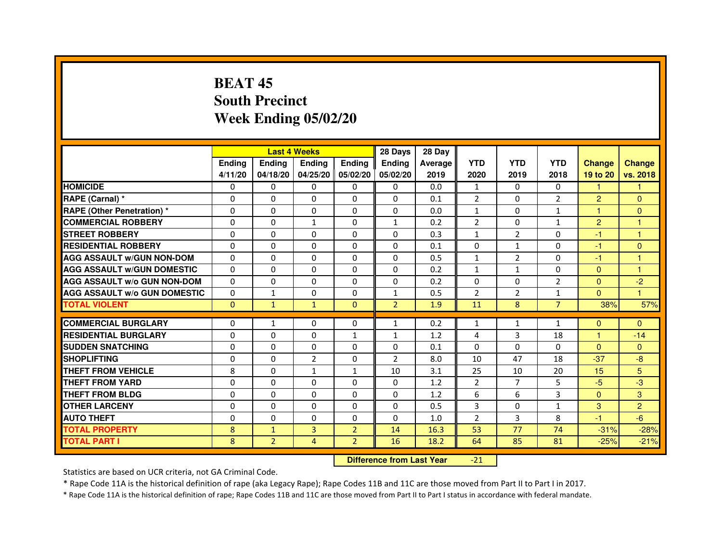## **BEAT 45 South PrecinctWeek Ending 05/02/20**

|                                     |               | <b>Last 4 Weeks</b> |                |                   | 28 Days        | 28 Day  |                |                |                |                |                |
|-------------------------------------|---------------|---------------------|----------------|-------------------|----------------|---------|----------------|----------------|----------------|----------------|----------------|
|                                     | <b>Ending</b> | <b>Endina</b>       | <b>Endina</b>  | <b>Ending</b>     | <b>Endina</b>  | Average | <b>YTD</b>     | <b>YTD</b>     | <b>YTD</b>     | <b>Change</b>  | <b>Change</b>  |
|                                     | 4/11/20       | 04/18/20            |                | 04/25/20 05/02/20 | 05/02/20       | 2019    | 2020           | 2019           | 2018           | 19 to 20       | vs. 2018       |
| <b>HOMICIDE</b>                     | 0             | 0                   | $\mathbf{0}$   | 0                 | 0              | 0.0     | 1              | 0              | $\mathbf{0}$   | 1              |                |
| RAPE (Carnal) *                     | $\Omega$      | $\Omega$            | $\Omega$       | $\Omega$          | $\Omega$       | 0.1     | $\overline{2}$ | $\Omega$       | $\overline{2}$ | $\overline{2}$ | $\Omega$       |
| <b>RAPE (Other Penetration) *</b>   | 0             | $\Omega$            | 0              | $\Omega$          | $\Omega$       | 0.0     | $\mathbf{1}$   | $\Omega$       | $\mathbf{1}$   | 1              | $\Omega$       |
| <b>COMMERCIAL ROBBERY</b>           | 0             | 0                   | 1              | 0                 | $\mathbf{1}$   | 0.2     | 2              | 0              | $\mathbf{1}$   | $\overline{2}$ | 1              |
| <b>STREET ROBBERY</b>               | 0             | 0                   | 0              | 0                 | 0              | 0.3     | $\mathbf{1}$   | $\overline{2}$ | 0              | $-1$           | 1              |
| <b>RESIDENTIAL ROBBERY</b>          | 0             | $\Omega$            | $\Omega$       | $\Omega$          | $\Omega$       | 0.1     | $\Omega$       | $\mathbf{1}$   | $\Omega$       | $-1$           | $\Omega$       |
| <b>AGG ASSAULT W/GUN NON-DOM</b>    | $\Omega$      | $\mathbf 0$         | $\Omega$       | $\Omega$          | $\Omega$       | 0.5     | $\mathbf{1}$   | $\overline{2}$ | $\Omega$       | $-1$           | 1              |
| <b>AGG ASSAULT W/GUN DOMESTIC</b>   | 0             | 0                   | 0              | 0                 | $\Omega$       | 0.2     | $\mathbf{1}$   | $\mathbf{1}$   | $\Omega$       | $\Omega$       | 1              |
| <b>AGG ASSAULT W/o GUN NON-DOM</b>  | $\Omega$      | 0                   | $\Omega$       | $\Omega$          | $\Omega$       | 0.2     | $\Omega$       | $\Omega$       | $\overline{2}$ | $\Omega$       | $-2$           |
| <b>AGG ASSAULT W/o GUN DOMESTIC</b> | $\Omega$      | $\mathbf{1}$        | 0              | $\Omega$          | $\mathbf{1}$   | 0.5     | $\overline{2}$ | $\overline{2}$ | $\mathbf{1}$   | $\Omega$       | 1              |
| <b>TOTAL VIOLENT</b>                | $\Omega$      | $\mathbf{1}$        | $\mathbf{1}$   | $\Omega$          | $\overline{2}$ | 1.9     | 11             | 8              | $\overline{7}$ | 38%            | 57%            |
|                                     |               |                     |                |                   |                |         |                |                |                |                |                |
| <b>COMMERCIAL BURGLARY</b>          | 0             | 1                   | 0              | 0                 | $\mathbf{1}$   | 0.2     | $\mathbf{1}$   | $\mathbf{1}$   | $\mathbf{1}$   | $\Omega$       | $\Omega$       |
| <b>RESIDENTIAL BURGLARY</b>         | 0             | $\Omega$            | 0              | $\mathbf{1}$      | 1              | 1.2     | 4              | 3              | 18             | 1              | $-14$          |
| <b>SUDDEN SNATCHING</b>             | 0             | 0                   | 0              | 0                 | 0              | 0.1     | $\Omega$       | $\Omega$       | $\Omega$       | $\Omega$       | $\Omega$       |
| <b>SHOPLIFTING</b>                  | 0             | 0                   | $\overline{2}$ | $\Omega$          | $\overline{2}$ | 8.0     | 10             | 47             | 18             | $-37$          | -8             |
| <b>THEFT FROM VEHICLE</b>           | 8             | $\Omega$            | $\mathbf{1}$   | $\mathbf{1}$      | 10             | 3.1     | 25             | 10             | 20             | 15             | 5              |
| <b>THEFT FROM YARD</b>              | $\Omega$      | $\Omega$            | $\Omega$       | $\Omega$          | $\Omega$       | 1.2     | $\overline{2}$ | $\overline{7}$ | 5              | $-5$           | -3             |
| <b>THEFT FROM BLDG</b>              | 0             | 0                   | 0              | 0                 | 0              | 1.2     | 6              | 6              | 3              | $\Omega$       | 3              |
| <b>OTHER LARCENY</b>                | 0             | 0                   | $\Omega$       | $\Omega$          | $\Omega$       | 0.5     | 3              | $\Omega$       | 1              | 3              | $\overline{2}$ |
| <b>AUTO THEFT</b>                   | $\mathbf 0$   | 0                   | $\Omega$       | $\Omega$          | $\Omega$       | 1.0     | $\overline{2}$ | 3              | 8              | $-1$           | $-6$           |
| <b>TOTAL PROPERTY</b>               | 8             | $\mathbf{1}$        | 3              | $\overline{2}$    | 14             | 16.3    | 53             | 77             | 74             | $-31%$         | $-28%$         |
| <b>TOTAL PART I</b>                 | 8             | $\overline{2}$      | 4              | $\overline{2}$    | 16             | 18.2    | 64             | 85             | 81             | $-25%$         | $-21%$         |

 **Difference from Last Year**-21

Statistics are based on UCR criteria, not GA Criminal Code.

\* Rape Code 11A is the historical definition of rape (aka Legacy Rape); Rape Codes 11B and 11C are those moved from Part II to Part I in 2017.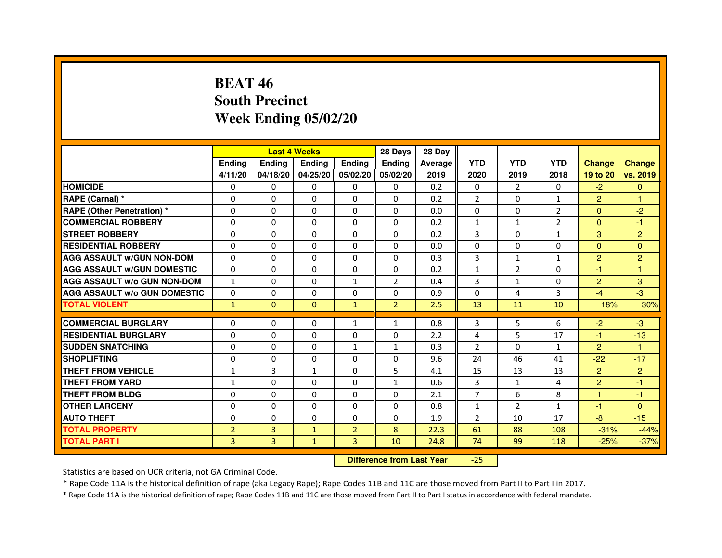## **BEAT 46 South PrecinctWeek Ending 05/02/20**

|                                     |                | <b>Last 4 Weeks</b> |              |                | 28 Days                          | 28 Day  |                |                |                |                |                |
|-------------------------------------|----------------|---------------------|--------------|----------------|----------------------------------|---------|----------------|----------------|----------------|----------------|----------------|
|                                     | Ending         | <b>Ending</b>       | Ending       | <b>Ending</b>  | <b>Ending</b>                    | Average | <b>YTD</b>     | <b>YTD</b>     | <b>YTD</b>     | <b>Change</b>  | <b>Change</b>  |
|                                     | 4/11/20        | 04/18/20            | 04/25/20     | 05/02/20       | 05/02/20                         | 2019    | 2020           | 2019           | 2018           | 19 to 20       | vs. 2019       |
| <b>HOMICIDE</b>                     | 0              | $\Omega$            | $\Omega$     | $\Omega$       | 0                                | 0.2     | 0              | $\mathcal{P}$  | $\Omega$       | $-2$           | $\Omega$       |
| RAPE (Carnal) *                     | 0              | $\mathbf{0}$        | 0            | 0              | 0                                | 0.2     | 2              | 0              | $\mathbf{1}$   | $\overline{2}$ |                |
| RAPE (Other Penetration) *          | $\Omega$       | 0                   | $\Omega$     | $\Omega$       | $\Omega$                         | 0.0     | $\Omega$       | $\mathbf{0}$   | $\overline{2}$ | $\mathbf{0}$   | $-2$           |
| <b>COMMERCIAL ROBBERY</b>           | $\Omega$       | $\Omega$            | $\Omega$     | $\Omega$       | $\Omega$                         | 0.2     | $\mathbf{1}$   | $\mathbf{1}$   | $\overline{2}$ | $\mathbf{0}$   | $-1$           |
| <b>STREET ROBBERY</b>               | $\Omega$       | $\Omega$            | $\Omega$     | $\Omega$       | $\Omega$                         | 0.2     | 3              | $\Omega$       | $\mathbf{1}$   | 3              | $\overline{c}$ |
| <b>RESIDENTIAL ROBBERY</b>          | 0              | 0                   | 0            | 0              | 0                                | 0.0     | 0              | $\mathbf{0}$   | $\Omega$       | $\overline{0}$ | $\overline{0}$ |
| <b>AGG ASSAULT w/GUN NON-DOM</b>    | $\Omega$       | $\Omega$            | $\Omega$     | $\Omega$       | $\Omega$                         | 0.3     | 3              | $\mathbf{1}$   | $\mathbf{1}$   | $\overline{2}$ | $\overline{2}$ |
| <b>AGG ASSAULT W/GUN DOMESTIC</b>   | $\Omega$       | $\Omega$            | $\Omega$     | $\Omega$       | $\Omega$                         | 0.2     | $\mathbf 1$    | $\overline{2}$ | $\Omega$       | $-1$           | 1              |
| <b>AGG ASSAULT W/o GUN NON-DOM</b>  | $\mathbf{1}$   | $\Omega$            | $\Omega$     | $\mathbf{1}$   | 2                                | 0.4     | 3              | $\mathbf{1}$   | $\Omega$       | $\overline{2}$ | 3              |
| <b>AGG ASSAULT w/o GUN DOMESTIC</b> | $\Omega$       | $\Omega$            | 0            | $\Omega$       | $\Omega$                         | 0.9     | $\Omega$       | 4              | 3              | $-4$           | $-3$           |
| <b>TOTAL VIOLENT</b>                | $\mathbf{1}$   | $\overline{0}$      | $\mathbf{0}$ | $\mathbf{1}$   | $\overline{2}$                   | 2.5     | 13             | 11             | 10             | 18%            | 30%            |
| <b>COMMERCIAL BURGLARY</b>          | 0              | 0                   | 0            | 1              | $\mathbf{1}$                     | 0.8     | 3              | 5              | 6              | $-2$           | $-3$           |
| <b>RESIDENTIAL BURGLARY</b>         | $\Omega$       | $\Omega$            | $\Omega$     | $\Omega$       | 0                                | 2.2     | 4              | 5              | 17             | $-1$           | $-13$          |
| <b>SUDDEN SNATCHING</b>             | $\Omega$       | $\Omega$            | $\Omega$     | $\mathbf{1}$   | $\mathbf{1}$                     | 0.3     | $\overline{2}$ | $\Omega$       | $\mathbf{1}$   | $\overline{2}$ | $\mathbf{1}$   |
| <b>SHOPLIFTING</b>                  | 0              | $\Omega$            | 0            | 0              | 0                                | 9.6     | 24             | 46             | 41             | $-22$          | $-17$          |
| <b>THEFT FROM VEHICLE</b>           | 1              | 3                   | $\mathbf{1}$ | $\Omega$       | 5                                | 4.1     | 15             | 13             | 13             | $\overline{2}$ | $\overline{2}$ |
| <b>THEFT FROM YARD</b>              | $\mathbf{1}$   | $\Omega$            | $\Omega$     | $\Omega$       | $\mathbf{1}$                     | 0.6     | 3              | $\mathbf{1}$   | 4              | $\overline{2}$ | $-1$           |
| <b>THEFT FROM BLDG</b>              | $\Omega$       | $\Omega$            | $\Omega$     | $\Omega$       | $\Omega$                         | 2.1     | $\overline{7}$ | 6              | 8              | $\mathbf{1}$   | $-1$           |
| <b>OTHER LARCENY</b>                | 0              | $\Omega$            | $\mathbf{0}$ | 0              | 0                                | 0.8     | $\mathbf{1}$   | $\overline{2}$ | $\mathbf{1}$   | $-1$           | $\Omega$       |
| <b>AUTO THEFT</b>                   | $\Omega$       | $\Omega$            | $\Omega$     | $\Omega$       | $\Omega$                         | 1.9     | $\overline{2}$ | 10             | 17             | $-8$           | $-15$          |
| <b>TOTAL PROPERTY</b>               | $\overline{2}$ | 3                   | $\mathbf{1}$ | $\overline{2}$ | 8                                | 22.3    | 61             | 88             | 108            | $-31%$         | $-44%$         |
| <b>TOTAL PART I</b>                 | $\overline{3}$ | 3                   | $\mathbf{1}$ | 3              | 10                               | 24.8    | 74             | 99             | 118            | $-25%$         | $-37%$         |
|                                     |                |                     |              |                | <b>Difference from Last Year</b> |         | $-25$          |                |                |                |                |

 **Difference from Last Year**

Statistics are based on UCR criteria, not GA Criminal Code.

\* Rape Code 11A is the historical definition of rape (aka Legacy Rape); Rape Codes 11B and 11C are those moved from Part II to Part I in 2017.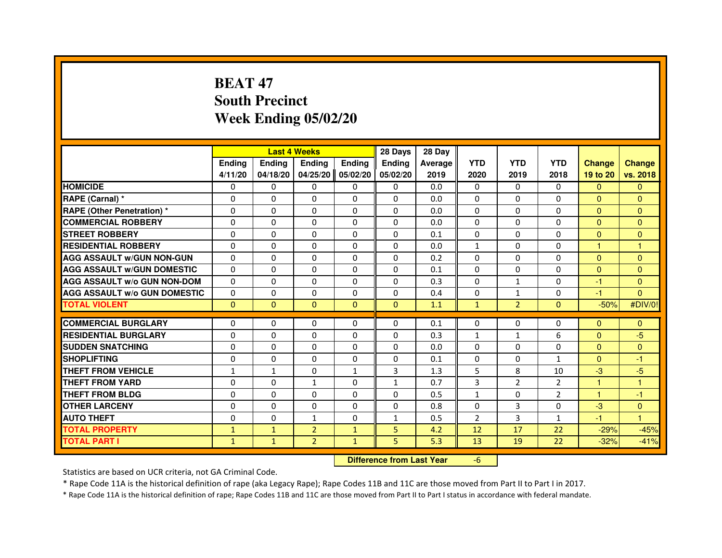## **BEAT 47 South PrecinctWeek Ending 05/02/20**

|                                     |               | <b>Last 4 Weeks</b>              |                |               | 28 Days       | 28 Day  |                |                |                |                |               |
|-------------------------------------|---------------|----------------------------------|----------------|---------------|---------------|---------|----------------|----------------|----------------|----------------|---------------|
|                                     | <b>Ending</b> | <b>Ending</b>                    | Ending         | <b>Ending</b> | <b>Ending</b> | Average | <b>YTD</b>     | <b>YTD</b>     | <b>YTD</b>     | <b>Change</b>  | <b>Change</b> |
|                                     | 4/11/20       | 04/18/20                         | 04/25/20       | 05/02/20      | 05/02/20      | 2019    | 2020           | 2019           | 2018           | 19 to 20       | vs. 2018      |
| <b>HOMICIDE</b>                     | $\mathbf{0}$  | 0                                | $\mathbf{0}$   | 0             | 0             | 0.0     | $\mathbf{0}$   | $\Omega$       | $\Omega$       | $\Omega$       | $\mathbf{0}$  |
| RAPE (Carnal) *                     | 0             | 0                                | 0              | 0             | 0             | 0.0     | 0              | 0              | 0              | $\Omega$       | $\mathbf{0}$  |
| <b>RAPE (Other Penetration) *</b>   | $\Omega$      | $\Omega$                         | $\Omega$       | $\Omega$      | $\Omega$      | 0.0     | $\Omega$       | $\Omega$       | $\Omega$       | $\Omega$       | $\mathbf{0}$  |
| <b>COMMERCIAL ROBBERY</b>           | 0             | $\Omega$                         | $\Omega$       | $\Omega$      | 0             | 0.0     | 0              | $\Omega$       | $\Omega$       | $\overline{0}$ | $\mathbf{0}$  |
| <b>STREET ROBBERY</b>               | $\Omega$      | $\Omega$                         | $\Omega$       | $\Omega$      | $\Omega$      | 0.1     | $\Omega$       | $\Omega$       | $\Omega$       | $\mathbf{0}$   | $\mathbf{0}$  |
| <b>RESIDENTIAL ROBBERY</b>          | 0             | 0                                | $\Omega$       | 0             | $\Omega$      | 0.0     | $\mathbf{1}$   | 0              | $\Omega$       | $\mathbf{1}$   | 1             |
| <b>AGG ASSAULT W/GUN NON-GUN</b>    | $\Omega$      | $\Omega$                         | 0              | $\Omega$      | $\Omega$      | 0.2     | $\Omega$       | $\Omega$       | 0              | $\mathbf{0}$   | $\mathbf{0}$  |
| <b>AGG ASSAULT W/GUN DOMESTIC</b>   | $\Omega$      | $\Omega$                         | $\Omega$       | $\Omega$      | $\Omega$      | 0.1     | $\Omega$       | $\Omega$       | 0              | $\Omega$       | $\Omega$      |
| <b>AGG ASSAULT W/o GUN NON-DOM</b>  | $\Omega$      | $\Omega$                         | $\Omega$       | $\Omega$      | $\Omega$      | 0.3     | $\Omega$       | $\mathbf{1}$   | $\Omega$       | $-1$           | $\mathbf{0}$  |
| <b>AGG ASSAULT W/o GUN DOMESTIC</b> | 0             | 0                                | 0              | $\Omega$      | $\Omega$      | 0.4     | 0              | 1              | 0              | -1             | $\Omega$      |
| <b>TOTAL VIOLENT</b>                | $\mathbf{0}$  | $\mathbf{0}$                     | $\mathbf{0}$   | $\mathbf{0}$  | $\mathbf{0}$  | 1.1     | $\mathbf{1}$   | $\overline{2}$ | $\mathbf{0}$   | $-50%$         | #DIV/0!       |
| <b>COMMERCIAL BURGLARY</b>          | 0             | 0                                | 0              | 0             | 0             | 0.1     | 0              | 0              | 0              | $\mathbf{0}$   | $\mathbf{0}$  |
| <b>RESIDENTIAL BURGLARY</b>         | $\Omega$      | $\Omega$                         | $\Omega$       | $\Omega$      | 0             | 0.3     | $\mathbf{1}$   | $\mathbf{1}$   | 6              | $\mathbf{0}$   | $-5$          |
| <b>SUDDEN SNATCHING</b>             | $\Omega$      | $\Omega$                         | $\Omega$       | $\Omega$      | $\Omega$      | 0.0     | $\Omega$       | $\Omega$       | $\Omega$       | $\Omega$       | $\Omega$      |
| <b>SHOPLIFTING</b>                  | 0             | $\mathbf{0}$                     | 0              | $\Omega$      | 0             | 0.1     | $\Omega$       | 0              | $\mathbf{1}$   | $\mathbf{0}$   | -1            |
| THEFT FROM VEHICLE                  | 1             | $\mathbf{1}$                     | 0              | $\mathbf{1}$  | 3             | 1.3     | 5              | 8              | 10             | $-3$           | $-5$          |
| <b>THEFT FROM YARD</b>              | $\Omega$      | $\Omega$                         | $\mathbf{1}$   | $\Omega$      | $\mathbf 1$   | 0.7     | 3              | $\overline{2}$ | $\overline{2}$ | $\mathbf{1}$   | $\mathbf{1}$  |
| <b>THEFT FROM BLDG</b>              | $\Omega$      | $\Omega$                         | $\Omega$       | $\Omega$      | $\Omega$      | 0.5     | $\mathbf{1}$   | $\Omega$       | $\overline{2}$ | $\mathbf{1}$   | $-1$          |
| <b>OTHER LARCENY</b>                | $\Omega$      | $\Omega$                         | 0              | $\Omega$      | $\Omega$      | 0.8     | $\Omega$       | 3              | $\Omega$       | $-3$           | $\mathbf{0}$  |
| <b>AUTO THEFT</b>                   | $\Omega$      | $\Omega$                         | $\mathbf{1}$   | $\Omega$      | $\mathbf{1}$  | 0.5     | $\overline{2}$ | 3              | $\mathbf{1}$   | $-1$           | $\mathbf{1}$  |
| <b>TOTAL PROPERTY</b>               | $\mathbf{1}$  | $\mathbf{1}$                     | $\overline{2}$ | $\mathbf{1}$  | 5             | 4.2     | 12             | 17             | 22             | $-29%$         | $-45%$        |
| <b>TOTAL PART I</b>                 | $\mathbf{1}$  | $\mathbf{1}$                     | $\overline{2}$ | $\mathbf{1}$  | 5             | 5.3     | 13             | 19             | 22             | $-32%$         | $-41%$        |
|                                     |               | <b>Difference from Last Year</b> |                | $-6$          |               |         |                |                |                |                |               |

 **Difference from Last Year**

Statistics are based on UCR criteria, not GA Criminal Code.

\* Rape Code 11A is the historical definition of rape (aka Legacy Rape); Rape Codes 11B and 11C are those moved from Part II to Part I in 2017.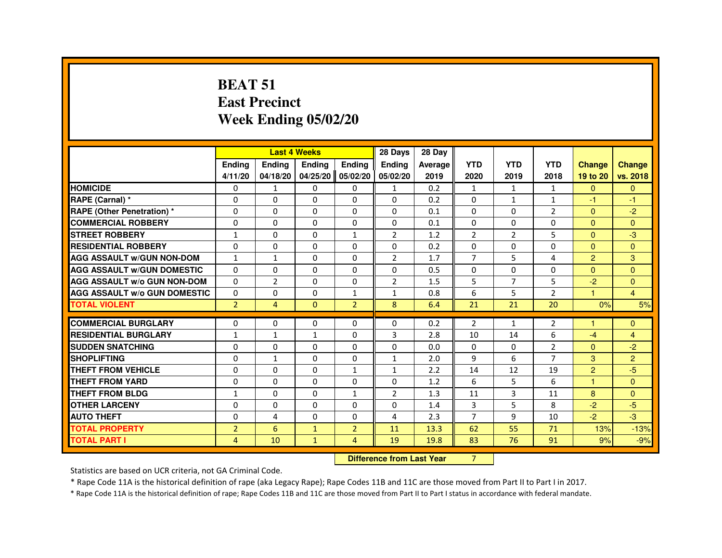#### **BEAT 51 East PrecinctWeek Ending 05/02/20**

|                                     |                |                | <b>Last 4 Weeks</b> |                | 28 Days        | 28 Day                 |                |                |                |                |                |
|-------------------------------------|----------------|----------------|---------------------|----------------|----------------|------------------------|----------------|----------------|----------------|----------------|----------------|
|                                     | <b>Ending</b>  | <b>Ending</b>  | <b>Ending</b>       | <b>Ending</b>  | <b>Ending</b>  | Average                | <b>YTD</b>     | <b>YTD</b>     | <b>YTD</b>     | <b>Change</b>  | <b>Change</b>  |
|                                     | 4/11/20        | 04/18/20       | 04/25/20            | 05/02/20       | 05/02/20       | 2019                   | 2020           | 2019           | 2018           | 19 to 20       | vs. 2018       |
| <b>HOMICIDE</b>                     | $\Omega$       | $\mathbf{1}$   | $\Omega$            | 0              | $\mathbf{1}$   | 0.2                    | $\mathbf{1}$   | 1              | $\mathbf{1}$   | $\mathbf{0}$   | $\Omega$       |
| RAPE (Carnal) *                     | 0              | 0              | $\Omega$            | $\Omega$       | $\Omega$       | 0.2                    | 0              | 1              | $\mathbf{1}$   | $-1$           | $-1$           |
| <b>RAPE (Other Penetration) *</b>   | 0              | 0              | $\Omega$            | $\Omega$       | $\Omega$       | 0.1                    | 0              | 0              | 2              | $\Omega$       | $-2$           |
| <b>COMMERCIAL ROBBERY</b>           | $\Omega$       | $\Omega$       | $\Omega$            | $\Omega$       | $\Omega$       | 0.1                    | $\Omega$       | $\Omega$       | $\Omega$       | $\Omega$       | $\Omega$       |
| <b>STREET ROBBERY</b>               | $\mathbf{1}$   | $\Omega$       | $\Omega$            | $\mathbf{1}$   | $\overline{2}$ | 1.2                    | $\overline{2}$ | $\overline{2}$ | 5              | $\Omega$       | $-3$           |
| <b>RESIDENTIAL ROBBERY</b>          | $\Omega$       | $\Omega$       | $\Omega$            | $\Omega$       | $\Omega$       | 0.2                    | $\Omega$       | $\Omega$       | $\Omega$       | $\Omega$       | $\Omega$       |
| <b>AGG ASSAULT w/GUN NON-DOM</b>    | $\mathbf{1}$   | $\mathbf{1}$   | $\Omega$            | $\Omega$       | $\overline{2}$ | 1.7                    | $\overline{7}$ | 5              | 4              | $\overline{2}$ | 3              |
| <b>AGG ASSAULT W/GUN DOMESTIC</b>   | $\Omega$       | $\Omega$       | $\Omega$            | $\Omega$       | $\Omega$       | 0.5                    | 0              | $\Omega$       | $\Omega$       | $\Omega$       | $\Omega$       |
| <b>AGG ASSAULT W/o GUN NON-DOM</b>  | $\Omega$       | $\overline{2}$ | $\Omega$            | $\Omega$       | $\overline{2}$ | 1.5                    | 5              | $\overline{7}$ | 5              | $-2$           | $\mathbf{0}$   |
| <b>AGG ASSAULT W/o GUN DOMESTIC</b> | $\Omega$       | $\Omega$       | $\Omega$            | $\mathbf{1}$   | $\mathbf{1}$   | 0.8                    | 6              | 5              | $\overline{2}$ | $\overline{1}$ | $\overline{4}$ |
| <b>TOTAL VIOLENT</b>                | $\overline{2}$ | $\overline{4}$ | $\mathbf{0}$        | $\overline{2}$ | 8              | 6.4                    | 21             | 21             | 20             | 0%             | 5%             |
| <b>COMMERCIAL BURGLARY</b>          | $\Omega$       | $\Omega$       | $\Omega$            | $\Omega$       | $\Omega$       | 0.2                    | 2              | $\mathbf{1}$   | $\overline{2}$ | $\overline{1}$ | $\mathbf{0}$   |
| <b>RESIDENTIAL BURGLARY</b>         | $\mathbf{1}$   | $\mathbf{1}$   | $\mathbf{1}$        | $\Omega$       | 3              | 2.8                    | 10             | 14             | 6              | $-4$           | $\overline{4}$ |
| <b>SUDDEN SNATCHING</b>             | 0              | 0              | 0                   | $\Omega$       | 0              | 0.0                    | 0              | 0              | $\overline{2}$ | $\Omega$       | $-2$           |
| <b>SHOPLIFTING</b>                  | 0              | $\mathbf{1}$   | $\Omega$            | $\Omega$       | $\mathbf{1}$   | 2.0                    | 9              | 6              | $\overline{7}$ | 3              | $\overline{2}$ |
| <b>THEFT FROM VEHICLE</b>           | $\Omega$       | $\Omega$       | $\Omega$            | $\mathbf{1}$   | $\mathbf{1}$   | 2.2                    | 14             | 12             | 19             | $\overline{2}$ | $-5$           |
| <b>THEFT FROM YARD</b>              | $\Omega$       | $\Omega$       | $\Omega$            | $\Omega$       | $\Omega$       | 1.2                    | 6              | 5              | 6              | $\mathbf{1}$   | $\Omega$       |
| <b>THEFT FROM BLDG</b>              | $\mathbf{1}$   | 0              | $\Omega$            | $\mathbf{1}$   | $\overline{2}$ | 1.3                    | 11             | 3              | 11             | 8              | $\Omega$       |
| <b>OTHER LARCENY</b>                | $\Omega$       | $\Omega$       | $\Omega$            | $\Omega$       | $\Omega$       | 1.4                    | 3              | 5              | 8              | $-2$           | $-5$           |
| <b>AUTO THEFT</b>                   | 0              | 4              | $\Omega$            | $\Omega$       | 4              | 2.3                    | $\overline{7}$ | 9              | 10             | $-2$           | $-3$           |
| <b>TOTAL PROPERTY</b>               | $\overline{2}$ | $6\phantom{1}$ | $\mathbf{1}$        | $\overline{2}$ | 11             | 13.3                   | 62             | 55             | 71             | 13%            | $-13%$         |
| <b>TOTAL PART I</b>                 | 4              | 10             | $\mathbf{1}$        | $\overline{4}$ | 19             | 19.8                   | 83             | 76             | 91             | 9%             | $-9%$          |
|                                     | <b>PASSAGE</b> |                |                     |                |                | a a dheanailte an Main | $\sim$         |                |                |                |                |

**Difference from Last Year** 7

Statistics are based on UCR criteria, not GA Criminal Code.

\* Rape Code 11A is the historical definition of rape (aka Legacy Rape); Rape Codes 11B and 11C are those moved from Part II to Part I in 2017.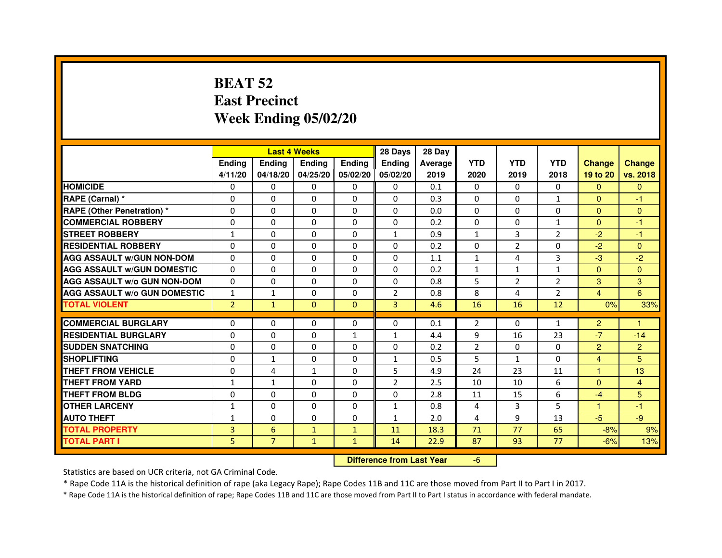## **BEAT 52 East PrecinctWeek Ending 05/02/20**

|                                     |                | <b>Last 4 Weeks</b> |               |                   | 28 Days                          | 28 Day  |                |              |                |                |                |
|-------------------------------------|----------------|---------------------|---------------|-------------------|----------------------------------|---------|----------------|--------------|----------------|----------------|----------------|
|                                     | <b>Ending</b>  | Ending              | <b>Ending</b> | <b>Ending</b>     | <b>Ending</b>                    | Average | <b>YTD</b>     | <b>YTD</b>   | <b>YTD</b>     | <b>Change</b>  | <b>Change</b>  |
|                                     | 4/11/20        | 04/18/20            |               | 04/25/20 05/02/20 | 05/02/20                         | 2019    | 2020           | 2019         | 2018           | 19 to 20       | vs. 2018       |
| <b>HOMICIDE</b>                     | 0              | 0                   | 0             | 0                 | 0                                | 0.1     | $\Omega$       | $\Omega$     | 0              | $\mathbf{0}$   | $\mathbf{0}$   |
| RAPE (Carnal) *                     | 0              | $\mathbf{0}$        | 0             | 0                 | $\Omega$                         | 0.3     | 0              | 0            | 1              | $\mathbf{0}$   | $-1$           |
| <b>RAPE (Other Penetration) *</b>   | 0              | 0                   | 0             | $\mathbf{0}$      | $\Omega$                         | 0.0     | $\Omega$       | $\mathbf{0}$ | $\Omega$       | $\mathbf{0}$   | $\Omega$       |
| <b>COMMERCIAL ROBBERY</b>           | $\mathbf 0$    | 0                   | $\Omega$      | $\mathbf{0}$      | $\mathbf{0}$                     | 0.2     | $\mathbf{0}$   | $\mathbf{0}$ | $\mathbf{1}$   | $\Omega$       | $-1$           |
| <b>STREET ROBBERY</b>               | 1              | $\Omega$            | $\Omega$      | $\Omega$          | $\mathbf{1}$                     | 0.9     | $\mathbf{1}$   | 3            | 2              | $-2$           | $-1$           |
| <b>RESIDENTIAL ROBBERY</b>          | 0              | 0                   | $\Omega$      | 0                 | $\Omega$                         | 0.2     | $\Omega$       | 2            | $\Omega$       | $-2$           | $\mathbf{0}$   |
| <b>AGG ASSAULT W/GUN NON-DOM</b>    | $\Omega$       | $\Omega$            | 0             | $\Omega$          | $\Omega$                         | 1.1     | $\mathbf{1}$   | 4            | 3              | $-3$           | $-2$           |
| <b>AGG ASSAULT W/GUN DOMESTIC</b>   | $\Omega$       | $\Omega$            | $\Omega$      | $\Omega$          | $\Omega$                         | 0.2     | $\mathbf{1}$   | $\mathbf{1}$ | $\mathbf{1}$   | $\Omega$       | $\Omega$       |
| <b>AGG ASSAULT W/o GUN NON-DOM</b>  | $\Omega$       | $\Omega$            | $\Omega$      | $\Omega$          | $\Omega$                         | 0.8     | 5              | 2            | 2              | 3              | 3              |
| <b>AGG ASSAULT W/o GUN DOMESTIC</b> | $\mathbf{1}$   | 1                   | 0             | $\Omega$          | $\overline{2}$                   | 0.8     | 8              | 4            | $\overline{2}$ | $\overline{4}$ | 6              |
| <b>TOTAL VIOLENT</b>                | $\overline{2}$ | $\mathbf{1}$        | $\mathbf{0}$  | $\mathbf{0}$      | 3                                | 4.6     | 16             | 16           | 12             | 0%             | 33%            |
| <b>COMMERCIAL BURGLARY</b>          | 0              | 0                   | 0             | 0                 | 0                                | 0.1     | 2              | 0            | $\mathbf{1}$   | $\overline{2}$ | 1              |
| <b>RESIDENTIAL BURGLARY</b>         | 0              | 0                   | $\Omega$      | $\mathbf{1}$      | $\mathbf{1}$                     | 4.4     | 9              | 16           | 23             | $-7$           | $-14$          |
| <b>SUDDEN SNATCHING</b>             | 0              | $\Omega$            | $\Omega$      | $\Omega$          | $\Omega$                         | 0.2     | $\overline{2}$ | $\Omega$     | $\Omega$       | $\overline{2}$ | $\overline{2}$ |
| <b>SHOPLIFTING</b>                  | 0              | $\mathbf{1}$        | 0             | $\mathbf{0}$      | $\mathbf{1}$                     | 0.5     | 5              | $\mathbf{1}$ | 0              | $\overline{4}$ | 5              |
| THEFT FROM VEHICLE                  | 0              | 4                   | $\mathbf{1}$  | $\Omega$          | 5                                | 4.9     | 24             | 23           | 11             | 1              | 13             |
| <b>THEFT FROM YARD</b>              | 1              | $\mathbf{1}$        | $\Omega$      | $\Omega$          | $\overline{2}$                   | 2.5     | 10             | 10           | 6              | $\Omega$       | $\overline{4}$ |
| <b>THEFT FROM BLDG</b>              | 0              | $\Omega$            | 0             | $\Omega$          | $\Omega$                         | 2.8     | 11             | 15           | 6              | $-4$           | 5              |
| <b>OTHER LARCENY</b>                | 1              | $\Omega$            | $\Omega$      | $\Omega$          | $\mathbf{1}$                     | 0.8     | 4              | 3            | 5              | 1.             | $-1$           |
| <b>AUTO THEFT</b>                   | 1              | $\Omega$            | $\Omega$      | $\Omega$          | $\mathbf{1}$                     | 2.0     | 4              | 9            | 13             | $-5$           | $-9$           |
| <b>TOTAL PROPERTY</b>               | 3              | $6\phantom{1}6$     | $\mathbf{1}$  | $\mathbf{1}$      | 11                               | 18.3    | 71             | 77           | 65             | $-8%$          | 9%             |
| <b>TOTAL PART I</b>                 | 5              | $\overline{7}$      | $\mathbf{1}$  | $\mathbf{1}$      | 14                               | 22.9    | 87             | 93           | 77             | $-6%$          | 13%            |
|                                     |                |                     |               |                   | <b>Difference from Last Year</b> |         | $-6$           |              |                |                |                |

 **Difference from Last Year**

Statistics are based on UCR criteria, not GA Criminal Code.

\* Rape Code 11A is the historical definition of rape (aka Legacy Rape); Rape Codes 11B and 11C are those moved from Part II to Part I in 2017.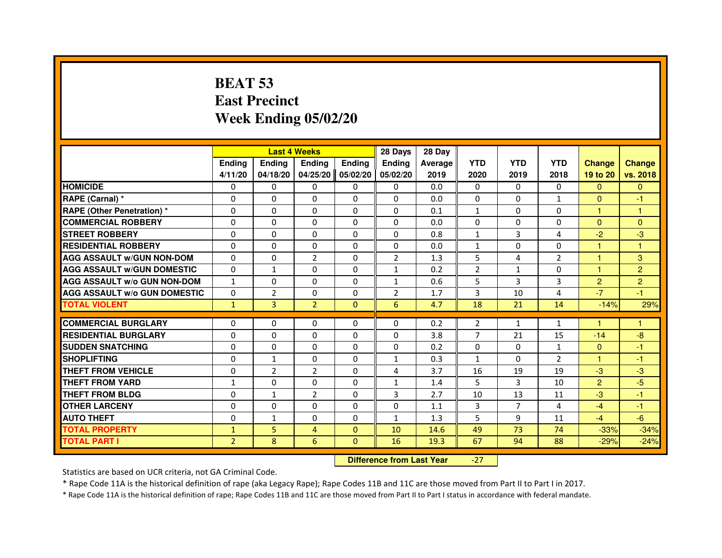## **BEAT 53 East PrecinctWeek Ending 05/02/20**

|                                     |                |                                  | <b>Last 4 Weeks</b> |               | 28 Days        | 28 Day  |                |                |                |                |                |
|-------------------------------------|----------------|----------------------------------|---------------------|---------------|----------------|---------|----------------|----------------|----------------|----------------|----------------|
|                                     | <b>Ending</b>  | Ending                           | Ending              | <b>Ending</b> | <b>Ending</b>  | Average | <b>YTD</b>     | <b>YTD</b>     | <b>YTD</b>     | <b>Change</b>  | <b>Change</b>  |
|                                     | 4/11/20        | 04/18/20                         | 04/25/20            | 05/02/20      | 05/02/20       | 2019    | 2020           | 2019           | 2018           | 19 to 20       | vs. 2018       |
| <b>HOMICIDE</b>                     | 0              | $\Omega$                         | 0                   | $\Omega$      | $\mathbf{0}$   | 0.0     | $\Omega$       | 0              | $\Omega$       | $\Omega$       | $\mathbf{0}$   |
| RAPE (Carnal) *                     | 0              | 0                                | 0                   | $\mathbf{0}$  | 0              | 0.0     | 0              | 0              | $\mathbf{1}$   | $\Omega$       | -1             |
| <b>RAPE (Other Penetration) *</b>   | 0              | 0                                | $\Omega$            | $\Omega$      | $\Omega$       | 0.1     | $\mathbf{1}$   | 0              | $\Omega$       | $\mathbf{1}$   | 1              |
| <b>COMMERCIAL ROBBERY</b>           | $\Omega$       | $\Omega$                         | $\Omega$            | $\Omega$      | $\Omega$       | 0.0     | $\Omega$       | $\Omega$       | $\Omega$       | $\mathbf{0}$   | $\mathbf{0}$   |
| <b>STREET ROBBERY</b>               | $\Omega$       | $\Omega$                         | $\Omega$            | $\Omega$      | $\Omega$       | 0.8     | $\mathbf{1}$   | 3              | 4              | $-2$           | $-3$           |
| <b>RESIDENTIAL ROBBERY</b>          | 0              | 0                                | 0                   | 0             | 0              | 0.0     | $\mathbf{1}$   | $\Omega$       | $\Omega$       | 1              | 1              |
| <b>AGG ASSAULT w/GUN NON-DOM</b>    | $\Omega$       | $\Omega$                         | $\overline{2}$      | $\Omega$      | $\overline{2}$ | 1.3     | 5              | 4              | $\overline{2}$ | 1              | 3              |
| <b>AGG ASSAULT w/GUN DOMESTIC</b>   | $\Omega$       | $\mathbf{1}$                     | $\Omega$            | $\Omega$      | $\mathbf{1}$   | 0.2     | $\overline{2}$ | $\mathbf{1}$   | $\Omega$       | $\mathbf{1}$   | $\overline{2}$ |
| <b>AGG ASSAULT w/o GUN NON-DOM</b>  | $\mathbf{1}$   | $\Omega$                         | $\Omega$            | $\Omega$      | $\mathbf{1}$   | 0.6     | 5              | 3              | 3              | $\overline{2}$ | $\overline{2}$ |
| <b>AGG ASSAULT W/o GUN DOMESTIC</b> | $\Omega$       | $\overline{2}$                   | $\Omega$            | $\Omega$      | $\overline{2}$ | 1.7     | 3              | 10             | 4              | $-7$           | $-1$           |
| <b>TOTAL VIOLENT</b>                | $\mathbf{1}$   | 3                                | $\overline{2}$      | $\mathbf{0}$  | 6              | 4.7     | 18             | 21             | 14             | $-14%$         | 29%            |
| <b>COMMERCIAL BURGLARY</b>          | 0              | 0                                | 0                   | 0             | 0              | 0.2     | 2              | $\mathbf{1}$   | $\mathbf{1}$   | 1              | 1              |
| <b>RESIDENTIAL BURGLARY</b>         | 0              | $\Omega$                         | $\Omega$            | $\Omega$      | $\Omega$       | 3.8     | $\overline{7}$ | 21             | 15             | $-14$          | $-8$           |
| <b>SUDDEN SNATCHING</b>             | $\Omega$       | $\Omega$                         | $\Omega$            | $\Omega$      | $\Omega$       | 0.2     | $\Omega$       | $\Omega$       | $\mathbf{1}$   | $\overline{0}$ | $-1$           |
| <b>SHOPLIFTING</b>                  | $\Omega$       | $\mathbf{1}$                     | $\Omega$            | $\Omega$      | 1              | 0.3     | $\mathbf{1}$   | $\Omega$       | $\overline{2}$ | $\mathbf{1}$   | $-1$           |
| THEFT FROM VEHICLE                  | 0              | $\overline{2}$                   | $\overline{2}$      | $\Omega$      | 4              | 3.7     | 16             | 19             | 19             | $-3$           | $-3$           |
| <b>THEFT FROM YARD</b>              | $\mathbf{1}$   | $\Omega$                         | $\Omega$            | $\Omega$      | 1              | 1.4     | 5              | 3              | 10             | $\overline{2}$ | $-5$           |
| <b>THEFT FROM BLDG</b>              | $\Omega$       | $\mathbf{1}$                     | $\overline{2}$      | $\Omega$      | 3              | 2.7     | 10             | 13             | 11             | $-3$           | $-1$           |
| <b>OTHER LARCENY</b>                | $\Omega$       | $\Omega$                         | $\Omega$            | $\Omega$      | $\Omega$       | 1.1     | 3              | $\overline{7}$ | 4              | $-4$           | $-1$           |
| <b>AUTO THEFT</b>                   | $\Omega$       | $\mathbf{1}$                     | $\Omega$            | $\Omega$      | $\mathbf{1}$   | 1.3     | 5              | 9              | 11             | $-4$           | $-6$           |
| <b>TOTAL PROPERTY</b>               | $\mathbf{1}$   | 5                                | $\overline{4}$      | $\mathbf{0}$  | 10             | 14.6    | 49             | 73             | 74             | $-33%$         | $-34%$         |
| <b>TOTAL PART I</b>                 | $\overline{2}$ | 8                                | 6                   | $\mathbf{0}$  | 16             | 19.3    | 67             | 94             | 88             | $-29%$         | $-24%$         |
|                                     |                | <b>Difference from Last Year</b> |                     | $-27$         |                |         |                |                |                |                |                |

Statistics are based on UCR criteria, not GA Criminal Code.

\* Rape Code 11A is the historical definition of rape (aka Legacy Rape); Rape Codes 11B and 11C are those moved from Part II to Part I in 2017.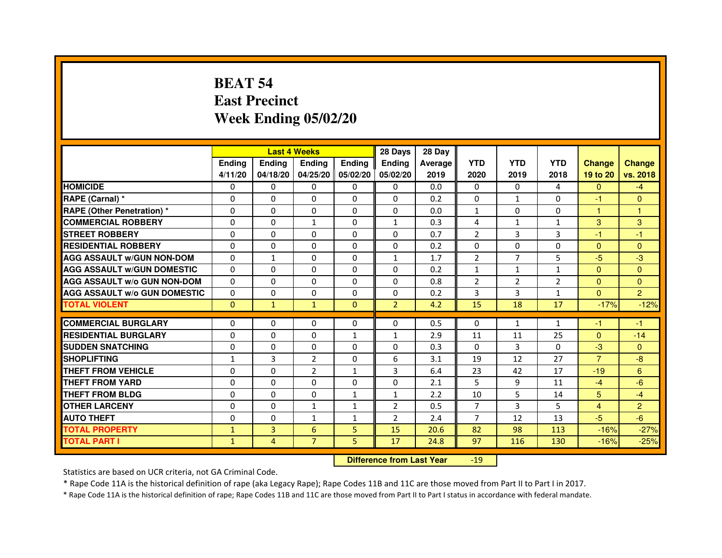## **BEAT 54 East PrecinctWeek Ending 05/02/20**

|                                     |               | <b>Last 4 Weeks</b> |                |                   | 28 Days        | 28 Day  |                |                |              |                |                |
|-------------------------------------|---------------|---------------------|----------------|-------------------|----------------|---------|----------------|----------------|--------------|----------------|----------------|
|                                     | <b>Endina</b> | Ending              | <b>Endina</b>  | <b>Endina</b>     | <b>Endina</b>  | Average | <b>YTD</b>     | <b>YTD</b>     | <b>YTD</b>   | <b>Change</b>  | <b>Change</b>  |
|                                     | 4/11/20       | 04/18/20            |                | 04/25/20 05/02/20 | 05/02/20       | 2019    | 2020           | 2019           | 2018         | 19 to 20       | vs. 2018       |
| <b>HOMICIDE</b>                     | $\mathbf{0}$  | 0                   | 0              | $\Omega$          | 0              | 0.0     | $\mathbf{0}$   | $\Omega$       | 4            | $\mathbf{0}$   | $-4$           |
| RAPE (Carnal) *                     | $\Omega$      | $\Omega$            | $\Omega$       | $\Omega$          | $\Omega$       | 0.2     | $\Omega$       | $\mathbf{1}$   | $\Omega$     | $-1$           | $\Omega$       |
| <b>RAPE (Other Penetration)*</b>    | 0             | $\mathbf{0}$        | 0              | 0                 | $\Omega$       | 0.0     | $\mathbf{1}$   | $\Omega$       | $\Omega$     | $\mathbf{1}$   | 1              |
| <b>COMMERCIAL ROBBERY</b>           | 0             | 0                   | 1              | 0                 | $\mathbf{1}$   | 0.3     | 4              | $\mathbf{1}$   | $\mathbf{1}$ | 3              | 3              |
| <b>STREET ROBBERY</b>               | 0             | 0                   | 0              | 0                 | 0              | 0.7     | $\overline{2}$ | 3              | 3            | $-1$           | $-1$           |
| <b>RESIDENTIAL ROBBERY</b>          | 0             | 0                   | 0              | $\Omega$          | 0              | 0.2     | 0              | 0              | 0            | $\Omega$       | $\Omega$       |
| <b>AGG ASSAULT w/GUN NON-DOM</b>    | $\Omega$      | $\mathbf{1}$        | $\Omega$       | $\Omega$          | $\mathbf{1}$   | 1.7     | $\overline{2}$ | $\overline{7}$ | 5            | $-5$           | -3             |
| <b>AGG ASSAULT W/GUN DOMESTIC</b>   | $\Omega$      | 0                   | 0              | 0                 | $\Omega$       | 0.2     | $\mathbf{1}$   | $\mathbf{1}$   | $\mathbf{1}$ | $\Omega$       | $\Omega$       |
| <b>AGG ASSAULT W/o GUN NON-DOM</b>  | 0             | 0                   | $\Omega$       | $\Omega$          | $\Omega$       | 0.8     | $\overline{2}$ | 2              | 2            | $\Omega$       | $\Omega$       |
| <b>AGG ASSAULT W/o GUN DOMESTIC</b> | $\Omega$      | 0                   | 0              | 0                 | 0              | 0.2     | 3              | 3              | 1            | $\Omega$       | $\overline{2}$ |
| <b>TOTAL VIOLENT</b>                | $\mathbf{0}$  | $\mathbf{1}$        | $\mathbf{1}$   | $\mathbf{0}$      | $\overline{2}$ | 4.2     | 15             | 18             | 17           | $-17%$         | $-12%$         |
|                                     |               |                     |                |                   |                |         |                |                |              |                |                |
| <b>COMMERCIAL BURGLARY</b>          | 0             | 0                   | 0              | 0                 | 0              | 0.5     | 0              | $\mathbf{1}$   | $\mathbf{1}$ | $-1$           | $-1$           |
| <b>RESIDENTIAL BURGLARY</b>         | 0             | 0                   | 0              | 1                 | $\mathbf{1}$   | 2.9     | 11             | 11             | 25           | $\Omega$       | $-14$          |
| <b>SUDDEN SNATCHING</b>             | 0             | $\Omega$            | 0              | $\Omega$          | $\Omega$       | 0.3     | $\Omega$       | 3              | $\Omega$     | $-3$           | $\Omega$       |
| <b>SHOPLIFTING</b>                  | $\mathbf{1}$  | 3                   | $\overline{2}$ | $\mathbf{0}$      | 6              | 3.1     | 19             | 12             | 27           | $\overline{7}$ | $-8$           |
| THEFT FROM VEHICLE                  | $\Omega$      | $\Omega$            | $\overline{2}$ | $\mathbf{1}$      | 3              | 6.4     | 23             | 42             | 17           | $-19$          | 6              |
| <b>THEFT FROM YARD</b>              | 0             | 0                   | $\Omega$       | $\Omega$          | $\Omega$       | 2.1     | 5              | 9              | 11           | $-4$           | $-6$           |
| <b>THEFT FROM BLDG</b>              | 0             | $\Omega$            | 0              | $\mathbf{1}$      | $\mathbf{1}$   | 2.2     | 10             | 5              | 14           | 5 <sup>5</sup> | $-4$           |
| <b>OTHER LARCENY</b>                | 0             | $\Omega$            | $\mathbf{1}$   | $\mathbf{1}$      | $\overline{2}$ | 0.5     | $\overline{7}$ | 3              | 5            | $\overline{4}$ | $\overline{2}$ |
| <b>AUTO THEFT</b>                   | $\Omega$      | $\Omega$            | $\mathbf{1}$   | $\mathbf{1}$      | $\overline{2}$ | 2.4     | $\overline{7}$ | 12             | 13           | $-5$           | $-6$           |
| <b>TOTAL PROPERTY</b>               | $\mathbf{1}$  | 3                   | 6              | 5                 | 15             | 20.6    | 82             | 98             | 113          | $-16%$         | $-27%$         |
| <b>TOTAL PART I</b>                 | $\mathbf{1}$  | 4                   | $\overline{7}$ | 5                 | 17             | 24.8    | 97             | 116            | 130          | $-16%$         | $-25%$         |

#### **Difference from Last Year**-19

Statistics are based on UCR criteria, not GA Criminal Code.

\* Rape Code 11A is the historical definition of rape (aka Legacy Rape); Rape Codes 11B and 11C are those moved from Part II to Part I in 2017.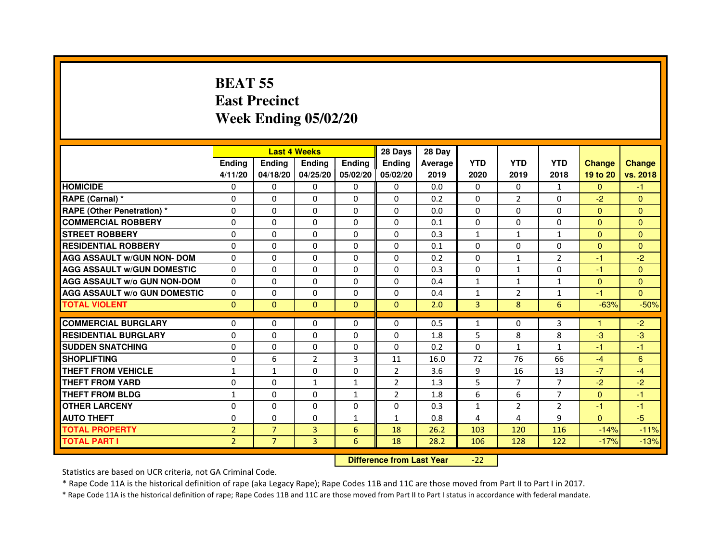## **BEAT 55 East PrecinctWeek Ending 05/02/20**

|                                     |                |                                  | <b>Last 4 Weeks</b> |                | 28 Days        | 28 Day  |              |                |                |               |                |
|-------------------------------------|----------------|----------------------------------|---------------------|----------------|----------------|---------|--------------|----------------|----------------|---------------|----------------|
|                                     | <b>Ending</b>  | <b>Ending</b>                    | <b>Ending</b>       | <b>Ending</b>  | Ending         | Average | <b>YTD</b>   | <b>YTD</b>     | <b>YTD</b>     | <b>Change</b> | <b>Change</b>  |
|                                     | 4/11/20        | 04/18/20                         | 04/25/20            | 05/02/20       | 05/02/20       | 2019    | 2020         | 2019           | 2018           | 19 to 20      | vs. 2018       |
| <b>HOMICIDE</b>                     | $\Omega$       | $\Omega$                         | 0                   | 0              | 0              | 0.0     | $\Omega$     | $\Omega$       | $\mathbf{1}$   | $\Omega$      | $-1$           |
| RAPE (Carnal) *                     | $\Omega$       | $\mathbf{0}$                     | 0                   | 0              | 0              | 0.2     | 0            | $\overline{2}$ | 0              | $-2$          | $\mathbf{0}$   |
| RAPE (Other Penetration) *          | $\Omega$       | 0                                | $\Omega$            | $\Omega$       | $\Omega$       | 0.0     | $\Omega$     | $\Omega$       | $\Omega$       | $\Omega$      | $\overline{0}$ |
| <b>COMMERCIAL ROBBERY</b>           | $\Omega$       | $\Omega$                         | $\Omega$            | $\Omega$       | $\Omega$       | 0.1     | 0            | $\Omega$       | $\Omega$       | $\mathbf{0}$  | $\mathbf{0}$   |
| <b>STREET ROBBERY</b>               | $\Omega$       | $\Omega$                         | $\Omega$            | $\Omega$       | $\Omega$       | 0.3     | $\mathbf{1}$ | $\mathbf{1}$   | $\mathbf{1}$   | $\Omega$      | $\Omega$       |
| <b>RESIDENTIAL ROBBERY</b>          | 0              | 0                                | 0                   | 0              | 0              | 0.1     | 0            | 0              | $\Omega$       | $\Omega$      | $\overline{0}$ |
| <b>AGG ASSAULT w/GUN NON- DOM</b>   | $\Omega$       | $\Omega$                         | $\Omega$            | $\Omega$       | $\Omega$       | 0.2     | $\Omega$     | $\mathbf{1}$   | $\overline{2}$ | $-1$          | $-2$           |
| <b>AGG ASSAULT W/GUN DOMESTIC</b>   | $\Omega$       | $\Omega$                         | $\Omega$            | $\Omega$       | $\Omega$       | 0.3     | $\Omega$     | $\mathbf{1}$   | $\Omega$       | $-1$          | $\Omega$       |
| <b>AGG ASSAULT W/o GUN NON-DOM</b>  | $\Omega$       | $\Omega$                         | $\Omega$            | $\Omega$       | $\Omega$       | 0.4     | $\mathbf{1}$ | $\mathbf{1}$   | $\mathbf{1}$   | $\Omega$      | $\Omega$       |
| <b>AGG ASSAULT W/o GUN DOMESTIC</b> | $\Omega$       | $\Omega$                         | $\Omega$            | $\Omega$       | $\Omega$       | 0.4     | $\mathbf{1}$ | $\overline{2}$ | 1              | $-1$          | $\Omega$       |
| <b>TOTAL VIOLENT</b>                | $\mathbf{0}$   | $\mathbf{0}$                     | $\mathbf{0}$        | $\mathbf{0}$   | $\mathbf{0}$   | 2.0     | 3            | 8              | 6              | $-63%$        | $-50%$         |
| <b>COMMERCIAL BURGLARY</b>          | $\mathbf{0}$   | 0                                | 0                   | 0              | 0              | 0.5     | $\mathbf{1}$ | 0              | 3              | 1             | $-2$           |
| <b>RESIDENTIAL BURGLARY</b>         | $\Omega$       | $\Omega$                         | $\Omega$            | $\Omega$       | $\mathbf 0$    | 1.8     | 5            | 8              | 8              | $-3$          | $-3$           |
| <b>SUDDEN SNATCHING</b>             | $\Omega$       | $\Omega$                         | $\Omega$            | $\Omega$       | $\Omega$       | 0.2     | $\Omega$     | $\mathbf{1}$   | 1              | $-1$          | $-1$           |
| <b>SHOPLIFTING</b>                  | $\Omega$       | 6                                | $\overline{2}$      | $\overline{3}$ | 11             | 16.0    | 72           | 76             | 66             | $-4$          | 6              |
| THEFT FROM VEHICLE                  | $\mathbf{1}$   | 1                                | $\Omega$            | $\Omega$       | $\overline{2}$ | 3.6     | 9            | 16             | 13             | $-7$          | $-4$           |
| <b>THEFT FROM YARD</b>              | $\Omega$       | $\Omega$                         | $\mathbf{1}$        | $\mathbf{1}$   | $\overline{2}$ | 1.3     | 5            | $\overline{7}$ | 7              | $-2$          | $-2$           |
| <b>THEFT FROM BLDG</b>              | $\mathbf{1}$   | $\Omega$                         | $\Omega$            | $\mathbf{1}$   | $\overline{2}$ | 1.8     | 6            | 6              | $\overline{7}$ | $\Omega$      | $-1$           |
| <b>OTHER LARCENY</b>                | $\mathbf{0}$   | $\Omega$                         | $\Omega$            | $\Omega$       | $\Omega$       | 0.3     | $\mathbf{1}$ | $\overline{2}$ | 2              | $-1$          | $-1$           |
| <b>AUTO THEFT</b>                   | $\Omega$       | $\Omega$                         | $\Omega$            | $\mathbf{1}$   | $\mathbf{1}$   | 0.8     | 4            | 4              | 9              | $\Omega$      | $-5$           |
| <b>TOTAL PROPERTY</b>               | $\overline{2}$ | $\overline{7}$                   | $\overline{3}$      | 6              | 18             | 26.2    | 103          | 120            | 116            | $-14%$        | $-11%$         |
| <b>TOTAL PART I</b>                 | $\overline{2}$ | $\overline{7}$                   | $\overline{3}$      | 6              | 18             | 28.2    | 106          | 128            | 122            | $-17%$        | $-13%$         |
|                                     |                | <b>Difference from Last Year</b> |                     | $-22$          |                |         |              |                |                |               |                |

 **Difference from Last Year**

Statistics are based on UCR criteria, not GA Criminal Code.

\* Rape Code 11A is the historical definition of rape (aka Legacy Rape); Rape Codes 11B and 11C are those moved from Part II to Part I in 2017.